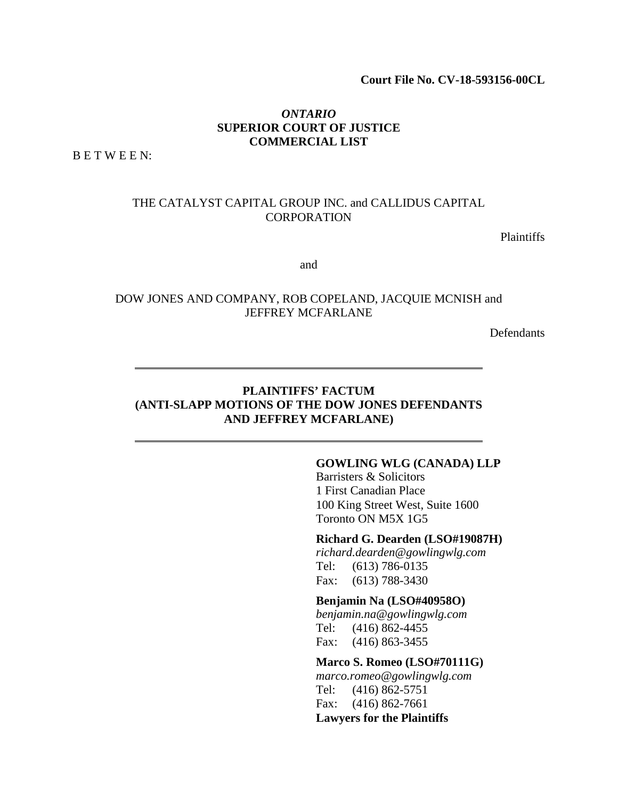#### **Court File No. CV-18-593156-00CL**

#### *ONTARIO*  **SUPERIOR COURT OF JUSTICE COMMERCIAL LIST**

B E T W E E N:

#### THE CATALYST CAPITAL GROUP INC. and CALLIDUS CAPITAL **CORPORATION**

Plaintiffs

and

#### DOW JONES AND COMPANY, ROB COPELAND, JACQUIE MCNISH and JEFFREY MCFARLANE

Defendants

## **PLAINTIFFS' FACTUM (ANTI-SLAPP MOTIONS OF THE DOW JONES DEFENDANTS AND JEFFREY MCFARLANE)**

#### **GOWLING WLG (CANADA) LLP**

Barristers & Solicitors 1 First Canadian Place 100 King Street West, Suite 1600 Toronto ON M5X 1G5

#### **Richard G. Dearden (LSO#19087H)**

*richard.dearden@gowlingwlg.com*  Tel: (613) 786-0135 Fax: (613) 788-3430

#### **Benjamin Na (LSO#40958O)**

*benjamin.na@gowlingwlg.com* Tel: (416) 862-4455 Fax: (416) 863-3455

#### **Marco S. Romeo (LSO#70111G)**

*marco.romeo@gowlingwlg.com*  Tel: (416) 862-5751 Fax: (416) 862-7661 **Lawyers for the Plaintiffs**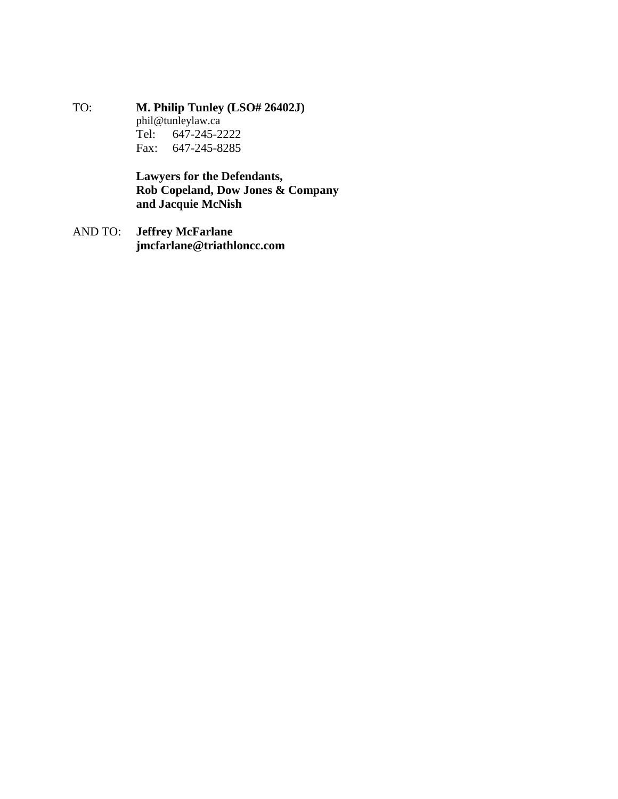TO: **M. Philip Tunley (LSO# 26402J)**  phil@tunleylaw.ca Tel: 647-245-2222 Fax: 647-245-8285

> **Lawyers for the Defendants, Rob Copeland, Dow Jones & Company and Jacquie McNish**

AND TO: **Jeffrey McFarlane jmcfarlane@triathloncc.com**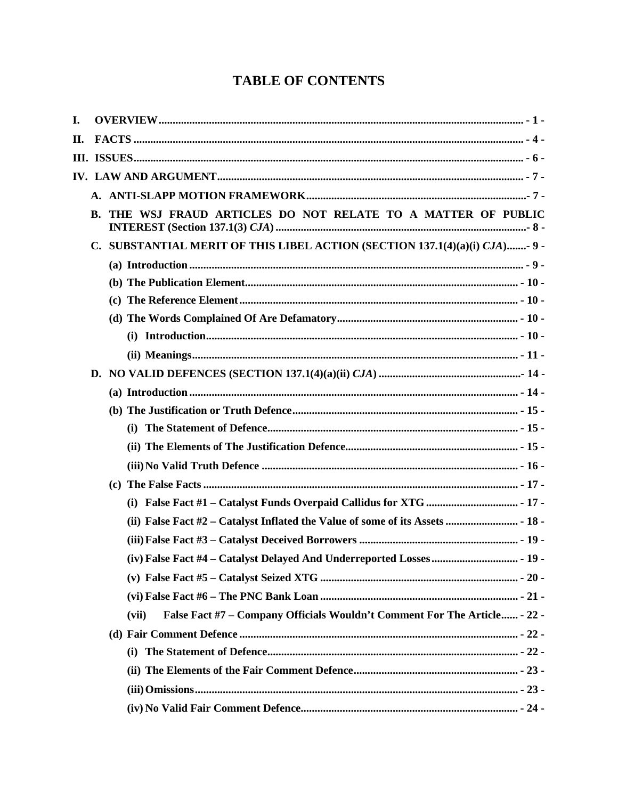## **TABLE OF CONTENTS**

| I. |                                                                                    |
|----|------------------------------------------------------------------------------------|
| П. |                                                                                    |
|    |                                                                                    |
|    |                                                                                    |
|    |                                                                                    |
|    | <b>B. THE WSJ FRAUD ARTICLES DO NOT RELATE TO A MATTER OF PUBLIC</b>               |
|    | C. SUBSTANTIAL MERIT OF THIS LIBEL ACTION (SECTION 137.1(4)(a)(i) CJA)- 9 -        |
|    |                                                                                    |
|    |                                                                                    |
|    |                                                                                    |
|    |                                                                                    |
|    |                                                                                    |
|    |                                                                                    |
|    |                                                                                    |
|    |                                                                                    |
|    |                                                                                    |
|    |                                                                                    |
|    |                                                                                    |
|    |                                                                                    |
|    |                                                                                    |
|    |                                                                                    |
|    |                                                                                    |
|    |                                                                                    |
|    |                                                                                    |
|    |                                                                                    |
|    |                                                                                    |
|    | False Fact #7 - Company Officials Wouldn't Comment For The Article - 22 -<br>(vii) |
|    |                                                                                    |
|    |                                                                                    |
|    |                                                                                    |
|    |                                                                                    |
|    |                                                                                    |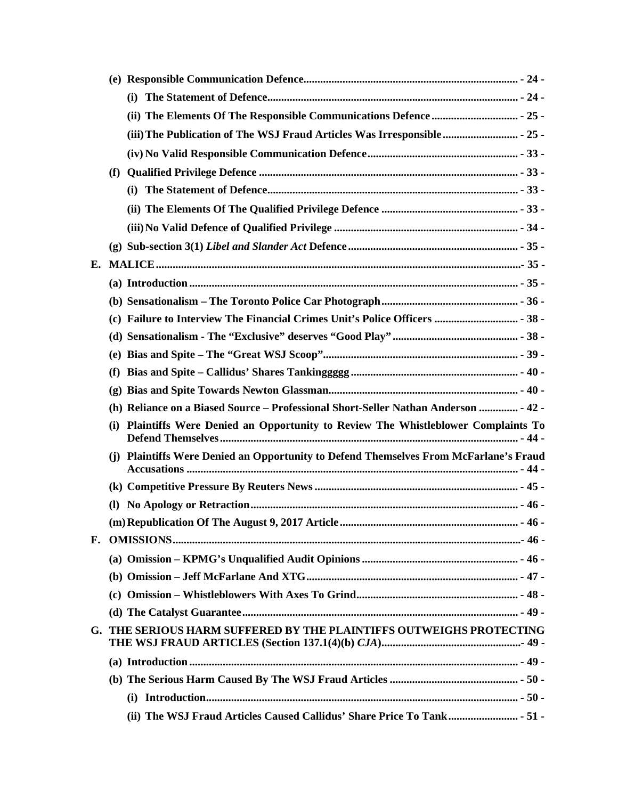|    |              | (iii) The Publication of The WSJ Fraud Articles Was Irresponsible  - 25 -             |  |
|----|--------------|---------------------------------------------------------------------------------------|--|
|    |              |                                                                                       |  |
|    | (f)          |                                                                                       |  |
|    |              |                                                                                       |  |
|    |              |                                                                                       |  |
|    |              |                                                                                       |  |
|    |              |                                                                                       |  |
| E. |              |                                                                                       |  |
|    |              |                                                                                       |  |
|    |              |                                                                                       |  |
|    |              | (c) Failure to Interview The Financial Crimes Unit's Police Officers  - 38 -          |  |
|    |              |                                                                                       |  |
|    |              |                                                                                       |  |
|    | (f)          |                                                                                       |  |
|    |              |                                                                                       |  |
|    |              | (h) Reliance on a Biased Source - Professional Short-Seller Nathan Anderson  - 42 -   |  |
|    | (i)          | Plaintiffs Were Denied an Opportunity to Review The Whistleblower Complaints To       |  |
|    |              | (j) Plaintiffs Were Denied an Opportunity to Defend Themselves From McFarlane's Fraud |  |
|    |              |                                                                                       |  |
|    | $\mathbf{D}$ |                                                                                       |  |
|    |              |                                                                                       |  |
| F. |              |                                                                                       |  |
|    |              |                                                                                       |  |
|    |              |                                                                                       |  |
|    |              |                                                                                       |  |
|    |              |                                                                                       |  |
|    |              | G. THE SERIOUS HARM SUFFERED BY THE PLAINTIFFS OUTWEIGHS PROTECTING                   |  |
|    |              |                                                                                       |  |
|    |              |                                                                                       |  |
|    |              |                                                                                       |  |
|    |              | (ii) The WSJ Fraud Articles Caused Callidus' Share Price To Tank - 51 -               |  |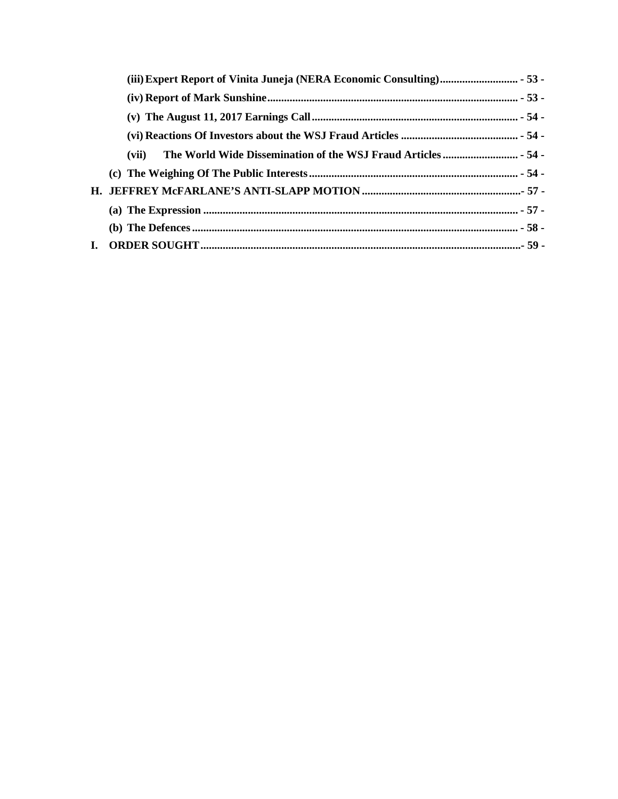| (vii) |  |
|-------|--|
|       |  |
|       |  |
|       |  |
|       |  |
|       |  |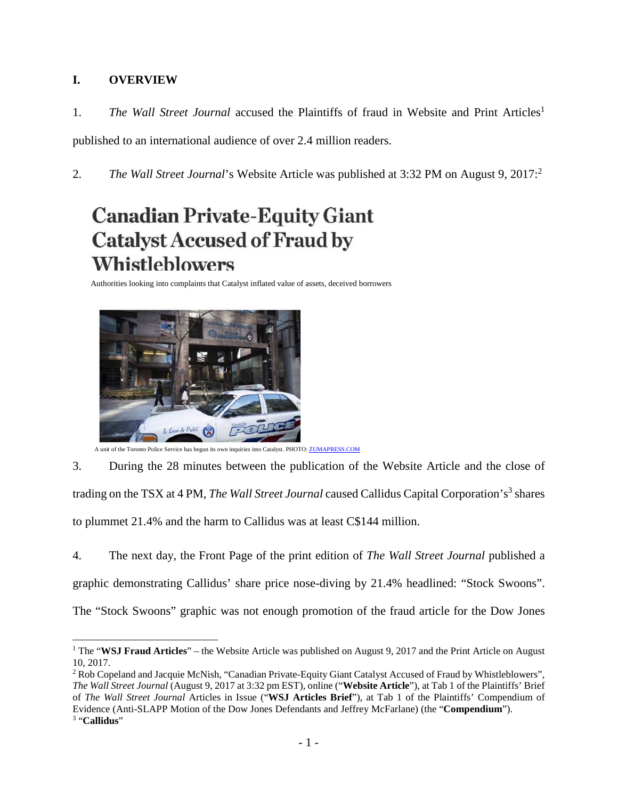## <span id="page-5-0"></span>**I. OVERVIEW**

- 1. *The Wall Street Journal* accused the Plaintiffs of fraud in Website and Print Articles<sup>1</sup> published to an international audience of over 2.4 million readers.
- 2. *The Wall Street Journal*'s Website Article was published at 3:32 PM on August 9, 2017:<sup>2</sup>

# **Canadian Private-Equity Giant Catalyst Accused of Fraud by Whistleblowers**

Authorities looking into complaints that Catalyst inflated value of assets, deceived borrowers



A unit of the Toronto Police Service has begun its own inquiries into Catalyst. PHOTO: ZUMAPRESS.COM

3. During the 28 minutes between the publication of the Website Article and the close of trading on the TSX at 4 PM, *The Wall Street Journal* caused Callidus Capital Corporation's<sup>3</sup> shares to plummet 21.4% and the harm to Callidus was at least C\$144 million.

4. The next day, the Front Page of the print edition of *The Wall Street Journal* published a graphic demonstrating Callidus' share price nose-diving by 21.4% headlined: "Stock Swoons". The "Stock Swoons" graphic was not enough promotion of the fraud article for the Dow Jones

<sup>&</sup>lt;sup>1</sup> The "WSJ Fraud Articles" – the Website Article was published on August 9, 2017 and the Print Article on August 10, 2017.

<sup>&</sup>lt;sup>2</sup> Rob Copeland and Jacquie McNish, "Canadian Private-Equity Giant Catalyst Accused of Fraud by Whistleblowers", *The Wall Street Journal* (August 9, 2017 at 3:32 pm EST), online ("**Website Article**"), at Tab 1 of the Plaintiffs' Brief of *The Wall Street Journal* Articles in Issue ("**WSJ Articles Brief**"), at Tab 1 of the Plaintiffs' Compendium of Evidence (Anti-SLAPP Motion of the Dow Jones Defendants and Jeffrey McFarlane) (the "**Compendium**"). 3 "**Callidus**"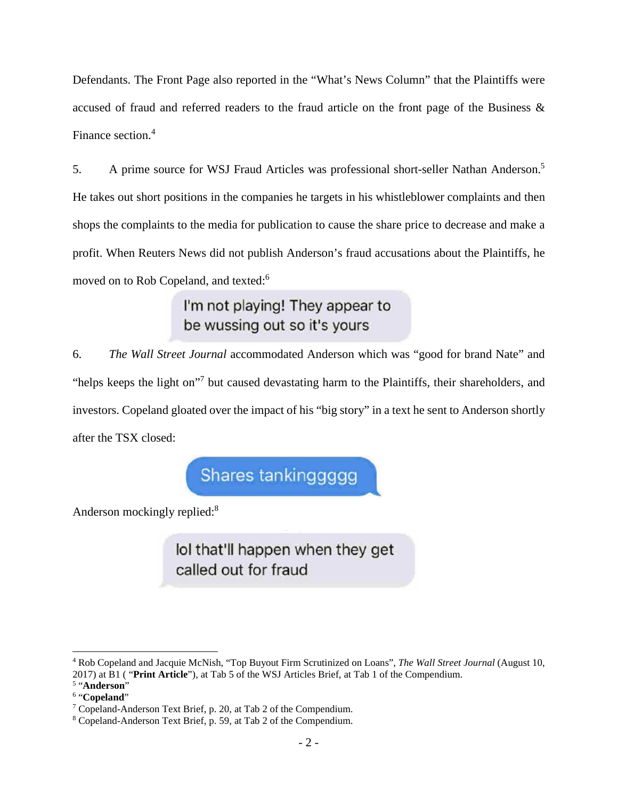Defendants. The Front Page also reported in the "What's News Column" that the Plaintiffs were accused of fraud and referred readers to the fraud article on the front page of the Business & Finance section.<sup>4</sup>

5. A prime source for WSJ Fraud Articles was professional short-seller Nathan Anderson.<sup>5</sup> He takes out short positions in the companies he targets in his whistleblower complaints and then shops the complaints to the media for publication to cause the share price to decrease and make a profit. When Reuters News did not publish Anderson's fraud accusations about the Plaintiffs, he moved on to Rob Copeland, and texted:<sup>6</sup>

## I'm not playing! They appear to be wussing out so it's yours

6. *The Wall Street Journal* accommodated Anderson which was "good for brand Nate" and "helps keeps the light on"<sup>7</sup> but caused devastating harm to the Plaintiffs, their shareholders, and investors. Copeland gloated over the impact of his "big story" in a text he sent to Anderson shortly after the TSX closed:

# Shares tankinggggg

Anderson mockingly replied:<sup>8</sup>

lol that'll happen when they get called out for fraud

<sup>4</sup> Rob Copeland and Jacquie McNish, "Top Buyout Firm Scrutinized on Loans", *The Wall Street Journal* (August 10, 2017) at B1 ( "**Print Article**"), at Tab 5 of the WSJ Articles Brief, at Tab 1 of the Compendium.

<sup>5</sup> "**Anderson**"

<sup>6</sup> "**Copeland**"

<sup>7</sup> Copeland-Anderson Text Brief, p. 20, at Tab 2 of the Compendium.

<sup>8</sup> Copeland-Anderson Text Brief, p. 59, at Tab 2 of the Compendium.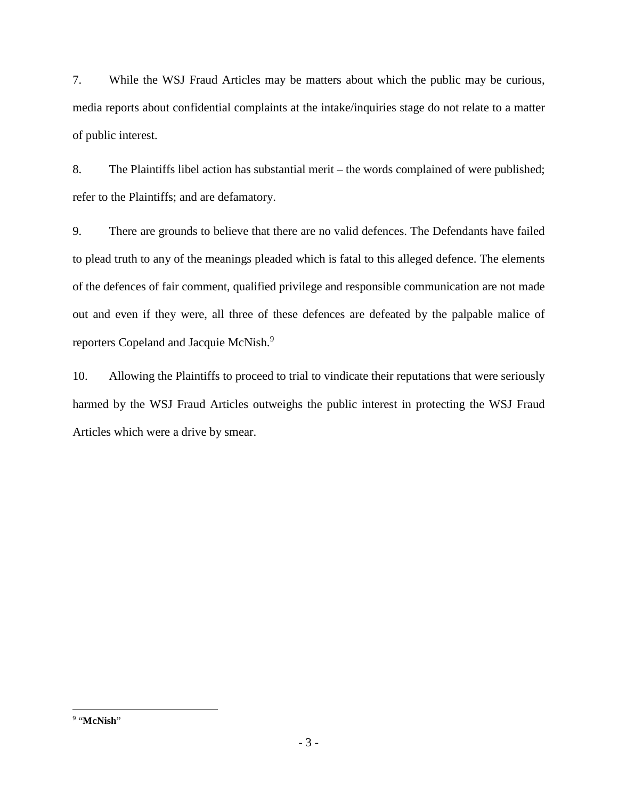7. While the WSJ Fraud Articles may be matters about which the public may be curious, media reports about confidential complaints at the intake/inquiries stage do not relate to a matter of public interest.

8. The Plaintiffs libel action has substantial merit – the words complained of were published; refer to the Plaintiffs; and are defamatory.

9. There are grounds to believe that there are no valid defences. The Defendants have failed to plead truth to any of the meanings pleaded which is fatal to this alleged defence. The elements of the defences of fair comment, qualified privilege and responsible communication are not made out and even if they were, all three of these defences are defeated by the palpable malice of reporters Copeland and Jacquie McNish.<sup>9</sup>

10. Allowing the Plaintiffs to proceed to trial to vindicate their reputations that were seriously harmed by the WSJ Fraud Articles outweighs the public interest in protecting the WSJ Fraud Articles which were a drive by smear.

 9 "**McNish**"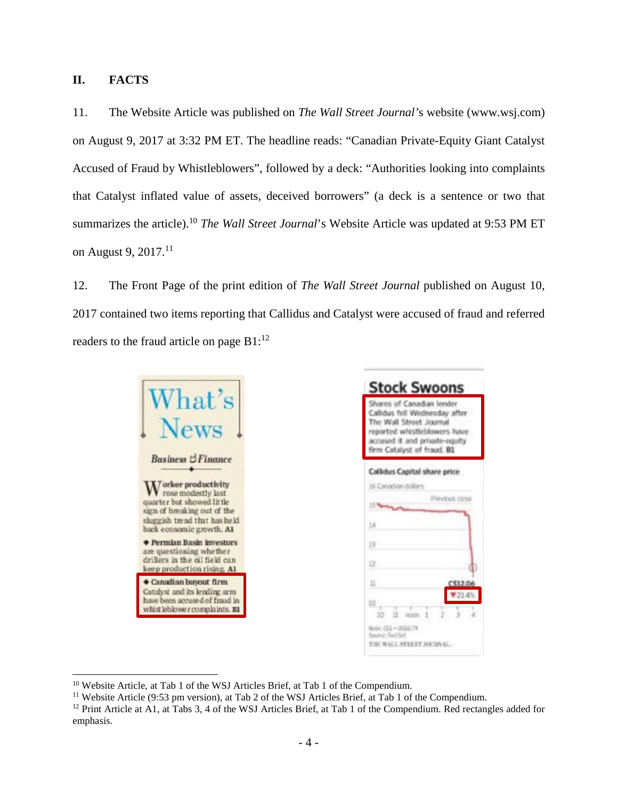#### <span id="page-8-0"></span>**II. FACTS**

11. The Website Article was published on *The Wall Street Journal'*s website (www.wsj.com) on August 9, 2017 at 3:32 PM ET. The headline reads: "Canadian Private-Equity Giant Catalyst Accused of Fraud by Whistleblowers", followed by a deck: "Authorities looking into complaints that Catalyst inflated value of assets, deceived borrowers" (a deck is a sentence or two that summarizes the article).<sup>10</sup> *The Wall Street Journal*'s Website Article was updated at 9:53 PM ET on August 9, 2017.<sup>11</sup>

12. The Front Page of the print edition of *The Wall Street Journal* published on August 10, 2017 contained two items reporting that Callidus and Catalyst were accused of fraud and referred readers to the fraud article on page  $B1$ :<sup>12</sup>





<sup>&</sup>lt;sup>10</sup> Website Article, at Tab 1 of the WSJ Articles Brief, at Tab 1 of the Compendium.

<sup>&</sup>lt;sup>11</sup> Website Article (9:53 pm version), at Tab 2 of the WSJ Articles Brief, at Tab 1 of the Compendium.

 $12$  Print Article at A1, at Tabs 3, 4 of the WSJ Articles Brief, at Tab 1 of the Compendium. Red rectangles added for emphasis.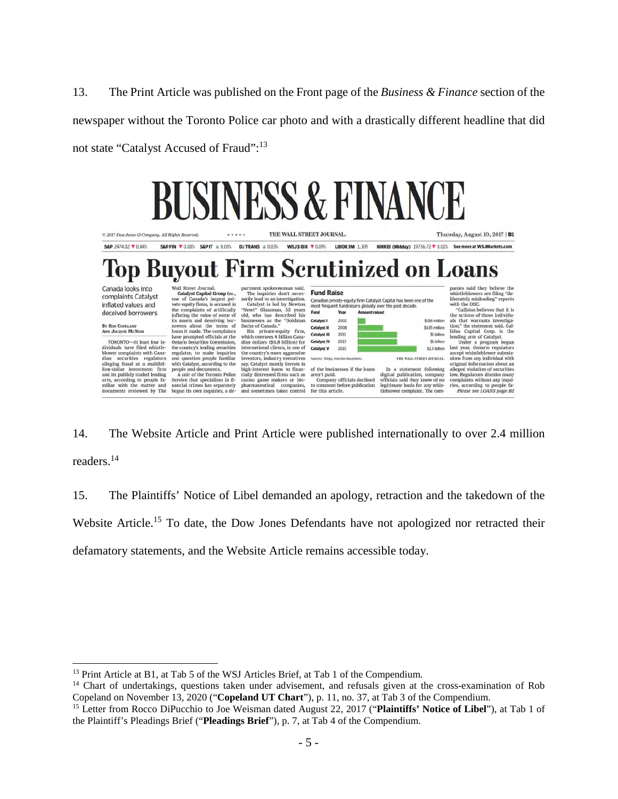13. The Print Article was published on the Front page of the *Business & Finance* section of the newspaper without the Toronto Police car photo and with a drastically different headline that did not state "Catalyst Accused of Fraud":<sup>13</sup>



14. The Website Article and Print Article were published internationally to over 2.4 million readers.<sup>14</sup>

15. The Plaintiffs' Notice of Libel demanded an apology, retraction and the takedown of the Website Article.<sup>15</sup> To date, the Dow Jones Defendants have not apologized nor retracted their defamatory statements, and the Website Article remains accessible today.

<sup>&</sup>lt;sup>13</sup> Print Article at B1, at Tab 5 of the WSJ Articles Brief, at Tab 1 of the Compendium.

<sup>&</sup>lt;sup>14</sup> Chart of undertakings, questions taken under advisement, and refusals given at the cross-examination of Rob Copeland on November 13, 2020 ("**Copeland UT Chart**"), p. 11, no. 37, at Tab 3 of the Compendium.

<sup>15</sup> Letter from Rocco DiPucchio to Joe Weisman dated August 22, 2017 ("**Plaintiffs' Notice of Libel**"), at Tab 1 of the Plaintiff's Pleadings Brief ("**Pleadings Brief**"), p. 7, at Tab 4 of the Compendium.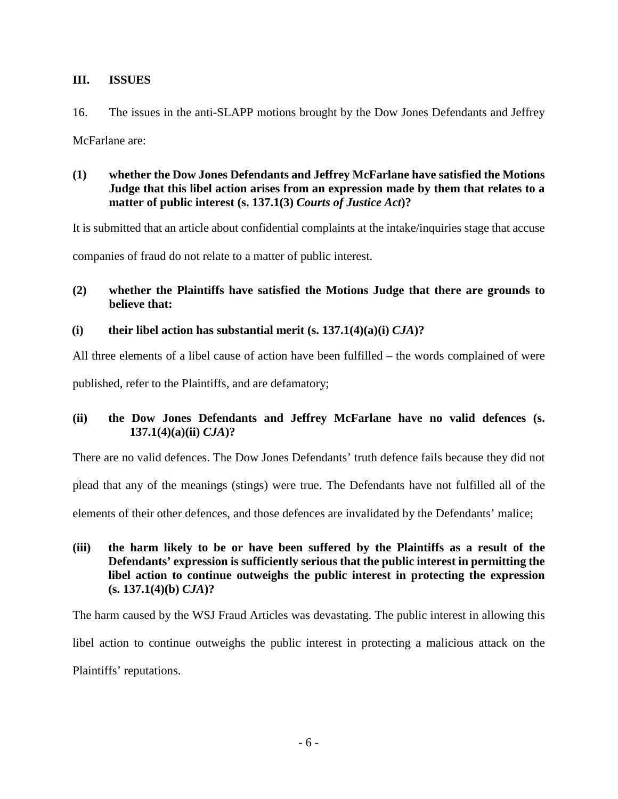## <span id="page-10-0"></span>**III. ISSUES**

16. The issues in the anti-SLAPP motions brought by the Dow Jones Defendants and Jeffrey McFarlane are:

## **(1) whether the Dow Jones Defendants and Jeffrey McFarlane have satisfied the Motions Judge that this libel action arises from an expression made by them that relates to a matter of public interest (s. 137.1(3)** *Courts of Justice Act***)?**

It is submitted that an article about confidential complaints at the intake/inquiries stage that accuse

companies of fraud do not relate to a matter of public interest.

## **(2) whether the Plaintiffs have satisfied the Motions Judge that there are grounds to believe that:**

#### $(i)$  **their libel action has substantial merit (s. 137.1(4)(a)(i)**  $CJA$ **)?**

All three elements of a libel cause of action have been fulfilled – the words complained of were

published, refer to the Plaintiffs, and are defamatory;

## **(ii) the Dow Jones Defendants and Jeffrey McFarlane have no valid defences (s. 137.1(4)(a)(ii)** *CJA***)?**

There are no valid defences. The Dow Jones Defendants' truth defence fails because they did not

plead that any of the meanings (stings) were true. The Defendants have not fulfilled all of the

elements of their other defences, and those defences are invalidated by the Defendants' malice;

**(iii) the harm likely to be or have been suffered by the Plaintiffs as a result of the Defendants' expression is sufficiently serious that the public interest in permitting the libel action to continue outweighs the public interest in protecting the expression (s. 137.1(4)(b)** *CJA***)?** 

The harm caused by the WSJ Fraud Articles was devastating. The public interest in allowing this libel action to continue outweighs the public interest in protecting a malicious attack on the Plaintiffs' reputations.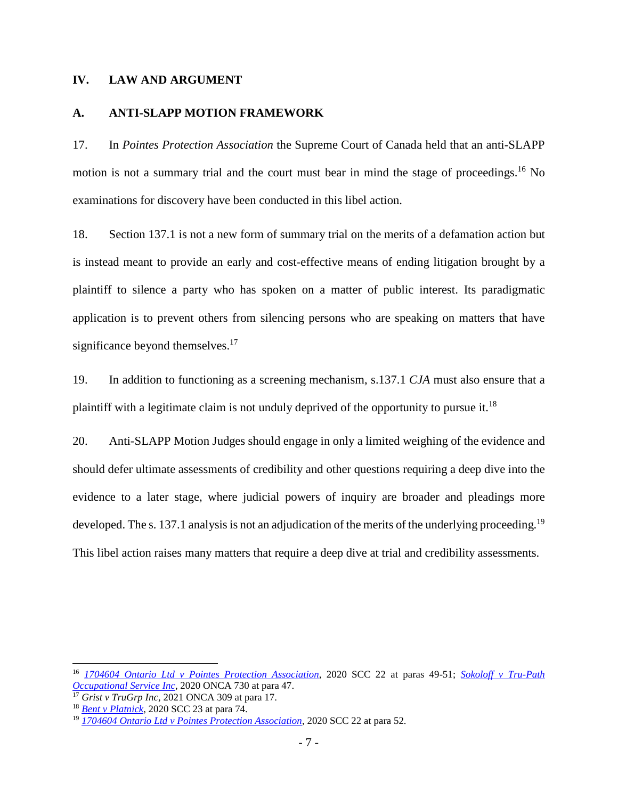#### <span id="page-11-0"></span>**IV. LAW AND ARGUMENT**

### <span id="page-11-1"></span>**A. ANTI-SLAPP MOTION FRAMEWORK**

17. In *Pointes Protection Association* the Supreme Court of Canada held that an anti-SLAPP motion is not a summary trial and the court must bear in mind the stage of proceedings.<sup>16</sup> No examinations for discovery have been conducted in this libel action.

18. Section 137.1 is not a new form of summary trial on the merits of a defamation action but is instead meant to provide an early and cost-effective means of ending litigation brought by a plaintiff to silence a party who has spoken on a matter of public interest. Its paradigmatic application is to prevent others from silencing persons who are speaking on matters that have significance beyond themselves.<sup>17</sup>

19. In addition to functioning as a screening mechanism, s.137.1 *CJA* must also ensure that a plaintiff with a legitimate claim is not unduly deprived of the opportunity to pursue it.<sup>18</sup>

20. Anti-SLAPP Motion Judges should engage in only a limited weighing of the evidence and should defer ultimate assessments of credibility and other questions requiring a deep dive into the evidence to a later stage, where judicial powers of inquiry are broader and pleadings more developed. The s. 137.1 analysis is not an adjudication of the merits of the underlying proceeding.<sup>19</sup> This libel action raises many matters that require a deep dive at trial and credibility assessments.

<sup>16</sup> *[1704604 Ontario Ltd v Pointes Protection Association](https://www.canlii.org/en/ca/scc/doc/2020/2020scc22/2020scc22.html?#par49)*, 2020 SCC 22 at paras 49-51; *[Sokoloff v Tru-Path](https://www.canlii.org/en/on/onca/doc/2020/2020onca730/2020onca730.html?#par47)  [Occupational Service Inc](https://www.canlii.org/en/on/onca/doc/2020/2020onca730/2020onca730.html?#par47)*, 2020 ONCA 730 at para 47.

<sup>17</sup> *Grist v TruGrp Inc*, 2021 ONCA 309 at para 17.

<sup>18</sup> *[Bent v Platnick](https://www.canlii.org/en/ca/scc/doc/2020/2020scc23/2020scc23.html?#par74)*, 2020 SCC 23 at para 74.

<sup>19</sup> *[1704604 Ontario Ltd v Pointes Protection Association](https://www.canlii.org/en/ca/scc/doc/2020/2020scc22/2020scc22.html?#par52)*, 2020 SCC 22 at para 52.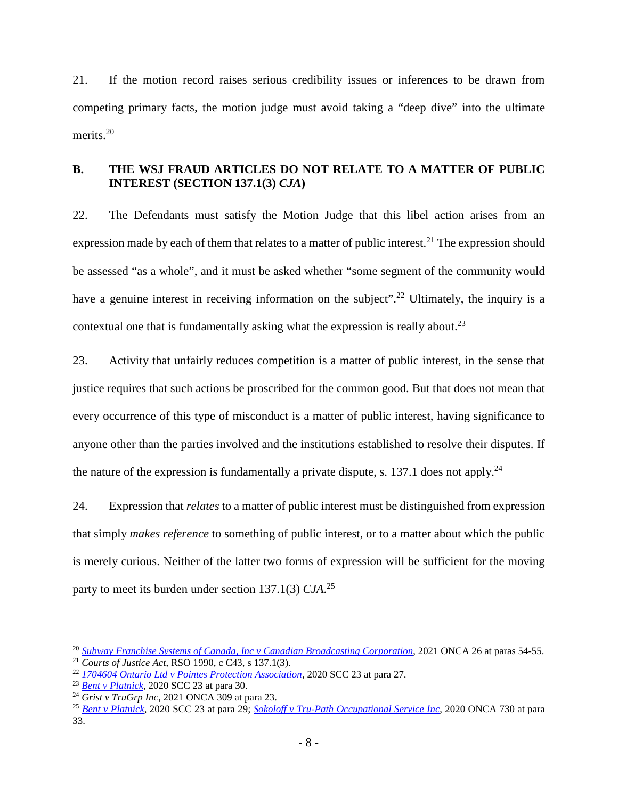21. If the motion record raises serious credibility issues or inferences to be drawn from competing primary facts, the motion judge must avoid taking a "deep dive" into the ultimate merits.<sup>20</sup>

## <span id="page-12-0"></span>**B. THE WSJ FRAUD ARTICLES DO NOT RELATE TO A MATTER OF PUBLIC INTEREST (SECTION 137.1(3)** *CJA***)**

22. The Defendants must satisfy the Motion Judge that this libel action arises from an expression made by each of them that relates to a matter of public interest.<sup>21</sup> The expression should be assessed "as a whole", and it must be asked whether "some segment of the community would have a genuine interest in receiving information on the subject".<sup>22</sup> Ultimately, the inquiry is a contextual one that is fundamentally asking what the expression is really about.<sup>23</sup>

23. Activity that unfairly reduces competition is a matter of public interest, in the sense that justice requires that such actions be proscribed for the common good. But that does not mean that every occurrence of this type of misconduct is a matter of public interest, having significance to anyone other than the parties involved and the institutions established to resolve their disputes. If the nature of the expression is fundamentally a private dispute, s. 137.1 does not apply.<sup>24</sup>

24. Expression that *relates* to a matter of public interest must be distinguished from expression that simply *makes reference* to something of public interest, or to a matter about which the public is merely curious. Neither of the latter two forms of expression will be sufficient for the moving party to meet its burden under section 137.1(3) *CJA*. 25

<sup>&</sup>lt;sup>20</sup> *[Subway Franchise Systems of Canada, Inc v Canadian Broadcasting Corporation](https://www.canlii.org/en/on/onca/doc/2021/2021onca26/2021onca26.html?#par54)*, 2021 ONCA 26 at paras 54-55.

<sup>21</sup> *Courts of Justice Act*, RSO 1990, c C43, s 137.1(3).

<sup>22</sup> *[1704604 Ontario Ltd v Pointes Protection Association](https://www.canlii.org/en/ca/scc/doc/2020/2020scc22/2020scc22.html?#par27)*, 2020 SCC 23 at para 27.

<sup>23</sup> *[Bent v Platnick](https://www.canlii.org/en/ca/scc/doc/2020/2020scc23/2020scc23.html?#par30)*, 2020 SCC 23 at para 30.

<sup>24</sup> *Grist v TruGrp Inc*, 2021 ONCA 309 at para 23.

<sup>25</sup> *[Bent v Platnick](https://www.canlii.org/en/ca/scc/doc/2020/2020scc23/2020scc23.html?#par29)*, 2020 SCC 23 at para 29; *[Sokoloff v Tru-Path Occupational Service Inc](https://www.canlii.org/en/on/onca/doc/2020/2020onca730/2020onca730.html?#par33)*, 2020 ONCA 730 at para 33.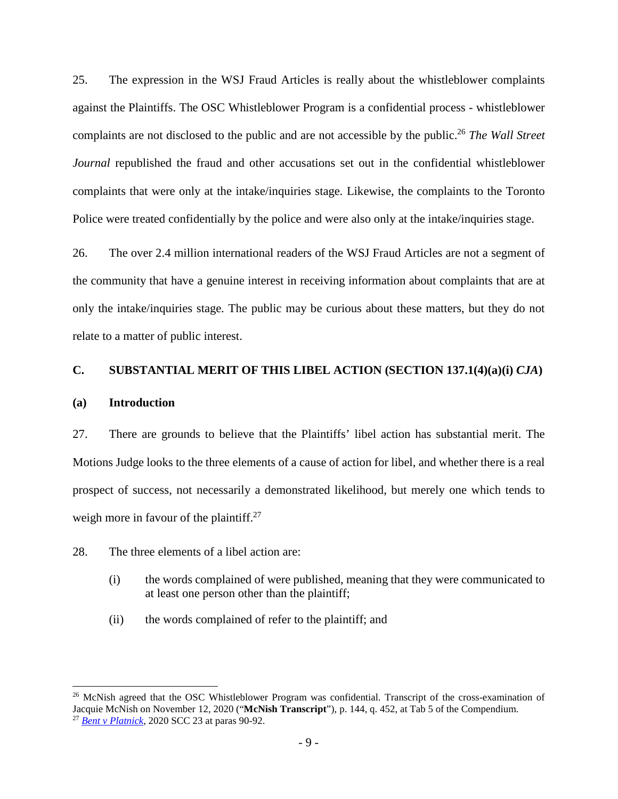25. The expression in the WSJ Fraud Articles is really about the whistleblower complaints against the Plaintiffs. The OSC Whistleblower Program is a confidential process - whistleblower complaints are not disclosed to the public and are not accessible by the public.<sup>26</sup> *The Wall Street Journal* republished the fraud and other accusations set out in the confidential whistleblower complaints that were only at the intake/inquiries stage. Likewise, the complaints to the Toronto Police were treated confidentially by the police and were also only at the intake/inquiries stage.

26. The over 2.4 million international readers of the WSJ Fraud Articles are not a segment of the community that have a genuine interest in receiving information about complaints that are at only the intake/inquiries stage. The public may be curious about these matters, but they do not relate to a matter of public interest.

#### <span id="page-13-0"></span>**C. SUBSTANTIAL MERIT OF THIS LIBEL ACTION (SECTION 137.1(4)(a)(i)** *CJA***)**

#### <span id="page-13-1"></span>**(a) Introduction**

 $\overline{a}$ 

27. There are grounds to believe that the Plaintiffs' libel action has substantial merit. The Motions Judge looks to the three elements of a cause of action for libel, and whether there is a real prospect of success, not necessarily a demonstrated likelihood, but merely one which tends to weigh more in favour of the plaintiff. $27$ 

- 28. The three elements of a libel action are:
	- (i) the words complained of were published, meaning that they were communicated to at least one person other than the plaintiff;
	- (ii) the words complained of refer to the plaintiff; and

<sup>&</sup>lt;sup>26</sup> McNish agreed that the OSC Whistleblower Program was confidential. Transcript of the cross-examination of Jacquie McNish on November 12, 2020 ("**McNish Transcript**"), p. 144, q. 452, at Tab 5 of the Compendium. <sup>27</sup> *[Bent v Platnick](https://www.canlii.org/en/ca/scc/doc/2020/2020scc23/2020scc23.html?#par90)*, 2020 SCC 23 at paras 90-92.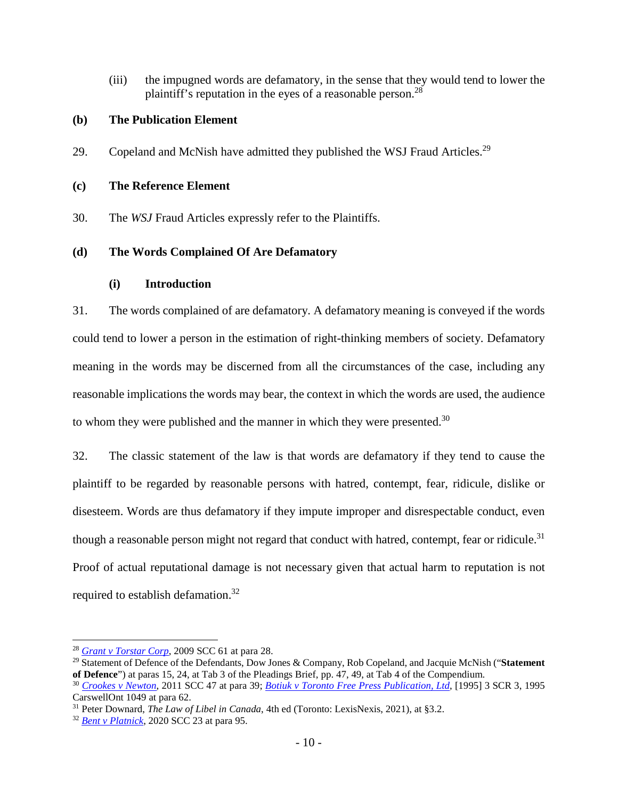(iii) the impugned words are defamatory, in the sense that they would tend to lower the plaintiff's reputation in the eyes of a reasonable person.<sup>28</sup>

## <span id="page-14-0"></span>**(b) The Publication Element**

29. Copeland and McNish have admitted they published the WSJ Fraud Articles.<sup>29</sup>

## <span id="page-14-1"></span>**(c) The Reference Element**

30. The *WSJ* Fraud Articles expressly refer to the Plaintiffs.

## <span id="page-14-2"></span>**(d) The Words Complained Of Are Defamatory**

## **(i) Introduction**

<span id="page-14-3"></span>31. The words complained of are defamatory. A defamatory meaning is conveyed if the words could tend to lower a person in the estimation of right-thinking members of society. Defamatory meaning in the words may be discerned from all the circumstances of the case, including any reasonable implications the words may bear, the context in which the words are used, the audience to whom they were published and the manner in which they were presented.<sup>30</sup>

32. The classic statement of the law is that words are defamatory if they tend to cause the plaintiff to be regarded by reasonable persons with hatred, contempt, fear, ridicule, dislike or disesteem. Words are thus defamatory if they impute improper and disrespectable conduct, even though a reasonable person might not regard that conduct with hatred, contempt, fear or ridicule.<sup>31</sup> Proof of actual reputational damage is not necessary given that actual harm to reputation is not required to establish defamation.<sup>32</sup>

<sup>28</sup> *[Grant v Torstar Corp](https://www.canlii.org/en/ca/scc/doc/2009/2009scc61/2009scc61.html?#par28)*, 2009 SCC 61 at para 28.

<sup>29</sup> Statement of Defence of the Defendants, Dow Jones & Company, Rob Copeland, and Jacquie McNish ("**Statement of Defence**") at paras 15, 24, at Tab 3 of the Pleadings Brief, pp. 47, 49, at Tab 4 of the Compendium.

<sup>30</sup> *[Crookes v Newton](https://www.canlii.org/en/ca/scc/doc/2011/2011scc47/2011scc47.html?#par39)*, 2011 SCC 47 at para 39; *[Botiuk v Toronto Free Press Publication, Ltd](https://www.canlii.org/en/ca/scc/doc/1995/1995canlii60/1995canlii60.html?#par62)*, [1995] 3 SCR 3, 1995 CarswellOnt 1049 at para 62.

<sup>31</sup> Peter Downard, *The Law of Libel in Canada*, 4th ed (Toronto: LexisNexis, 2021), at §3.2.

<sup>32</sup> *[Bent v Platnick](https://www.canlii.org/en/ca/scc/doc/2020/2020scc23/2020scc23.html?#par95)*, 2020 SCC 23 at para 95.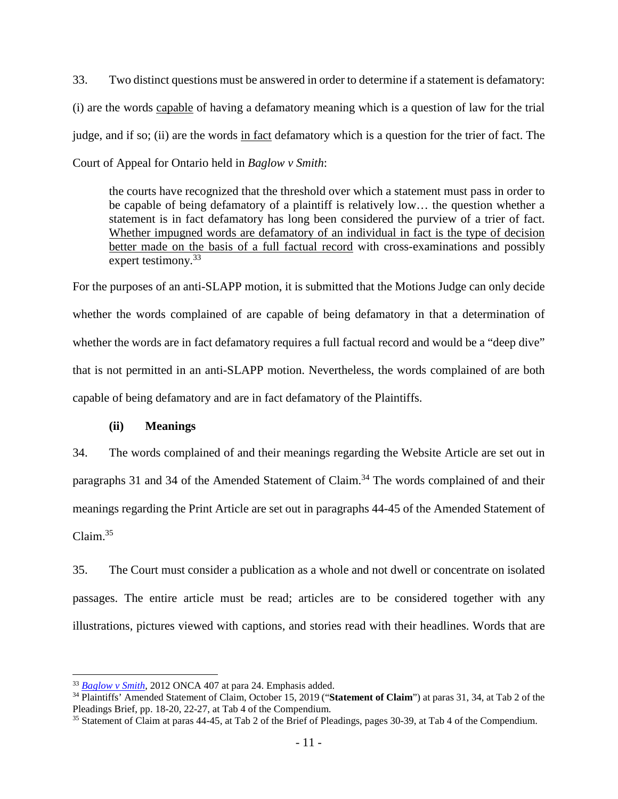33. Two distinct questions must be answered in order to determine if a statement is defamatory: (i) are the words capable of having a defamatory meaning which is a question of law for the trial judge, and if so; (ii) are the words in fact defamatory which is a question for the trier of fact. The Court of Appeal for Ontario held in *Baglow v Smith*:

the courts have recognized that the threshold over which a statement must pass in order to be capable of being defamatory of a plaintiff is relatively low… the question whether a statement is in fact defamatory has long been considered the purview of a trier of fact. Whether impugned words are defamatory of an individual in fact is the type of decision better made on the basis of a full factual record with cross-examinations and possibly expert testimony.<sup>33</sup>

For the purposes of an anti-SLAPP motion, it is submitted that the Motions Judge can only decide whether the words complained of are capable of being defamatory in that a determination of whether the words are in fact defamatory requires a full factual record and would be a "deep dive" that is not permitted in an anti-SLAPP motion. Nevertheless, the words complained of are both capable of being defamatory and are in fact defamatory of the Plaintiffs.

#### **(ii) Meanings**

 $\overline{a}$ 

<span id="page-15-0"></span>34. The words complained of and their meanings regarding the Website Article are set out in paragraphs 31 and 34 of the Amended Statement of Claim.<sup>34</sup> The words complained of and their meanings regarding the Print Article are set out in paragraphs 44-45 of the Amended Statement of Claim. $35$ 

35. The Court must consider a publication as a whole and not dwell or concentrate on isolated passages. The entire article must be read; articles are to be considered together with any illustrations, pictures viewed with captions, and stories read with their headlines. Words that are

<sup>33</sup> *[Baglow v Smith](https://www.canlii.org/en/on/onca/doc/2012/2012onca407/2012onca407.html?#par24)*, 2012 ONCA 407 at para 24. Emphasis added.

<sup>34</sup> Plaintiffs' Amended Statement of Claim, October 15, 2019 ("**Statement of Claim**") at paras 31, 34, at Tab 2 of the Pleadings Brief, pp. 18-20, 22-27, at Tab 4 of the Compendium.

<sup>35</sup> Statement of Claim at paras 44-45, at Tab 2 of the Brief of Pleadings, pages 30-39, at Tab 4 of the Compendium.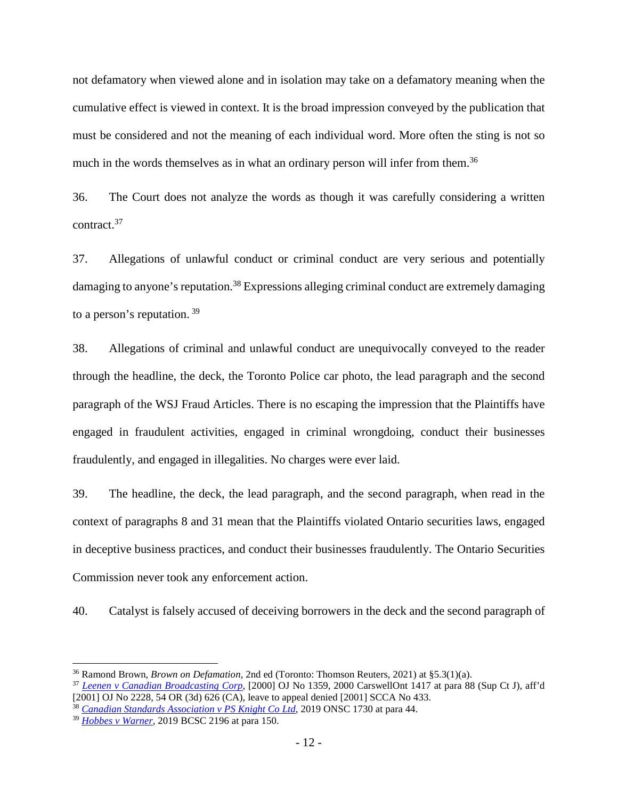not defamatory when viewed alone and in isolation may take on a defamatory meaning when the cumulative effect is viewed in context. It is the broad impression conveyed by the publication that must be considered and not the meaning of each individual word. More often the sting is not so much in the words themselves as in what an ordinary person will infer from them.<sup>36</sup>

36. The Court does not analyze the words as though it was carefully considering a written contract.<sup>37</sup>

37. Allegations of unlawful conduct or criminal conduct are very serious and potentially damaging to anyone's reputation.<sup>38</sup> Expressions alleging criminal conduct are extremely damaging to a person's reputation.<sup>39</sup>

38. Allegations of criminal and unlawful conduct are unequivocally conveyed to the reader through the headline, the deck, the Toronto Police car photo, the lead paragraph and the second paragraph of the WSJ Fraud Articles. There is no escaping the impression that the Plaintiffs have engaged in fraudulent activities, engaged in criminal wrongdoing, conduct their businesses fraudulently, and engaged in illegalities. No charges were ever laid.

39. The headline, the deck, the lead paragraph, and the second paragraph, when read in the context of paragraphs 8 and 31 mean that the Plaintiffs violated Ontario securities laws, engaged in deceptive business practices, and conduct their businesses fraudulently. The Ontario Securities Commission never took any enforcement action.

40. Catalyst is falsely accused of deceiving borrowers in the deck and the second paragraph of

<sup>36</sup> Ramond Brown, *Brown on Defamation*, 2nd ed (Toronto: Thomson Reuters, 2021) at §5.3(1)(a).

<sup>37</sup> *[Leenen v Canadian Broadcasting Corp](https://www.canlii.org/en/on/onsc/doc/2000/2000canlii22380/2000canlii22380.html?#par88)*, [2000] OJ No 1359, 2000 CarswellOnt 1417 at para 88 (Sup Ct J), aff'd [2001] OJ No 2228, 54 OR (3d) 626 (CA), leave to appeal denied [2001] SCCA No 433.

<sup>38</sup> *[Canadian Standards Association v PS Knight Co Ltd](https://www.canlii.org/en/on/onsc/doc/2019/2019onsc1730/2019onsc1730.html?#par44)*, 2019 ONSC 1730 at para 44.

<sup>39</sup> *[Hobbes v Warner](https://www.canlii.org/en/bc/bcsc/doc/2019/2019bcsc2196/2019bcsc2196.html?#par150)*, 2019 BCSC 2196 at para 150.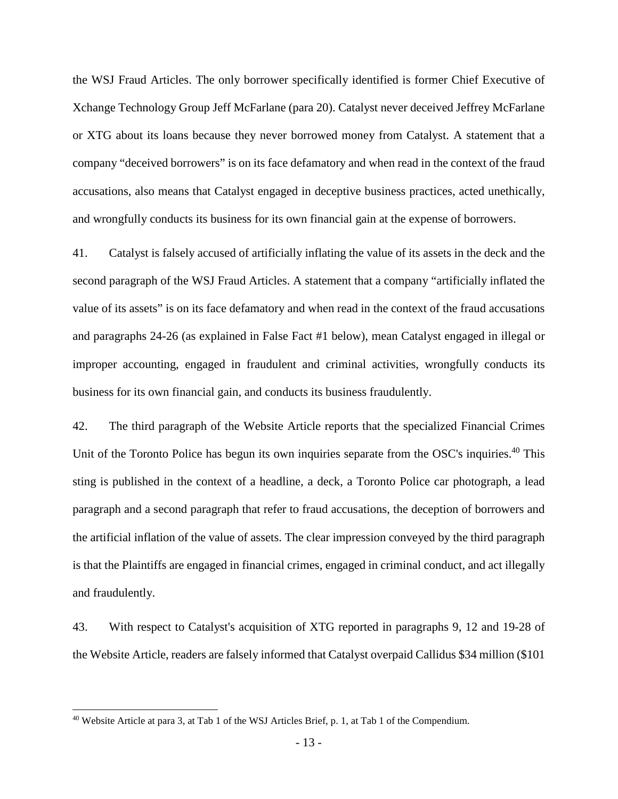the WSJ Fraud Articles. The only borrower specifically identified is former Chief Executive of Xchange Technology Group Jeff McFarlane (para 20). Catalyst never deceived Jeffrey McFarlane or XTG about its loans because they never borrowed money from Catalyst. A statement that a company "deceived borrowers" is on its face defamatory and when read in the context of the fraud accusations, also means that Catalyst engaged in deceptive business practices, acted unethically, and wrongfully conducts its business for its own financial gain at the expense of borrowers.

41. Catalyst is falsely accused of artificially inflating the value of its assets in the deck and the second paragraph of the WSJ Fraud Articles. A statement that a company "artificially inflated the value of its assets" is on its face defamatory and when read in the context of the fraud accusations and paragraphs 24-26 (as explained in False Fact #1 below), mean Catalyst engaged in illegal or improper accounting, engaged in fraudulent and criminal activities, wrongfully conducts its business for its own financial gain, and conducts its business fraudulently.

42. The third paragraph of the Website Article reports that the specialized Financial Crimes Unit of the Toronto Police has begun its own inquiries separate from the OSC's inquiries.<sup>40</sup> This sting is published in the context of a headline, a deck, a Toronto Police car photograph, a lead paragraph and a second paragraph that refer to fraud accusations, the deception of borrowers and the artificial inflation of the value of assets. The clear impression conveyed by the third paragraph is that the Plaintiffs are engaged in financial crimes, engaged in criminal conduct, and act illegally and fraudulently.

43. With respect to Catalyst's acquisition of XTG reported in paragraphs 9, 12 and 19-28 of the Website Article, readers are falsely informed that Catalyst overpaid Callidus \$34 million (\$101

<sup>&</sup>lt;sup>40</sup> Website Article at para 3, at Tab 1 of the WSJ Articles Brief, p. 1, at Tab 1 of the Compendium.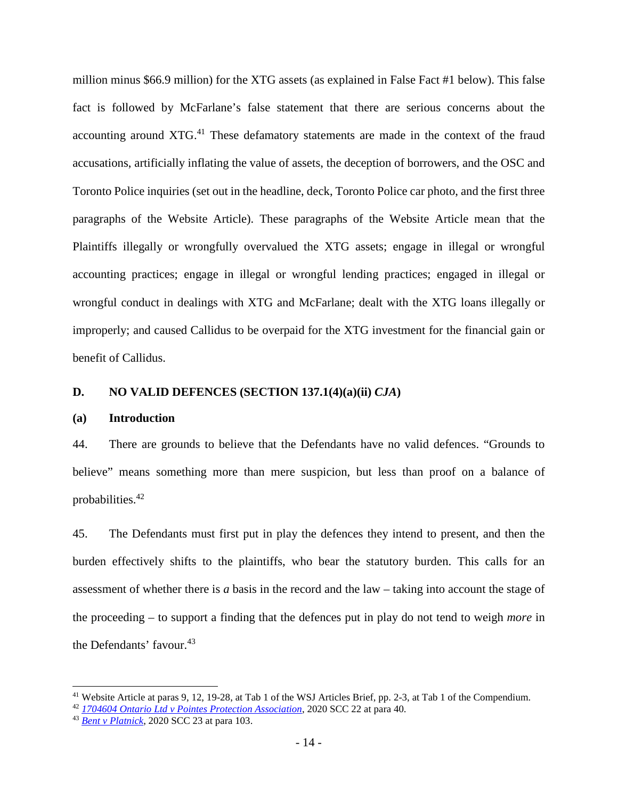million minus \$66.9 million) for the XTG assets (as explained in False Fact #1 below). This false fact is followed by McFarlane's false statement that there are serious concerns about the accounting around XTG.<sup>41</sup> These defamatory statements are made in the context of the fraud accusations, artificially inflating the value of assets, the deception of borrowers, and the OSC and Toronto Police inquiries (set out in the headline, deck, Toronto Police car photo, and the first three paragraphs of the Website Article). These paragraphs of the Website Article mean that the Plaintiffs illegally or wrongfully overvalued the XTG assets; engage in illegal or wrongful accounting practices; engage in illegal or wrongful lending practices; engaged in illegal or wrongful conduct in dealings with XTG and McFarlane; dealt with the XTG loans illegally or improperly; and caused Callidus to be overpaid for the XTG investment for the financial gain or benefit of Callidus.

#### <span id="page-18-0"></span>**D. NO VALID DEFENCES (SECTION 137.1(4)(a)(ii)** *CJA***)**

#### <span id="page-18-1"></span>**(a) Introduction**

44. There are grounds to believe that the Defendants have no valid defences. "Grounds to believe" means something more than mere suspicion, but less than proof on a balance of probabilities.<sup>42</sup>

45. The Defendants must first put in play the defences they intend to present, and then the burden effectively shifts to the plaintiffs, who bear the statutory burden. This calls for an assessment of whether there is *a* basis in the record and the law – taking into account the stage of the proceeding – to support a finding that the defences put in play do not tend to weigh *more* in the Defendants' favour.<sup>43</sup>

<sup>41</sup> Website Article at paras 9, 12, 19-28, at Tab 1 of the WSJ Articles Brief, pp. 2-3, at Tab 1 of the Compendium. <sup>42</sup> *[1704604 Ontario Ltd v Pointes Protection Association](https://www.canlii.org/en/ca/scc/doc/2020/2020scc22/2020scc22.html?#par40)*, 2020 SCC 22 at para 40.

<sup>43</sup> *[Bent v Platnick](https://www.canlii.org/en/ca/scc/doc/2020/2020scc23/2020scc23.html?#par103)*, 2020 SCC 23 at para 103.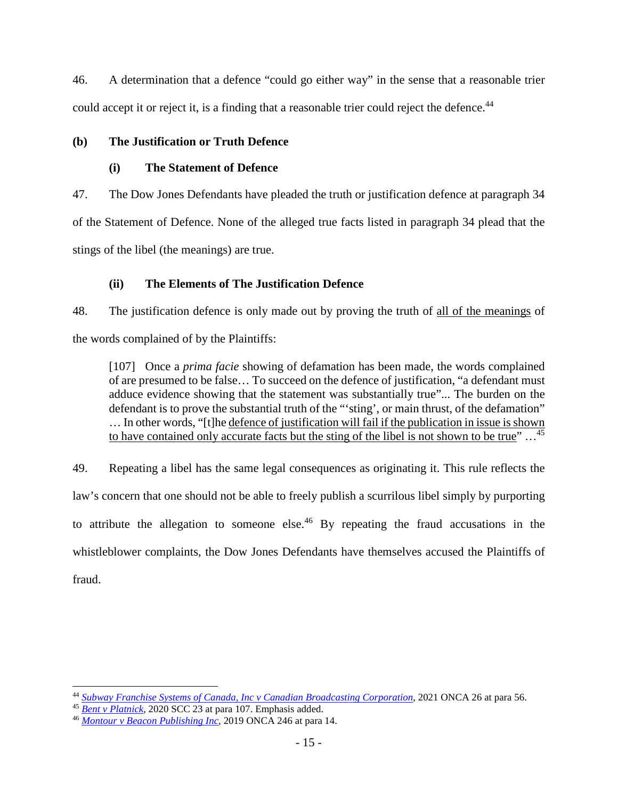46. A determination that a defence "could go either way" in the sense that a reasonable trier could accept it or reject it, is a finding that a reasonable trier could reject the defence.<sup>44</sup>

## <span id="page-19-1"></span><span id="page-19-0"></span>**(b) The Justification or Truth Defence**

## **(i) The Statement of Defence**

47. The Dow Jones Defendants have pleaded the truth or justification defence at paragraph 34 of the Statement of Defence. None of the alleged true facts listed in paragraph 34 plead that the stings of the libel (the meanings) are true.

## **(ii) The Elements of The Justification Defence**

<span id="page-19-2"></span>48. The justification defence is only made out by proving the truth of all of the meanings of the words complained of by the Plaintiffs:

[107] Once a *prima facie* showing of defamation has been made, the words complained of are presumed to be false… To succeed on the defence of justification, "a defendant must adduce evidence showing that the statement was substantially true"... The burden on the defendant is to prove the substantial truth of the "'sting', or main thrust, of the defamation" ... In other words, "[t]he defence of justification will fail if the publication in issue is shown to have contained only accurate facts but the sting of the libel is not shown to be true"  $\ldots$ <sup>45</sup>

49. Repeating a libel has the same legal consequences as originating it. This rule reflects the law's concern that one should not be able to freely publish a scurrilous libel simply by purporting to attribute the allegation to someone else.<sup>46</sup> By repeating the fraud accusations in the whistleblower complaints, the Dow Jones Defendants have themselves accused the Plaintiffs of fraud.

<sup>44</sup> *[Subway Franchise Systems of Canada, Inc v Canadian Broadcasting Corporation](https://www.canlii.org/en/on/onca/doc/2021/2021onca26/2021onca26.html?#par56)*, 2021 ONCA 26 at para 56.

<sup>45</sup> *[Bent v Platnick](https://www.canlii.org/en/ca/scc/doc/2020/2020scc23/2020scc23.html?#par107)*, 2020 SCC 23 at para 107. Emphasis added.

<sup>46</sup> *[Montour v Beacon Publishing Inc](https://www.canlii.org/en/on/onca/doc/2019/2019onca246/2019onca246.html?#par14)*, 2019 ONCA 246 at para 14.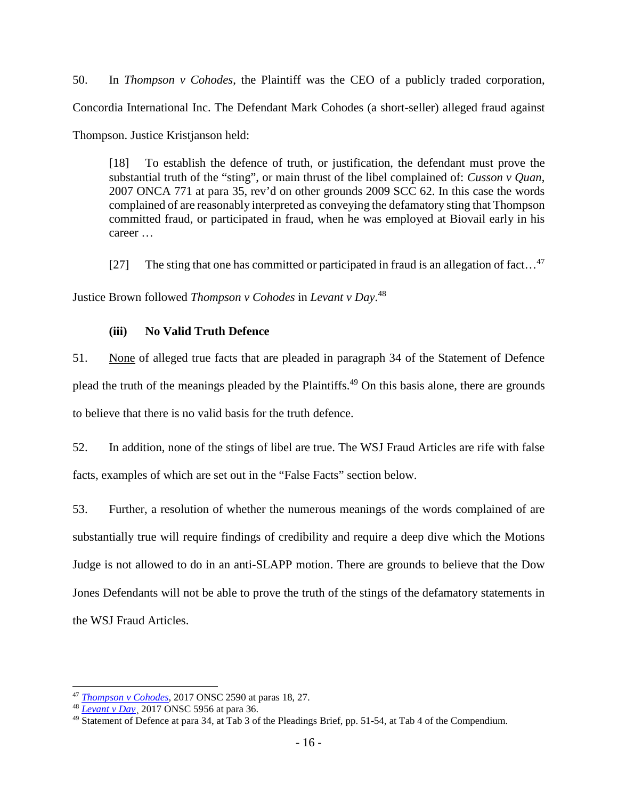50. In *Thompson v Cohodes*, the Plaintiff was the CEO of a publicly traded corporation, Concordia International Inc. The Defendant Mark Cohodes (a short-seller) alleged fraud against Thompson. Justice Kristjanson held:

[18] To establish the defence of truth, or justification, the defendant must prove the substantial truth of the "sting", or main thrust of the libel complained of: *Cusson v Quan*, 2007 ONCA 771 at para 35, rev'd on other grounds 2009 SCC 62. In this case the words complained of are reasonably interpreted as conveying the defamatory sting that Thompson committed fraud, or participated in fraud, when he was employed at Biovail early in his career …

[27] The sting that one has committed or participated in fraud is an allegation of fact...<sup>47</sup>

Justice Brown followed *Thompson v Cohodes* in *Levant v Day*. 48

## **(iii) No Valid Truth Defence**

<span id="page-20-0"></span>51. None of alleged true facts that are pleaded in paragraph 34 of the Statement of Defence plead the truth of the meanings pleaded by the Plaintiffs.<sup>49</sup> On this basis alone, there are grounds to believe that there is no valid basis for the truth defence.

52. In addition, none of the stings of libel are true. The WSJ Fraud Articles are rife with false facts, examples of which are set out in the "False Facts" section below.

53. Further, a resolution of whether the numerous meanings of the words complained of are substantially true will require findings of credibility and require a deep dive which the Motions Judge is not allowed to do in an anti-SLAPP motion. There are grounds to believe that the Dow Jones Defendants will not be able to prove the truth of the stings of the defamatory statements in the WSJ Fraud Articles.

<sup>47</sup> *[Thompson v Cohodes](https://www.canlii.org/en/on/onsc/doc/2017/2017onsc2590/2017onsc2590.html?#par18)*, 2017 ONSC 2590 at paras 18, 27.

<sup>48</sup> *[Levant v Day](https://www.canlii.org/en/on/onsc/doc/2017/2017onsc5956/2017onsc5956.html?#par36)*¸ 2017 ONSC 5956 at para 36.

<sup>&</sup>lt;sup>49</sup> Statement of Defence at para 34, at Tab 3 of the Pleadings Brief, pp. 51-54, at Tab 4 of the Compendium.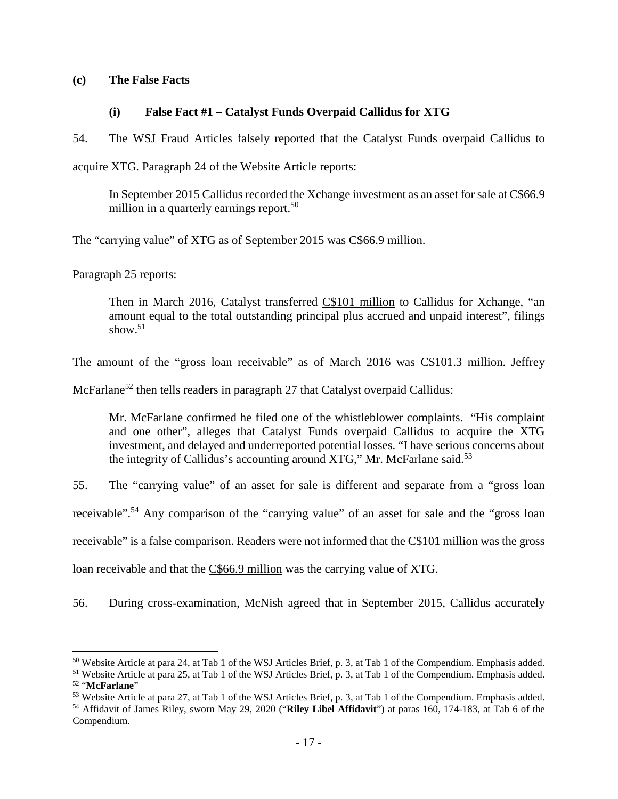## <span id="page-21-0"></span>**(c) The False Facts**

## **(i) False Fact #1 – Catalyst Funds Overpaid Callidus for XTG**

<span id="page-21-1"></span>54. The WSJ Fraud Articles falsely reported that the Catalyst Funds overpaid Callidus to

acquire XTG. Paragraph 24 of the Website Article reports:

In September 2015 Callidus recorded the Xchange investment as an asset for sale at C\$66.9 million in a quarterly earnings report.<sup>50</sup>

The "carrying value" of XTG as of September 2015 was C\$66.9 million.

Paragraph 25 reports:

Then in March 2016, Catalyst transferred C\$101 million to Callidus for Xchange, "an amount equal to the total outstanding principal plus accrued and unpaid interest", filings show. $51$ 

The amount of the "gross loan receivable" as of March 2016 was C\$101.3 million. Jeffrey

McFarlane<sup>52</sup> then tells readers in paragraph 27 that Catalyst overpaid Callidus:

Mr. McFarlane confirmed he filed one of the whistleblower complaints. "His complaint and one other", alleges that Catalyst Funds overpaid Callidus to acquire the XTG investment, and delayed and underreported potential losses. "I have serious concerns about the integrity of Callidus's accounting around XTG," Mr. McFarlane said.<sup>53</sup>

55. The "carrying value" of an asset for sale is different and separate from a "gross loan

receivable".<sup>54</sup> Any comparison of the "carrying value" of an asset for sale and the "gross loan

receivable" is a false comparison. Readers were not informed that the C\$101 million was the gross

loan receivable and that the C\$66.9 million was the carrying value of XTG.

56. During cross-examination, McNish agreed that in September 2015, Callidus accurately

 $\overline{a}$ <sup>50</sup> Website Article at para 24, at Tab 1 of the WSJ Articles Brief, p. 3, at Tab 1 of the Compendium. Emphasis added.

<sup>51</sup> Website Article at para 25, at Tab 1 of the WSJ Articles Brief, p. 3, at Tab 1 of the Compendium. Emphasis added. <sup>52</sup> "**McFarlane**"

<sup>53</sup> Website Article at para 27, at Tab 1 of the WSJ Articles Brief, p. 3, at Tab 1 of the Compendium. Emphasis added. <sup>54</sup> Affidavit of James Riley, sworn May 29, 2020 ("**Riley Libel Affidavit**") at paras 160, 174-183, at Tab 6 of the Compendium.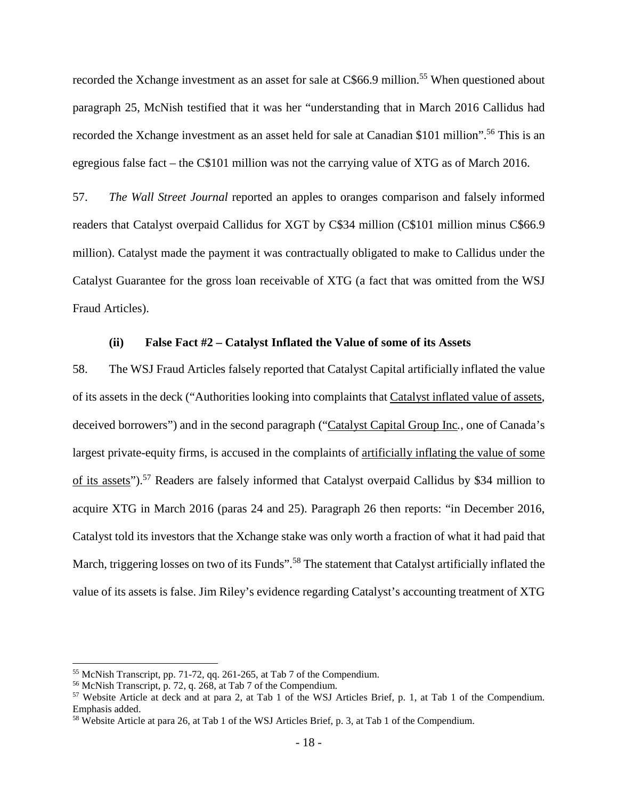recorded the Xchange investment as an asset for sale at C\$66.9 million.<sup>55</sup> When questioned about paragraph 25, McNish testified that it was her "understanding that in March 2016 Callidus had recorded the Xchange investment as an asset held for sale at Canadian \$101 million".<sup>56</sup> This is an egregious false fact – the C\$101 million was not the carrying value of XTG as of March 2016.

57. *The Wall Street Journal* reported an apples to oranges comparison and falsely informed readers that Catalyst overpaid Callidus for XGT by C\$34 million (C\$101 million minus C\$66.9 million). Catalyst made the payment it was contractually obligated to make to Callidus under the Catalyst Guarantee for the gross loan receivable of XTG (a fact that was omitted from the WSJ Fraud Articles).

#### **(ii) False Fact #2 – Catalyst Inflated the Value of some of its Assets**

<span id="page-22-0"></span>58. The WSJ Fraud Articles falsely reported that Catalyst Capital artificially inflated the value of its assets in the deck ("Authorities looking into complaints that Catalyst inflated value of assets, deceived borrowers") and in the second paragraph ("Catalyst Capital Group Inc*.*, one of Canada's largest private-equity firms, is accused in the complaints of artificially inflating the value of some of its assets").<sup>57</sup> Readers are falsely informed that Catalyst overpaid Callidus by \$34 million to acquire XTG in March 2016 (paras 24 and 25). Paragraph 26 then reports: "in December 2016, Catalyst told its investors that the Xchange stake was only worth a fraction of what it had paid that March, triggering losses on two of its Funds".<sup>58</sup> The statement that Catalyst artificially inflated the value of its assets is false. Jim Riley's evidence regarding Catalyst's accounting treatment of XTG

<sup>55</sup> McNish Transcript, pp. 71-72, qq. 261-265, at Tab 7 of the Compendium.

<sup>56</sup> McNish Transcript, p. 72, q. 268, at Tab 7 of the Compendium.

<sup>57</sup> Website Article at deck and at para 2, at Tab 1 of the WSJ Articles Brief, p. 1, at Tab 1 of the Compendium. Emphasis added.

<sup>58</sup> Website Article at para 26, at Tab 1 of the WSJ Articles Brief, p. 3, at Tab 1 of the Compendium.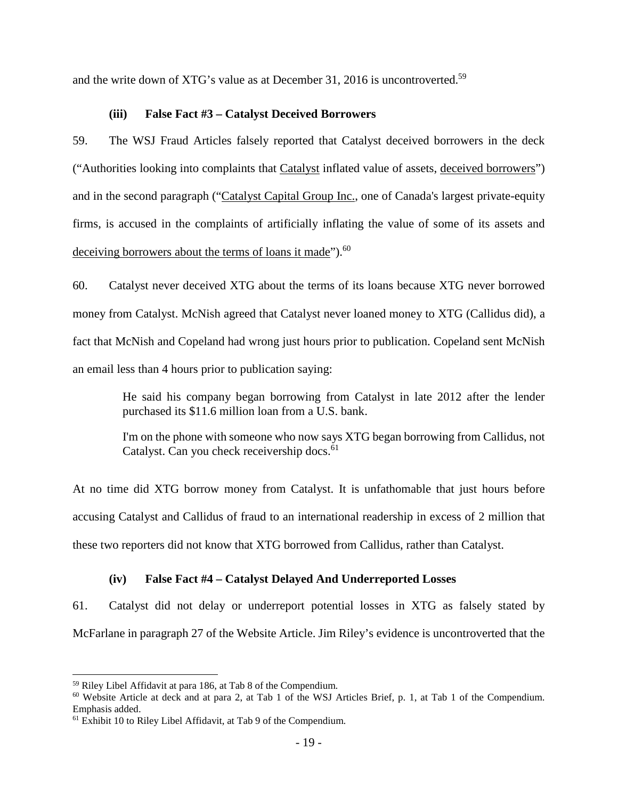and the write down of XTG's value as at December 31, 2016 is uncontroverted.<sup>59</sup>

## **(iii) False Fact #3 – Catalyst Deceived Borrowers**

<span id="page-23-0"></span>59. The WSJ Fraud Articles falsely reported that Catalyst deceived borrowers in the deck ("Authorities looking into complaints that Catalyst inflated value of assets, deceived borrowers") and in the second paragraph ("Catalyst Capital Group Inc., one of Canada's largest private-equity firms, is accused in the complaints of artificially inflating the value of some of its assets and deceiving borrowers about the terms of loans it made").<sup>60</sup>

60. Catalyst never deceived XTG about the terms of its loans because XTG never borrowed money from Catalyst. McNish agreed that Catalyst never loaned money to XTG (Callidus did), a fact that McNish and Copeland had wrong just hours prior to publication. Copeland sent McNish an email less than 4 hours prior to publication saying:

> He said his company began borrowing from Catalyst in late 2012 after the lender purchased its \$11.6 million loan from a U.S. bank.

> I'm on the phone with someone who now says XTG began borrowing from Callidus, not Catalyst. Can you check receivership docs.<sup>61</sup>

At no time did XTG borrow money from Catalyst. It is unfathomable that just hours before accusing Catalyst and Callidus of fraud to an international readership in excess of 2 million that these two reporters did not know that XTG borrowed from Callidus, rather than Catalyst.

## **(iv) False Fact #4 – Catalyst Delayed And Underreported Losses**

<span id="page-23-1"></span>61. Catalyst did not delay or underreport potential losses in XTG as falsely stated by McFarlane in paragraph 27 of the Website Article. Jim Riley's evidence is uncontroverted that the

<sup>59</sup> Riley Libel Affidavit at para 186, at Tab 8 of the Compendium.

 $60$  Website Article at deck and at para 2, at Tab 1 of the WSJ Articles Brief, p. 1, at Tab 1 of the Compendium. Emphasis added.

<sup>61</sup> Exhibit 10 to Riley Libel Affidavit, at Tab 9 of the Compendium.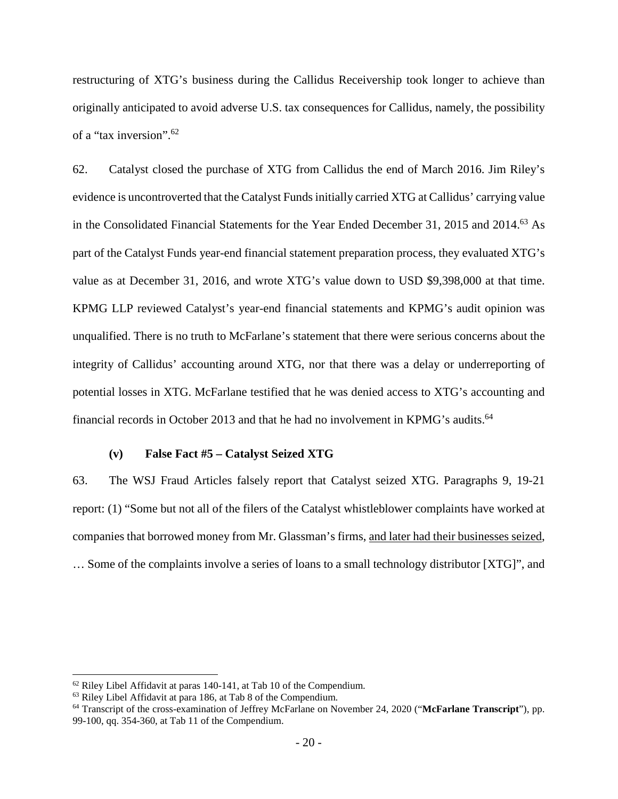restructuring of XTG's business during the Callidus Receivership took longer to achieve than originally anticipated to avoid adverse U.S. tax consequences for Callidus, namely, the possibility of a "tax inversion".<sup>62</sup>

62. Catalyst closed the purchase of XTG from Callidus the end of March 2016. Jim Riley's evidence is uncontroverted that the Catalyst Funds initially carried XTG at Callidus' carrying value in the Consolidated Financial Statements for the Year Ended December 31, 2015 and 2014.<sup>63</sup> As part of the Catalyst Funds year-end financial statement preparation process, they evaluated XTG's value as at December 31, 2016, and wrote XTG's value down to USD \$9,398,000 at that time. KPMG LLP reviewed Catalyst's year-end financial statements and KPMG's audit opinion was unqualified. There is no truth to McFarlane's statement that there were serious concerns about the integrity of Callidus' accounting around XTG, nor that there was a delay or underreporting of potential losses in XTG. McFarlane testified that he was denied access to XTG's accounting and financial records in October 2013 and that he had no involvement in KPMG's audits.<sup>64</sup>

#### **(v) False Fact #5 – Catalyst Seized XTG**

<span id="page-24-0"></span>63. The WSJ Fraud Articles falsely report that Catalyst seized XTG. Paragraphs 9, 19-21 report: (1) "Some but not all of the filers of the Catalyst whistleblower complaints have worked at companies that borrowed money from Mr. Glassman's firms, and later had their businesses seized, … Some of the complaints involve a series of loans to a small technology distributor [XTG]", and

 $62$  Riley Libel Affidavit at paras 140-141, at Tab 10 of the Compendium.

<sup>63</sup> Riley Libel Affidavit at para 186, at Tab 8 of the Compendium.

<sup>64</sup> Transcript of the cross-examination of Jeffrey McFarlane on November 24, 2020 ("**McFarlane Transcript**"), pp. 99-100, qq. 354-360, at Tab 11 of the Compendium.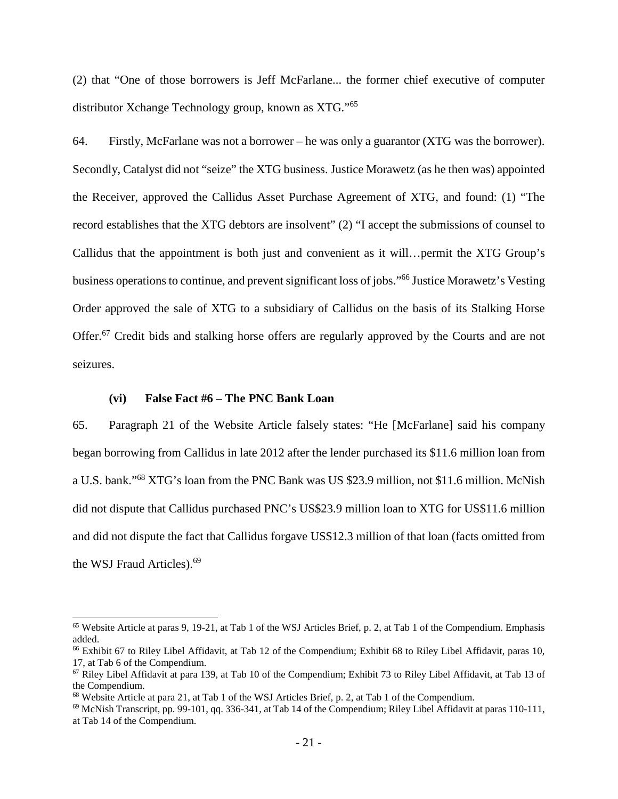(2) that "One of those borrowers is Jeff McFarlane... the former chief executive of computer distributor Xchange Technology group, known as XTG."<sup>65</sup>

64. Firstly, McFarlane was not a borrower – he was only a guarantor (XTG was the borrower). Secondly, Catalyst did not "seize" the XTG business. Justice Morawetz (as he then was) appointed the Receiver, approved the Callidus Asset Purchase Agreement of XTG, and found: (1) "The record establishes that the XTG debtors are insolvent" (2) "I accept the submissions of counsel to Callidus that the appointment is both just and convenient as it will…permit the XTG Group's business operations to continue, and prevent significant loss of jobs."<sup>66</sup> Justice Morawetz's Vesting Order approved the sale of XTG to a subsidiary of Callidus on the basis of its Stalking Horse Offer.<sup>67</sup> Credit bids and stalking horse offers are regularly approved by the Courts and are not seizures.

#### **(vi) False Fact #6 – The PNC Bank Loan**

 $\overline{a}$ 

<span id="page-25-0"></span>65. Paragraph 21 of the Website Article falsely states: "He [McFarlane] said his company began borrowing from Callidus in late 2012 after the lender purchased its \$11.6 million loan from a U.S. bank."<sup>68</sup> XTG's loan from the PNC Bank was US \$23.9 million, not \$11.6 million. McNish did not dispute that Callidus purchased PNC's US\$23.9 million loan to XTG for US\$11.6 million and did not dispute the fact that Callidus forgave US\$12.3 million of that loan (facts omitted from the WSJ Fraud Articles).<sup>69</sup>

<sup>65</sup> Website Article at paras 9, 19-21, at Tab 1 of the WSJ Articles Brief, p. 2, at Tab 1 of the Compendium. Emphasis added.

<sup>66</sup> Exhibit 67 to Riley Libel Affidavit, at Tab 12 of the Compendium; Exhibit 68 to Riley Libel Affidavit, paras 10, 17, at Tab 6 of the Compendium.

 $67$  Riley Libel Affidavit at para 139, at Tab 10 of the Compendium; Exhibit 73 to Riley Libel Affidavit, at Tab 13 of the Compendium.

<sup>68</sup> Website Article at para 21, at Tab 1 of the WSJ Articles Brief, p. 2, at Tab 1 of the Compendium.

 $^{69}$  McNish Transcript, pp. 99-101, qq. 336-341, at Tab 14 of the Compendium; Riley Libel Affidavit at paras 110-111, at Tab 14 of the Compendium.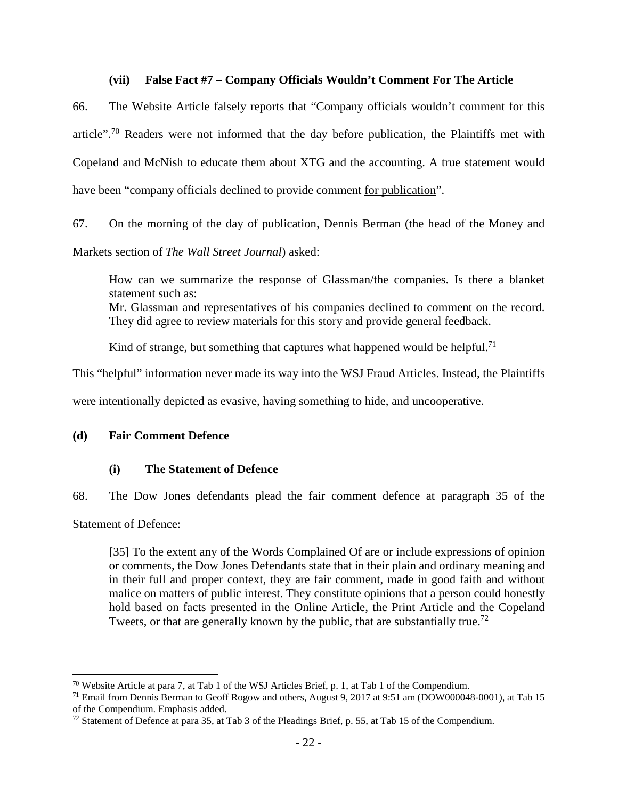## **(vii) False Fact #7 – Company Officials Wouldn't Comment For The Article**

<span id="page-26-0"></span>66. The Website Article falsely reports that "Company officials wouldn't comment for this article".<sup>70</sup> Readers were not informed that the day before publication, the Plaintiffs met with Copeland and McNish to educate them about XTG and the accounting. A true statement would have been "company officials declined to provide comment for publication".

67. On the morning of the day of publication, Dennis Berman (the head of the Money and Markets section of *The Wall Street Journal*) asked:

How can we summarize the response of Glassman/the companies. Is there a blanket statement such as: Mr. Glassman and representatives of his companies declined to comment on the record. They did agree to review materials for this story and provide general feedback.

Kind of strange, but something that captures what happened would be helpful.<sup>71</sup>

This "helpful" information never made its way into the WSJ Fraud Articles. Instead, the Plaintiffs

were intentionally depicted as evasive, having something to hide, and uncooperative.

## <span id="page-26-1"></span>**(d) Fair Comment Defence**

#### **(i) The Statement of Defence**

<span id="page-26-2"></span>68. The Dow Jones defendants plead the fair comment defence at paragraph 35 of the

Statement of Defence:

 $\overline{a}$ 

[35] To the extent any of the Words Complained Of are or include expressions of opinion or comments, the Dow Jones Defendants state that in their plain and ordinary meaning and in their full and proper context, they are fair comment, made in good faith and without malice on matters of public interest. They constitute opinions that a person could honestly hold based on facts presented in the Online Article, the Print Article and the Copeland Tweets, or that are generally known by the public, that are substantially true.<sup>72</sup>

<sup>&</sup>lt;sup>70</sup> Website Article at para 7, at Tab 1 of the WSJ Articles Brief, p. 1, at Tab 1 of the Compendium.

<sup>71</sup> Email from Dennis Berman to Geoff Rogow and others, August 9, 2017 at 9:51 am (DOW000048-0001), at Tab 15 of the Compendium. Emphasis added.

<sup>&</sup>lt;sup>72</sup> Statement of Defence at para 35, at Tab 3 of the Pleadings Brief, p. 55, at Tab 15 of the Compendium.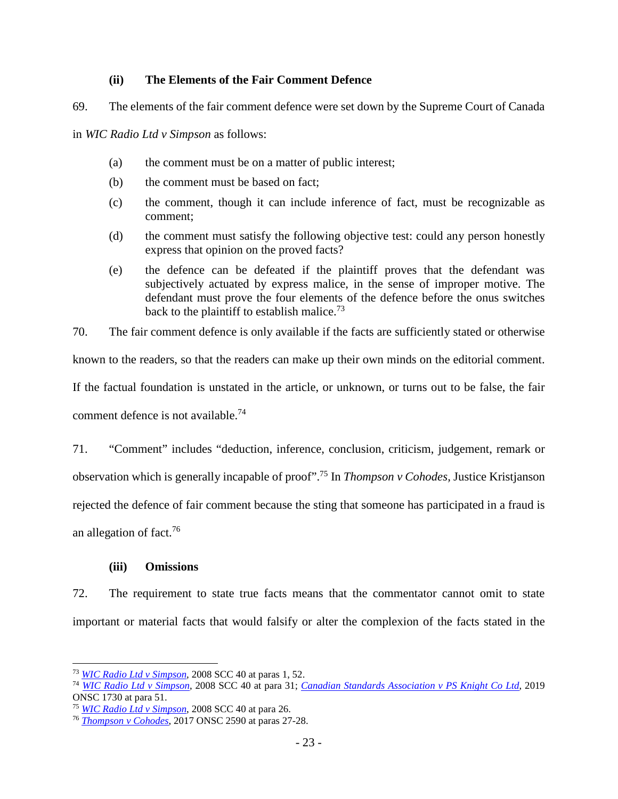## **(ii) The Elements of the Fair Comment Defence**

<span id="page-27-0"></span>69. The elements of the fair comment defence were set down by the Supreme Court of Canada

in *WIC Radio Ltd v Simpson* as follows:

- (a) the comment must be on a matter of public interest;
- (b) the comment must be based on fact;
- (c) the comment, though it can include inference of fact, must be recognizable as comment;
- (d) the comment must satisfy the following objective test: could any person honestly express that opinion on the proved facts?
- (e) the defence can be defeated if the plaintiff proves that the defendant was subjectively actuated by express malice, in the sense of improper motive. The defendant must prove the four elements of the defence before the onus switches back to the plaintiff to establish malice.<sup>73</sup>

70. The fair comment defence is only available if the facts are sufficiently stated or otherwise

known to the readers, so that the readers can make up their own minds on the editorial comment.

If the factual foundation is unstated in the article, or unknown, or turns out to be false, the fair

comment defence is not available.<sup>74</sup>

71. "Comment" includes "deduction, inference, conclusion, criticism, judgement, remark or observation which is generally incapable of proof".<sup>75</sup> In *Thompson v Cohodes,* Justice Kristjanson rejected the defence of fair comment because the sting that someone has participated in a fraud is an allegation of fact.<sup>76</sup>

#### **(iii) Omissions**

<span id="page-27-1"></span>72. The requirement to state true facts means that the commentator cannot omit to state important or material facts that would falsify or alter the complexion of the facts stated in the

<sup>73</sup> *[WIC Radio Ltd v Simpson](https://www.canlii.org/en/ca/scc/doc/2008/2008scc40/2008scc40.html?#par1)*, 2008 SCC 40 at paras 1, 52.

<sup>74</sup> *[WIC Radio Ltd v Simpson](https://www.canlii.org/en/ca/scc/doc/2008/2008scc40/2008scc40.html?#par31)*, 2008 SCC 40 at para 31; *[Canadian Standards Association v PS Knight Co Ltd](https://www.canlii.org/en/on/onsc/doc/2019/2019onsc1730/2019onsc1730.html?#par51)*, 2019 ONSC 1730 at para 51.

<sup>75</sup> *[WIC Radio Ltd v Simpson](https://www.canlii.org/en/ca/scc/doc/2008/2008scc40/2008scc40.html?#par26)*, 2008 SCC 40 at para 26.

<sup>76</sup> *[Thompson v Cohodes](https://www.canlii.org/en/on/onsc/doc/2017/2017onsc2590/2017onsc2590.html?#par27)*, 2017 ONSC 2590 at paras 27-28.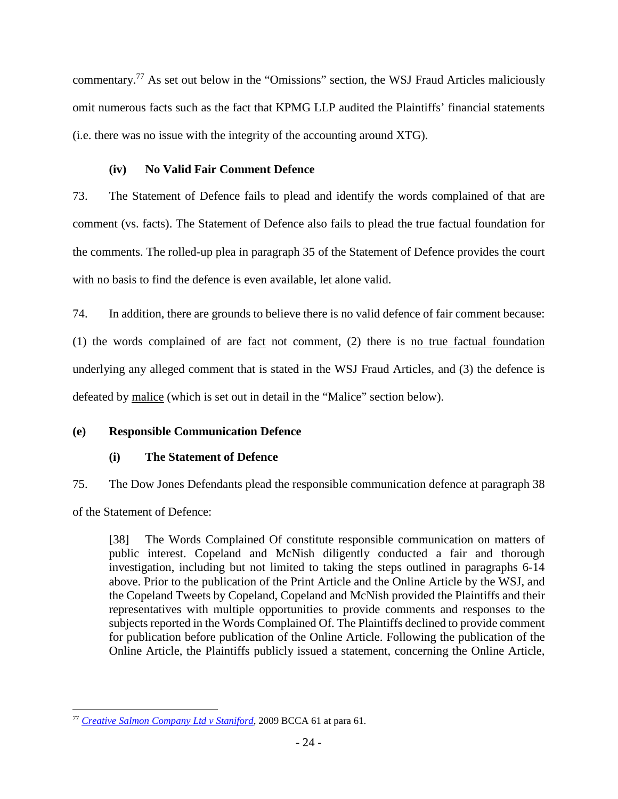commentary.<sup>77</sup> As set out below in the "Omissions" section, the WSJ Fraud Articles maliciously omit numerous facts such as the fact that KPMG LLP audited the Plaintiffs' financial statements (i.e. there was no issue with the integrity of the accounting around XTG).

## **(iv) No Valid Fair Comment Defence**

<span id="page-28-0"></span>73. The Statement of Defence fails to plead and identify the words complained of that are comment (vs. facts). The Statement of Defence also fails to plead the true factual foundation for the comments. The rolled-up plea in paragraph 35 of the Statement of Defence provides the court with no basis to find the defence is even available, let alone valid.

74. In addition, there are grounds to believe there is no valid defence of fair comment because: (1) the words complained of are fact not comment, (2) there is no true factual foundation underlying any alleged comment that is stated in the WSJ Fraud Articles, and (3) the defence is defeated by malice (which is set out in detail in the "Malice" section below).

## <span id="page-28-2"></span><span id="page-28-1"></span>**(e) Responsible Communication Defence**

## **(i) The Statement of Defence**

75. The Dow Jones Defendants plead the responsible communication defence at paragraph 38

of the Statement of Defence:

[38] The Words Complained Of constitute responsible communication on matters of public interest. Copeland and McNish diligently conducted a fair and thorough investigation, including but not limited to taking the steps outlined in paragraphs 6-14 above. Prior to the publication of the Print Article and the Online Article by the WSJ, and the Copeland Tweets by Copeland, Copeland and McNish provided the Plaintiffs and their representatives with multiple opportunities to provide comments and responses to the subjects reported in the Words Complained Of. The Plaintiffs declined to provide comment for publication before publication of the Online Article. Following the publication of the Online Article, the Plaintiffs publicly issued a statement, concerning the Online Article,

 <sup>77</sup> *[Creative Salmon Company Ltd v Staniford](https://www.canlii.org/en/bc/bcca/doc/2009/2009bcca61/2009bcca61.html?#par61)*, 2009 BCCA 61 at para 61.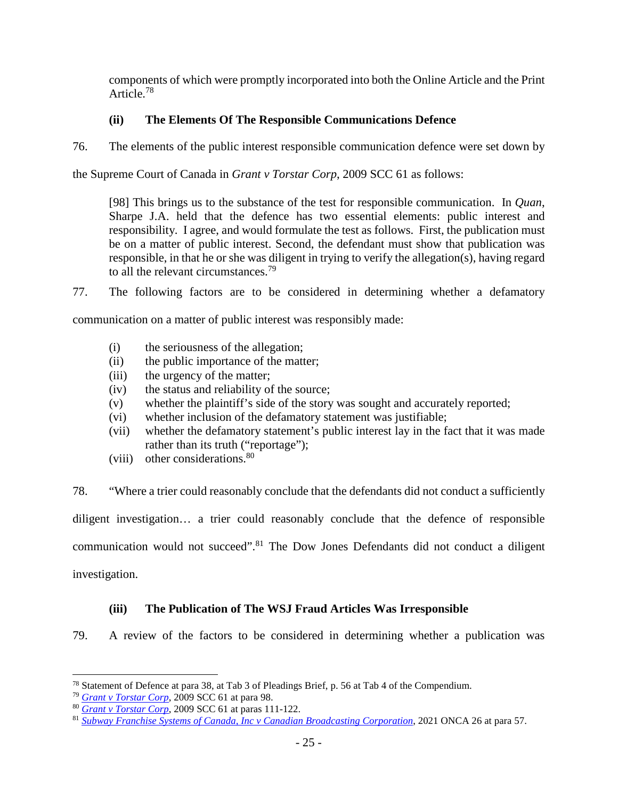components of which were promptly incorporated into both the Online Article and the Print Article.<sup>78</sup>

## **(ii) The Elements Of The Responsible Communications Defence**

<span id="page-29-0"></span>76. The elements of the public interest responsible communication defence were set down by

the Supreme Court of Canada in *Grant v Torstar Corp*, 2009 SCC 61 as follows:

[98] This brings us to the substance of the test for responsible communication. In *Quan*, Sharpe J.A. held that the defence has two essential elements: public interest and responsibility. I agree, and would formulate the test as follows. First, the publication must be on a matter of public interest. Second, the defendant must show that publication was responsible, in that he or she was diligent in trying to verify the allegation(s), having regard to all the relevant circumstances.<sup>79</sup>

77. The following factors are to be considered in determining whether a defamatory

communication on a matter of public interest was responsibly made:

- (i) the seriousness of the allegation;
- (ii) the public importance of the matter;
- (iii) the urgency of the matter;
- (iv) the status and reliability of the source;
- (v) whether the plaintiff's side of the story was sought and accurately reported;
- (vi) whether inclusion of the defamatory statement was justifiable;
- (vii) whether the defamatory statement's public interest lay in the fact that it was made rather than its truth ("reportage");
- (viii) other considerations.<sup>80</sup>

78. "Where a trier could reasonably conclude that the defendants did not conduct a sufficiently diligent investigation… a trier could reasonably conclude that the defence of responsible communication would not succeed".<sup>81</sup> The Dow Jones Defendants did not conduct a diligent investigation.

## **(iii) The Publication of The WSJ Fraud Articles Was Irresponsible**

<span id="page-29-1"></span>79. A review of the factors to be considered in determining whether a publication was

<sup>&</sup>lt;sup>78</sup> Statement of Defence at para 38, at Tab 3 of Pleadings Brief, p. 56 at Tab 4 of the Compendium.

<sup>79</sup> *[Grant v Torstar Corp](https://www.canlii.org/en/ca/scc/doc/2009/2009scc61/2009scc61.html?#par98)*, 2009 SCC 61 at para 98.

<sup>80</sup> *[Grant v Torstar Corp](https://www.canlii.org/en/ca/scc/doc/2009/2009scc61/2009scc61.html?#par111)*, 2009 SCC 61 at paras 111-122.

<sup>81</sup> *[Subway Franchise Systems of Canada, Inc v Canadian Broadcasting Corporation](https://www.canlii.org/en/on/onca/doc/2021/2021onca26/2021onca26.html?#par57)*, 2021 ONCA 26 at para 57.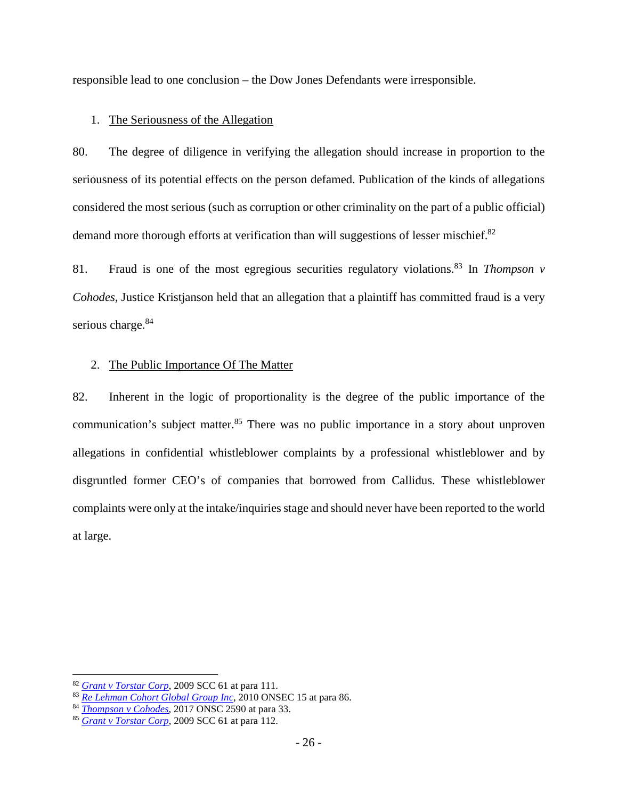responsible lead to one conclusion – the Dow Jones Defendants were irresponsible.

#### 1. The Seriousness of the Allegation

80. The degree of diligence in verifying the allegation should increase in proportion to the seriousness of its potential effects on the person defamed. Publication of the kinds of allegations considered the most serious (such as corruption or other criminality on the part of a public official) demand more thorough efforts at verification than will suggestions of lesser mischief.<sup>82</sup>

81. Fraud is one of the most egregious securities regulatory violations.<sup>83</sup> In *Thompson v Cohodes,* Justice Kristjanson held that an allegation that a plaintiff has committed fraud is a very serious charge.<sup>84</sup>

#### 2. The Public Importance Of The Matter

82. Inherent in the logic of proportionality is the degree of the public importance of the communication's subject matter.<sup>85</sup> There was no public importance in a story about unproven allegations in confidential whistleblower complaints by a professional whistleblower and by disgruntled former CEO's of companies that borrowed from Callidus. These whistleblower complaints were only at the intake/inquiries stage and should never have been reported to the world at large.

<sup>82</sup> *[Grant v Torstar Corp](https://www.canlii.org/en/ca/scc/doc/2009/2009scc61/2009scc61.html?#par111)*, 2009 SCC 61 at para 111.

<sup>83</sup> *[Re Lehman Cohort Global Group Inc](https://www.canlii.org/en/on/onsec/doc/2010/2010onsec15/2010onsec15.html?#par86)*, 2010 ONSEC 15 at para 86.

<sup>84</sup> *[Thompson v Cohodes](https://www.canlii.org/en/on/onsc/doc/2017/2017onsc2590/2017onsc2590.html?#par33)*, 2017 ONSC 2590 at para 33.

<sup>85</sup> *[Grant v Torstar Corp](https://www.canlii.org/en/ca/scc/doc/2009/2009scc61/2009scc61.html?#par112)*, 2009 SCC 61 at para 112.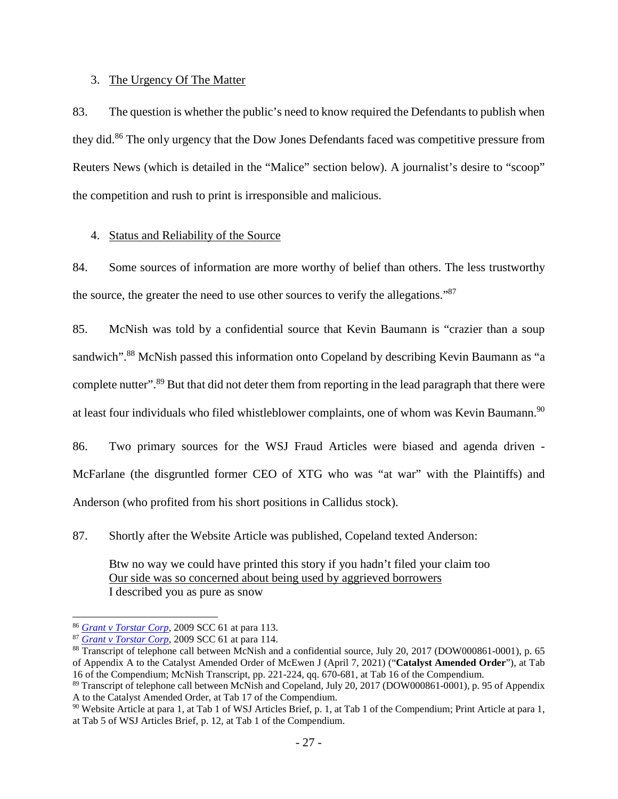#### 3. The Urgency Of The Matter

83. The question is whether the public's need to know required the Defendants to publish when they did.<sup>86</sup> The only urgency that the Dow Jones Defendants faced was competitive pressure from Reuters News (which is detailed in the "Malice" section below). A journalist's desire to "scoop" the competition and rush to print is irresponsible and malicious.

#### 4. Status and Reliability of the Source

84. Some sources of information are more worthy of belief than others. The less trustworthy the source, the greater the need to use other sources to verify the allegations."<sup>87</sup>

85. McNish was told by a confidential source that Kevin Baumann is "crazier than a soup sandwich".<sup>88</sup> McNish passed this information onto Copeland by describing Kevin Baumann as "a complete nutter".<sup>89</sup> But that did not deter them from reporting in the lead paragraph that there were at least four individuals who filed whistleblower complaints, one of whom was Kevin Baumann.<sup>90</sup>

86. Two primary sources for the WSJ Fraud Articles were biased and agenda driven - McFarlane (the disgruntled former CEO of XTG who was "at war" with the Plaintiffs) and Anderson (who profited from his short positions in Callidus stock).

87. Shortly after the Website Article was published, Copeland texted Anderson:

Btw no way we could have printed this story if you hadn't filed your claim too Our side was so concerned about being used by aggrieved borrowers I described you as pure as snow

<sup>86</sup> *[Grant v Torstar Corp](https://www.canlii.org/en/ca/scc/doc/2009/2009scc61/2009scc61.html?#par113)*, 2009 SCC 61 at para 113.

<sup>87</sup> *[Grant v Torstar Corp](https://www.canlii.org/en/ca/scc/doc/2009/2009scc61/2009scc61.html?#par114)*, 2009 SCC 61 at para 114.

<sup>88</sup> Transcript of telephone call between McNish and a confidential source, July 20, 2017 (DOW000861-0001), p. 65 of Appendix A to the Catalyst Amended Order of McEwen J (April 7, 2021) ("**Catalyst Amended Order**"), at Tab 16 of the Compendium; McNish Transcript, pp. 221-224, qq. 670-681, at Tab 16 of the Compendium.

<sup>89</sup> Transcript of telephone call between McNish and Copeland, July 20, 2017 (DOW000861-0001), p. 95 of Appendix A to the Catalyst Amended Order, at Tab 17 of the Compendium.

 $90$  Website Article at para 1, at Tab 1 of WSJ Articles Brief, p. 1, at Tab 1 of the Compendium; Print Article at para 1, at Tab 5 of WSJ Articles Brief, p. 12, at Tab 1 of the Compendium.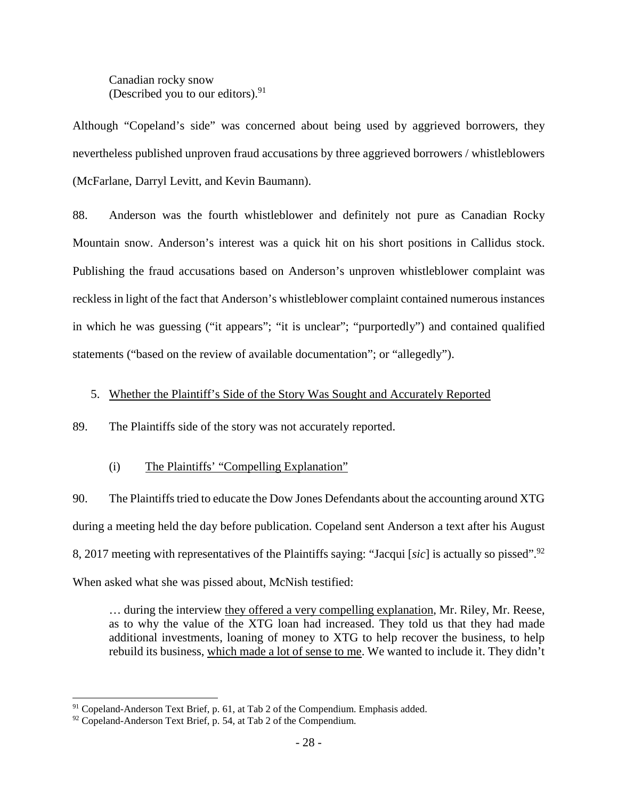Canadian rocky snow (Described you to our editors). $91$ 

Although "Copeland's side" was concerned about being used by aggrieved borrowers, they nevertheless published unproven fraud accusations by three aggrieved borrowers / whistleblowers (McFarlane, Darryl Levitt, and Kevin Baumann).

88. Anderson was the fourth whistleblower and definitely not pure as Canadian Rocky Mountain snow. Anderson's interest was a quick hit on his short positions in Callidus stock. Publishing the fraud accusations based on Anderson's unproven whistleblower complaint was reckless in light of the fact that Anderson's whistleblower complaint contained numerous instances in which he was guessing ("it appears"; "it is unclear"; "purportedly") and contained qualified statements ("based on the review of available documentation"; or "allegedly").

#### 5. Whether the Plaintiff's Side of the Story Was Sought and Accurately Reported

89. The Plaintiffs side of the story was not accurately reported.

#### (i) The Plaintiffs' "Compelling Explanation"

90. The Plaintiffs tried to educate the Dow Jones Defendants about the accounting around XTG during a meeting held the day before publication. Copeland sent Anderson a text after his August 8, 2017 meeting with representatives of the Plaintiffs saying: "Jacqui [*sic*] is actually so pissed".<sup>92</sup> When asked what she was pissed about, McNish testified:

… during the interview they offered a very compelling explanation, Mr. Riley, Mr. Reese, as to why the value of the XTG loan had increased. They told us that they had made additional investments, loaning of money to XTG to help recover the business, to help rebuild its business, which made a lot of sense to me. We wanted to include it. They didn't

 $91$  Copeland-Anderson Text Brief, p. 61, at Tab 2 of the Compendium. Emphasis added.

 $92$  Copeland-Anderson Text Brief, p. 54, at Tab 2 of the Compendium.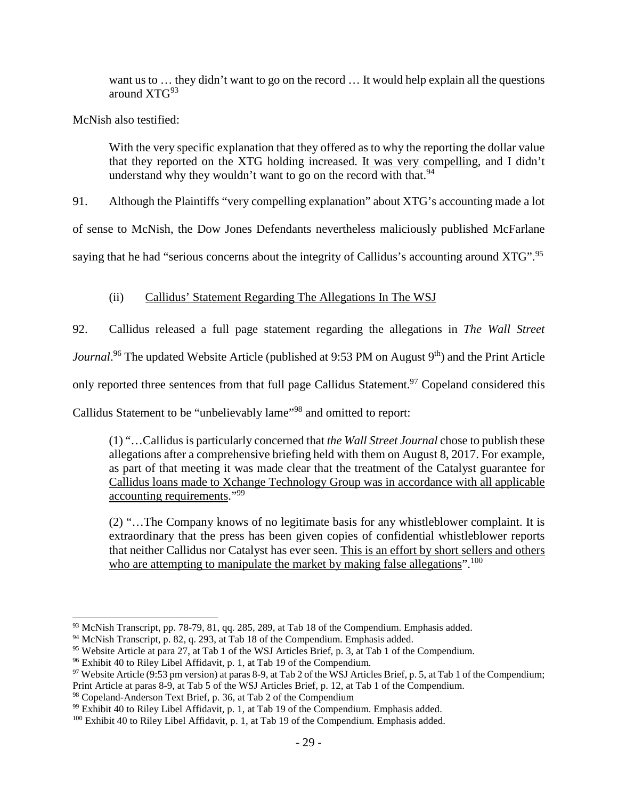want us to … they didn't want to go on the record … It would help explain all the questions around  $XTG^{93}$ 

McNish also testified:

 $\overline{a}$ 

With the very specific explanation that they offered as to why the reporting the dollar value that they reported on the XTG holding increased. It was very compelling, and I didn't understand why they wouldn't want to go on the record with that.  $94$ 

91. Although the Plaintiffs "very compelling explanation" about XTG's accounting made a lot

of sense to McNish, the Dow Jones Defendants nevertheless maliciously published McFarlane

saying that he had "serious concerns about the integrity of Callidus's accounting around XTG".<sup>95</sup>

## (ii) Callidus' Statement Regarding The Allegations In The WSJ

92. Callidus released a full page statement regarding the allegations in *The Wall Street* 

Journal.<sup>96</sup> The updated Website Article (published at 9:53 PM on August 9<sup>th</sup>) and the Print Article

only reported three sentences from that full page Callidus Statement.<sup>97</sup> Copeland considered this

Callidus Statement to be "unbelievably lame"<sup>98</sup> and omitted to report:

(1) "…Callidus is particularly concerned that *the Wall Street Journal* chose to publish these allegations after a comprehensive briefing held with them on August 8, 2017. For example, as part of that meeting it was made clear that the treatment of the Catalyst guarantee for Callidus loans made to Xchange Technology Group was in accordance with all applicable accounting requirements."<sup>99</sup>

(2) "…The Company knows of no legitimate basis for any whistleblower complaint. It is extraordinary that the press has been given copies of confidential whistleblower reports that neither Callidus nor Catalyst has ever seen. This is an effort by short sellers and others who are attempting to manipulate the market by making false allegations".<sup>100</sup>

<sup>93</sup> McNish Transcript, pp. 78-79, 81, qq. 285, 289, at Tab 18 of the Compendium. Emphasis added.

 $94$  McNish Transcript, p. 82, q. 293, at Tab 18 of the Compendium. Emphasis added.

<sup>95</sup> Website Article at para 27, at Tab 1 of the WSJ Articles Brief, p. 3, at Tab 1 of the Compendium.

<sup>&</sup>lt;sup>96</sup> Exhibit 40 to Riley Libel Affidavit, p. 1, at Tab 19 of the Compendium.

<sup>97</sup> Website Article (9:53 pm version) at paras 8-9, at Tab 2 of the WSJ Articles Brief, p. 5, at Tab 1 of the Compendium; Print Article at paras 8-9, at Tab 5 of the WSJ Articles Brief, p. 12, at Tab 1 of the Compendium.

<sup>98</sup> Copeland-Anderson Text Brief, p. 36, at Tab 2 of the Compendium

<sup>99</sup> Exhibit 40 to Riley Libel Affidavit, p. 1, at Tab 19 of the Compendium. Emphasis added.

<sup>&</sup>lt;sup>100</sup> Exhibit 40 to Riley Libel Affidavit, p. 1, at Tab 19 of the Compendium. Emphasis added.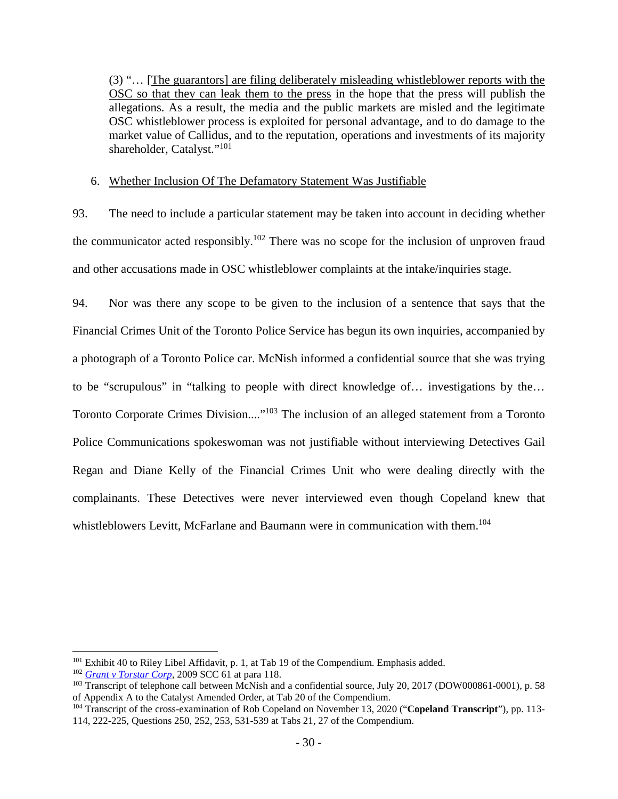(3) "… [The guarantors] are filing deliberately misleading whistleblower reports with the OSC so that they can leak them to the press in the hope that the press will publish the allegations. As a result, the media and the public markets are misled and the legitimate OSC whistleblower process is exploited for personal advantage, and to do damage to the market value of Callidus, and to the reputation, operations and investments of its majority shareholder, Catalyst."<sup>101</sup>

#### 6. Whether Inclusion Of The Defamatory Statement Was Justifiable

93. The need to include a particular statement may be taken into account in deciding whether the communicator acted responsibly.<sup>102</sup> There was no scope for the inclusion of unproven fraud and other accusations made in OSC whistleblower complaints at the intake/inquiries stage.

94. Nor was there any scope to be given to the inclusion of a sentence that says that the Financial Crimes Unit of the Toronto Police Service has begun its own inquiries, accompanied by a photograph of a Toronto Police car. McNish informed a confidential source that she was trying to be "scrupulous" in "talking to people with direct knowledge of… investigations by the… Toronto Corporate Crimes Division...."<sup>103</sup> The inclusion of an alleged statement from a Toronto Police Communications spokeswoman was not justifiable without interviewing Detectives Gail Regan and Diane Kelly of the Financial Crimes Unit who were dealing directly with the complainants. These Detectives were never interviewed even though Copeland knew that whistleblowers Levitt, McFarlane and Baumann were in communication with them.<sup>104</sup>

<sup>&</sup>lt;sup>101</sup> Exhibit 40 to Riley Libel Affidavit, p. 1, at Tab 19 of the Compendium. Emphasis added.

<sup>102</sup> *[Grant v Torstar Corp](https://www.canlii.org/en/ca/scc/doc/2009/2009scc61/2009scc61.html?#par118)*, 2009 SCC 61 at para 118.

<sup>&</sup>lt;sup>103</sup> Transcript of telephone call between McNish and a confidential source, July 20, 2017 (DOW000861-0001), p. 58 of Appendix A to the Catalyst Amended Order, at Tab 20 of the Compendium.

<sup>104</sup> Transcript of the cross-examination of Rob Copeland on November 13, 2020 ("**Copeland Transcript**"), pp. 113- 114, 222-225, Questions 250, 252, 253, 531-539 at Tabs 21, 27 of the Compendium.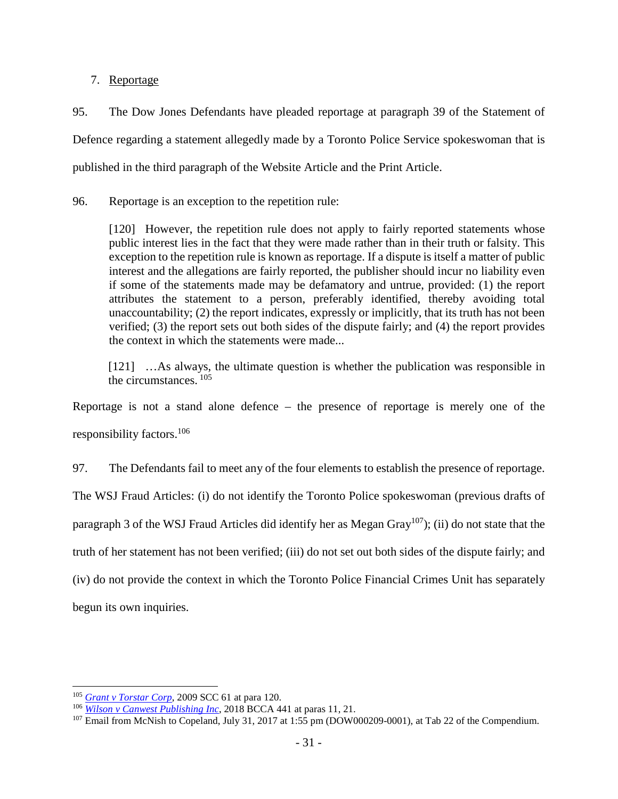7. Reportage

95. The Dow Jones Defendants have pleaded reportage at paragraph 39 of the Statement of Defence regarding a statement allegedly made by a Toronto Police Service spokeswoman that is published in the third paragraph of the Website Article and the Print Article.

96. Reportage is an exception to the repetition rule:

[120] However, the repetition rule does not apply to fairly reported statements whose public interest lies in the fact that they were made rather than in their truth or falsity. This exception to the repetition rule is known as reportage. If a dispute is itself a matter of public interest and the allegations are fairly reported, the publisher should incur no liability even if some of the statements made may be defamatory and untrue, provided: (1) the report attributes the statement to a person, preferably identified, thereby avoiding total unaccountability; (2) the report indicates, expressly or implicitly, that its truth has not been verified; (3) the report sets out both sides of the dispute fairly; and (4) the report provides the context in which the statements were made...

[121] …As always, the ultimate question is whether the publication was responsible in the circumstances.<sup>105</sup>

Reportage is not a stand alone defence – the presence of reportage is merely one of the responsibility factors.<sup>106</sup>

97. The Defendants fail to meet any of the four elements to establish the presence of reportage.

The WSJ Fraud Articles: (i) do not identify the Toronto Police spokeswoman (previous drafts of paragraph 3 of the WSJ Fraud Articles did identify her as Megan Gray<sup>107</sup>); (ii) do not state that the truth of her statement has not been verified; (iii) do not set out both sides of the dispute fairly; and (iv) do not provide the context in which the Toronto Police Financial Crimes Unit has separately begun its own inquiries.

<sup>&</sup>lt;sup>105</sup> *[Grant v Torstar Corp](https://www.canlii.org/en/ca/scc/doc/2009/2009scc61/2009scc61.html?#par120)*, 2009 SCC 61 at para 120.

<sup>106</sup> *[Wilson v Canwest Publishing Inc](https://www.canlii.org/en/bc/bcca/doc/2018/2018bcca441/2018bcca441.html?#par11)*, 2018 BCCA 441 at paras 11, 21.

<sup>&</sup>lt;sup>107</sup> Email from McNish to Copeland, July 31, 2017 at 1:55 pm (DOW000209-0001), at Tab 22 of the Compendium.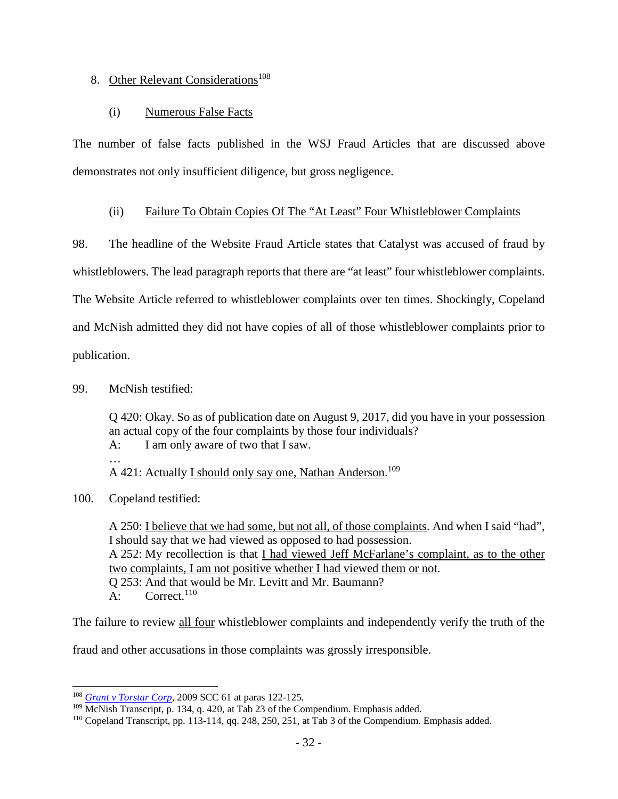## 8. Other Relevant Considerations<sup>108</sup>

## (i) Numerous False Facts

The number of false facts published in the WSJ Fraud Articles that are discussed above demonstrates not only insufficient diligence, but gross negligence.

## (ii) Failure To Obtain Copies Of The "At Least" Four Whistleblower Complaints

98. The headline of the Website Fraud Article states that Catalyst was accused of fraud by whistleblowers. The lead paragraph reports that there are "at least" four whistleblower complaints. The Website Article referred to whistleblower complaints over ten times. Shockingly, Copeland and McNish admitted they did not have copies of all of those whistleblower complaints prior to publication.

99. McNish testified:

Q 420: Okay. So as of publication date on August 9, 2017, did you have in your possession an actual copy of the four complaints by those four individuals? A: I am only aware of two that I saw.

…

 $\overline{a}$ 

A 421: Actually I should only say one, Nathan Anderson.<sup>109</sup>

100. Copeland testified:

A 250: I believe that we had some, but not all, of those complaints. And when I said "had", I should say that we had viewed as opposed to had possession. A 252: My recollection is that I had viewed Jeff McFarlane's complaint, as to the other two complaints, I am not positive whether I had viewed them or not. Q 253: And that would be Mr. Levitt and Mr. Baumann?  $A:$  Correct.<sup>110</sup>

The failure to review all four whistleblower complaints and independently verify the truth of the

fraud and other accusations in those complaints was grossly irresponsible.

<sup>108</sup> *[Grant v Torstar Corp](https://www.canlii.org/en/ca/scc/doc/2009/2009scc61/2009scc61.html?#par122)*, 2009 SCC 61 at paras 122-125.

 $109$  McNish Transcript, p. 134, q. 420, at Tab 23 of the Compendium. Emphasis added.

<sup>110</sup> Copeland Transcript, pp. 113-114, qq. 248, 250, 251, at Tab 3 of the Compendium. Emphasis added.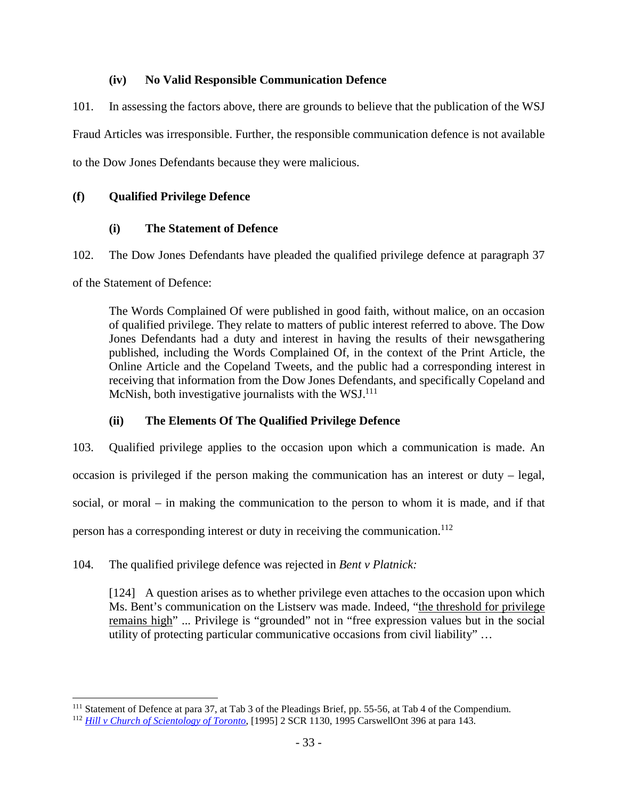## **(iv) No Valid Responsible Communication Defence**

<span id="page-37-0"></span>101. In assessing the factors above, there are grounds to believe that the publication of the WSJ Fraud Articles was irresponsible. Further, the responsible communication defence is not available to the Dow Jones Defendants because they were malicious.

## <span id="page-37-1"></span>**(f) Qualified Privilege Defence**

## **(i) The Statement of Defence**

<span id="page-37-2"></span>102. The Dow Jones Defendants have pleaded the qualified privilege defence at paragraph 37

of the Statement of Defence:

The Words Complained Of were published in good faith, without malice, on an occasion of qualified privilege. They relate to matters of public interest referred to above. The Dow Jones Defendants had a duty and interest in having the results of their newsgathering published, including the Words Complained Of, in the context of the Print Article, the Online Article and the Copeland Tweets, and the public had a corresponding interest in receiving that information from the Dow Jones Defendants, and specifically Copeland and McNish, both investigative journalists with the WSJ.<sup>111</sup>

## **(ii) The Elements Of The Qualified Privilege Defence**

<span id="page-37-3"></span>103. Qualified privilege applies to the occasion upon which a communication is made. An

occasion is privileged if the person making the communication has an interest or duty – legal,

social, or moral – in making the communication to the person to whom it is made, and if that

person has a corresponding interest or duty in receiving the communication.<sup>112</sup>

104. The qualified privilege defence was rejected in *Bent v Platnick:*

[124] A question arises as to whether privilege even attaches to the occasion upon which Ms. Bent's communication on the Listserv was made. Indeed, "the threshold for privilege remains high" ... Privilege is "grounded" not in "free expression values but in the social utility of protecting particular communicative occasions from civil liability" …

 <sup>111</sup> Statement of Defence at para 37, at Tab 3 of the Pleadings Brief, pp. 55-56, at Tab 4 of the Compendium.

<sup>112</sup> *[Hill v Church of Scientology of Toronto](https://www.canlii.org/en/ca/scc/doc/1995/1995canlii59/1995canlii59.html?#par143)*, [1995] 2 SCR 1130, 1995 CarswellOnt 396 at para 143.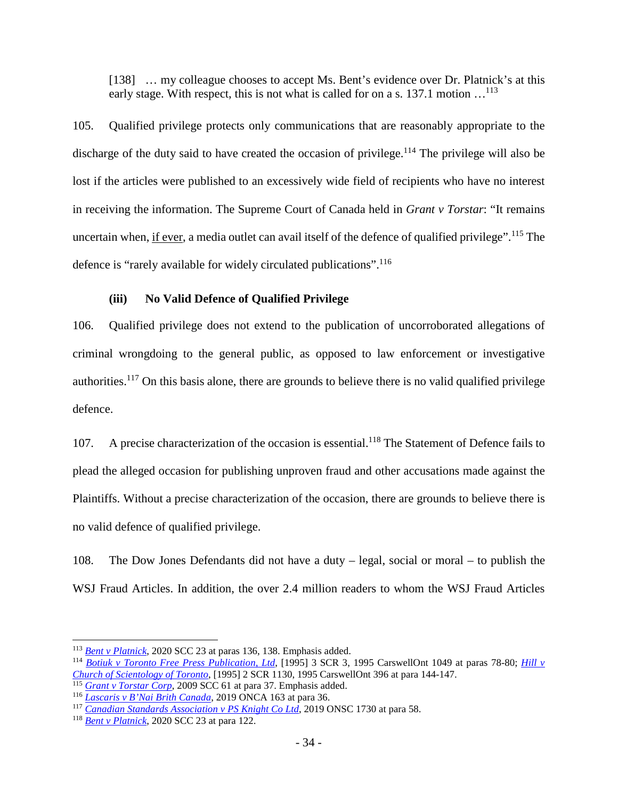[138] … my colleague chooses to accept Ms. Bent's evidence over Dr. Platnick's at this early stage. With respect, this is not what is called for on a s. 137.1 motion  $\dots$ <sup>113</sup>

105. Qualified privilege protects only communications that are reasonably appropriate to the discharge of the duty said to have created the occasion of privilege.<sup>114</sup> The privilege will also be lost if the articles were published to an excessively wide field of recipients who have no interest in receiving the information. The Supreme Court of Canada held in *Grant v Torstar*: "It remains uncertain when, if ever, a media outlet can avail itself of the defence of qualified privilege".<sup>115</sup> The defence is "rarely available for widely circulated publications".<sup>116</sup>

#### **(iii) No Valid Defence of Qualified Privilege**

<span id="page-38-0"></span>106. Qualified privilege does not extend to the publication of uncorroborated allegations of criminal wrongdoing to the general public, as opposed to law enforcement or investigative authorities.<sup>117</sup> On this basis alone, there are grounds to believe there is no valid qualified privilege defence.

107. A precise characterization of the occasion is essential.<sup>118</sup> The Statement of Defence fails to plead the alleged occasion for publishing unproven fraud and other accusations made against the Plaintiffs. Without a precise characterization of the occasion, there are grounds to believe there is no valid defence of qualified privilege.

108. The Dow Jones Defendants did not have a duty – legal, social or moral – to publish the WSJ Fraud Articles. In addition, the over 2.4 million readers to whom the WSJ Fraud Articles

<sup>113</sup> *[Bent v Platnick](https://www.canlii.org/en/ca/scc/doc/2020/2020scc23/2020scc23.html?#par136)*, 2020 SCC 23 at paras 136, 138. Emphasis added.

<sup>114</sup> *[Botiuk v Toronto Free Press Publication, Ltd](https://www.canlii.org/en/ca/scc/doc/1995/1995canlii60/1995canlii60.html?#par78)*, [1995] 3 SCR 3, 1995 CarswellOnt 1049 at paras 78-80; *[Hill v](https://www.canlii.org/en/ca/scc/doc/1995/1995canlii59/1995canlii59.html?#par144)  [Church of Scientology of Toronto](https://www.canlii.org/en/ca/scc/doc/1995/1995canlii59/1995canlii59.html?#par144)*, [1995] 2 SCR 1130, 1995 CarswellOnt 396 at para 144-147.

<sup>&</sup>lt;sup>115</sup> *[Grant v Torstar Corp](https://www.canlii.org/en/ca/scc/doc/2009/2009scc61/2009scc61.html?#par37)*, 2009 SCC 61 at para 37. Emphasis added.

<sup>116</sup> *[Lascaris v B'Nai Brith Canada](https://www.canlii.org/en/on/onca/doc/2019/2019onca163/2019onca163.html?#par36)*, 2019 ONCA 163 at para 36.

<sup>117</sup> *[Canadian Standards Association v PS Knight Co Ltd](https://www.canlii.org/en/on/onsc/doc/2019/2019onsc1730/2019onsc1730.html?#par58)*, 2019 ONSC 1730 at para 58.

<sup>118</sup> *[Bent v Platnick](https://www.canlii.org/en/ca/scc/doc/2020/2020scc23/2020scc23.html?#par122)*, 2020 SCC 23 at para 122.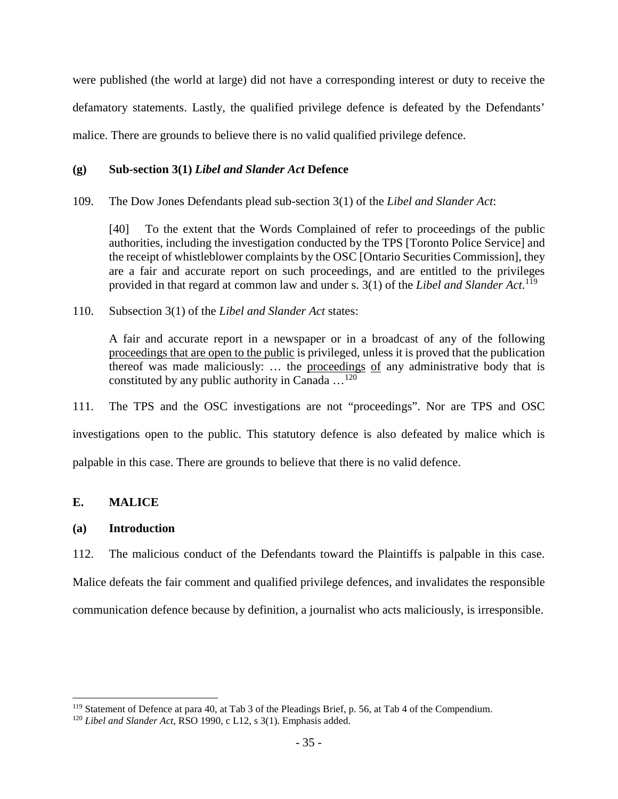were published (the world at large) did not have a corresponding interest or duty to receive the defamatory statements. Lastly, the qualified privilege defence is defeated by the Defendants' malice. There are grounds to believe there is no valid qualified privilege defence.

## <span id="page-39-0"></span>**(g) Sub-section 3(1)** *Libel and Slander Act* **Defence**

109. The Dow Jones Defendants plead sub-section 3(1) of the *Libel and Slander Act*:

[40] To the extent that the Words Complained of refer to proceedings of the public authorities, including the investigation conducted by the TPS [Toronto Police Service] and the receipt of whistleblower complaints by the OSC [Ontario Securities Commission], they are a fair and accurate report on such proceedings, and are entitled to the privileges provided in that regard at common law and under s. 3(1) of the *Libel and Slander Act*. 119

110. Subsection 3(1) of the *Libel and Slander Act* states:

A fair and accurate report in a newspaper or in a broadcast of any of the following proceedings that are open to the public is privileged, unless it is proved that the publication thereof was made maliciously: … the proceedings of any administrative body that is constituted by any public authority in Canada  $\dots^{120}$ 

111. The TPS and the OSC investigations are not "proceedings". Nor are TPS and OSC investigations open to the public. This statutory defence is also defeated by malice which is palpable in this case. There are grounds to believe that there is no valid defence.

## <span id="page-39-1"></span>**E. MALICE**

#### <span id="page-39-2"></span>**(a) Introduction**

112. The malicious conduct of the Defendants toward the Plaintiffs is palpable in this case.

Malice defeats the fair comment and qualified privilege defences, and invalidates the responsible communication defence because by definition, a journalist who acts maliciously, is irresponsible.

 <sup>119</sup> Statement of Defence at para 40, at Tab 3 of the Pleadings Brief, p. 56, at Tab 4 of the Compendium.

<sup>120</sup> *Libel and Slander Act*, RSO 1990, c L12, s 3(1). Emphasis added.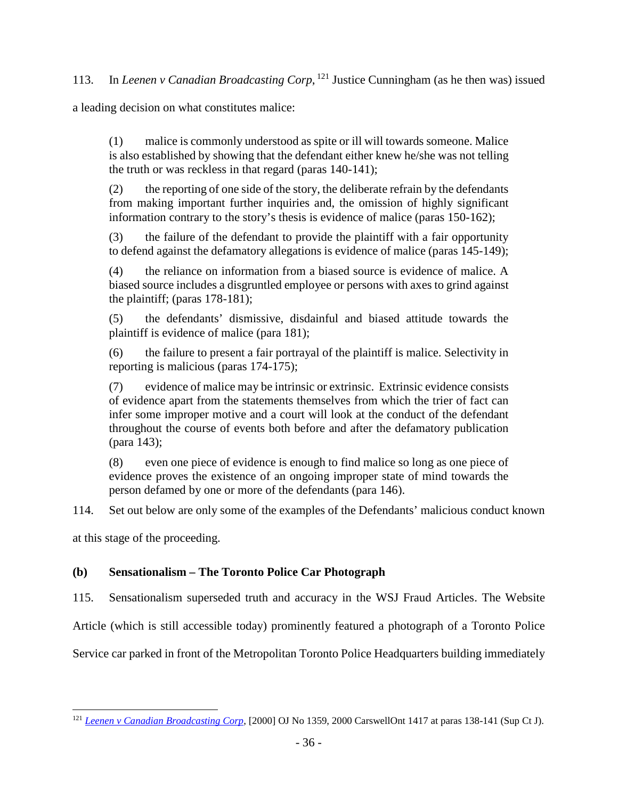113. In *Leenen v Canadian Broadcasting Corp*, <sup>121</sup> Justice Cunningham (as he then was) issued

a leading decision on what constitutes malice:

(1) malice is commonly understood as spite or ill will towards someone. Malice is also established by showing that the defendant either knew he/she was not telling the truth or was reckless in that regard (paras 140-141);

(2) the reporting of one side of the story, the deliberate refrain by the defendants from making important further inquiries and, the omission of highly significant information contrary to the story's thesis is evidence of malice (paras 150-162);

(3) the failure of the defendant to provide the plaintiff with a fair opportunity to defend against the defamatory allegations is evidence of malice (paras 145-149);

(4) the reliance on information from a biased source is evidence of malice. A biased source includes a disgruntled employee or persons with axes to grind against the plaintiff; (paras 178-181);

(5) the defendants' dismissive, disdainful and biased attitude towards the plaintiff is evidence of malice (para 181);

(6) the failure to present a fair portrayal of the plaintiff is malice. Selectivity in reporting is malicious (paras 174-175);

(7) evidence of malice may be intrinsic or extrinsic. Extrinsic evidence consists of evidence apart from the statements themselves from which the trier of fact can infer some improper motive and a court will look at the conduct of the defendant throughout the course of events both before and after the defamatory publication (para 143);

(8) even one piece of evidence is enough to find malice so long as one piece of evidence proves the existence of an ongoing improper state of mind towards the person defamed by one or more of the defendants (para 146).

114. Set out below are only some of the examples of the Defendants' malicious conduct known

at this stage of the proceeding.

## <span id="page-40-0"></span>**(b) Sensationalism – The Toronto Police Car Photograph**

115. Sensationalism superseded truth and accuracy in the WSJ Fraud Articles. The Website

Article (which is still accessible today) prominently featured a photograph of a Toronto Police

Service car parked in front of the Metropolitan Toronto Police Headquarters building immediately

<sup>121</sup> *[Leenen v Canadian Broadcasting Corp](https://www.canlii.org/en/on/onsc/doc/2000/2000canlii22380/2000canlii22380.html?#par138)*, [2000] OJ No 1359, 2000 CarswellOnt 1417 at paras 138-141 (Sup Ct J).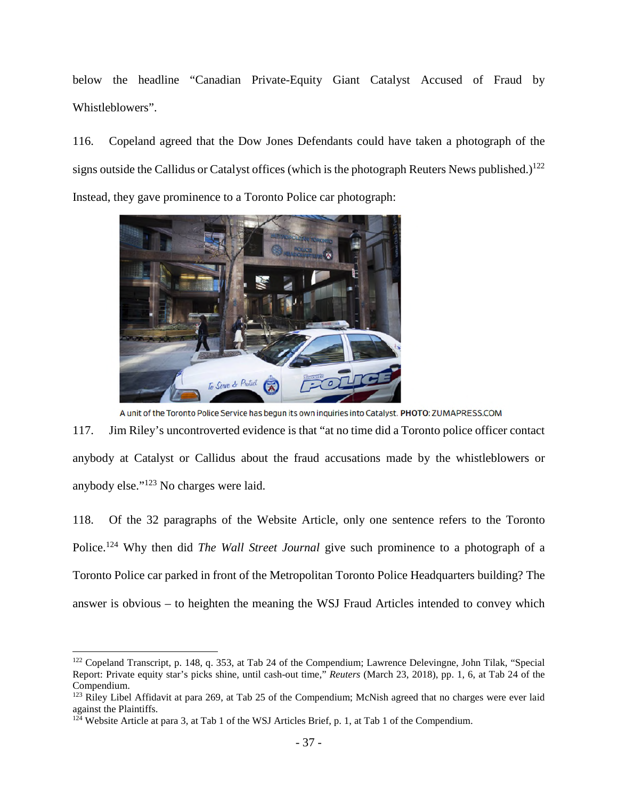below the headline "Canadian Private-Equity Giant Catalyst Accused of Fraud by Whistleblowers".

116. Copeland agreed that the Dow Jones Defendants could have taken a photograph of the signs outside the Callidus or Catalyst offices (which is the photograph Reuters News published.)<sup>122</sup> Instead, they gave prominence to a Toronto Police car photograph:



A unit of the Toronto Police Service has begun its own inquiries into Catalyst. PHOTO: ZUMAPRESS.COM

117. Jim Riley's uncontroverted evidence is that "at no time did a Toronto police officer contact anybody at Catalyst or Callidus about the fraud accusations made by the whistleblowers or anybody else."<sup>123</sup> No charges were laid.

118. Of the 32 paragraphs of the Website Article, only one sentence refers to the Toronto Police.<sup>124</sup> Why then did *The Wall Street Journal* give such prominence to a photograph of a Toronto Police car parked in front of the Metropolitan Toronto Police Headquarters building? The answer is obvious – to heighten the meaning the WSJ Fraud Articles intended to convey which

<sup>&</sup>lt;sup>122</sup> Copeland Transcript, p. 148, q. 353, at Tab 24 of the Compendium; Lawrence Delevingne, John Tilak, "Special Report: Private equity star's picks shine, until cash-out time," *Reuters* (March 23, 2018), pp. 1, 6, at Tab 24 of the Compendium.

<sup>&</sup>lt;sup>123</sup> Riley Libel Affidavit at para 269, at Tab 25 of the Compendium; McNish agreed that no charges were ever laid against the Plaintiffs.

 $124$  Website Article at para 3, at Tab 1 of the WSJ Articles Brief, p. 1, at Tab 1 of the Compendium.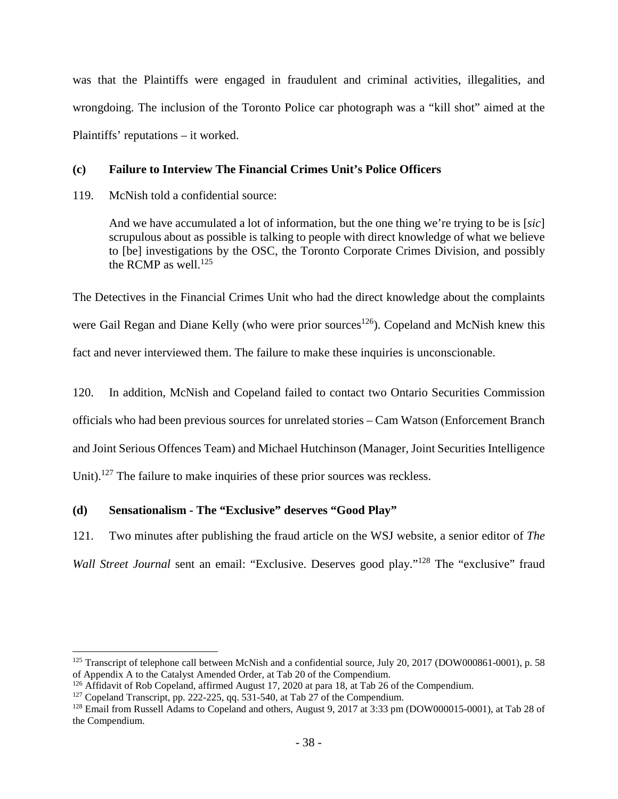was that the Plaintiffs were engaged in fraudulent and criminal activities, illegalities, and wrongdoing. The inclusion of the Toronto Police car photograph was a "kill shot" aimed at the Plaintiffs' reputations – it worked.

## <span id="page-42-0"></span>**(c) Failure to Interview The Financial Crimes Unit's Police Officers**

119. McNish told a confidential source:

And we have accumulated a lot of information, but the one thing we're trying to be is [*sic*] scrupulous about as possible is talking to people with direct knowledge of what we believe to [be] investigations by the OSC, the Toronto Corporate Crimes Division, and possibly the RCMP as well.<sup>125</sup>

The Detectives in the Financial Crimes Unit who had the direct knowledge about the complaints were Gail Regan and Diane Kelly (who were prior sources<sup>126</sup>). Copeland and McNish knew this fact and never interviewed them. The failure to make these inquiries is unconscionable.

120. In addition, McNish and Copeland failed to contact two Ontario Securities Commission officials who had been previous sources for unrelated stories – Cam Watson (Enforcement Branch and Joint Serious Offences Team) and Michael Hutchinson (Manager, Joint Securities Intelligence Unit).<sup>127</sup> The failure to make inquiries of these prior sources was reckless.

## <span id="page-42-1"></span>**(d) Sensationalism - The "Exclusive" deserves "Good Play"**

121. Two minutes after publishing the fraud article on the WSJ website, a senior editor of *The Wall Street Journal* sent an email: "Exclusive. Deserves good play."<sup>128</sup> The "exclusive" fraud

 $\overline{a}$ <sup>125</sup> Transcript of telephone call between McNish and a confidential source, July 20, 2017 (DOW000861-0001), p. 58 of Appendix A to the Catalyst Amended Order, at Tab 20 of the Compendium.

<sup>&</sup>lt;sup>126</sup> Affidavit of Rob Copeland, affirmed August 17, 2020 at para 18, at Tab 26 of the Compendium.

 $127$  Copeland Transcript, pp. 222-225, qq. 531-540, at Tab 27 of the Compendium.

<sup>&</sup>lt;sup>128</sup> Email from Russell Adams to Copeland and others, August 9, 2017 at 3:33 pm (DOW000015-0001), at Tab 28 of the Compendium.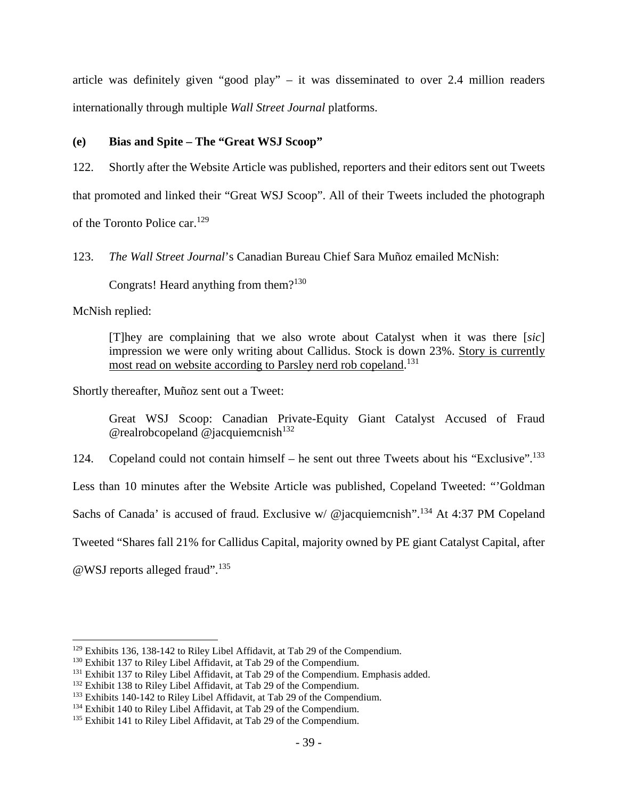article was definitely given "good play" – it was disseminated to over 2.4 million readers internationally through multiple *Wall Street Journal* platforms.

## <span id="page-43-0"></span>**(e) Bias and Spite – The "Great WSJ Scoop"**

122. Shortly after the Website Article was published, reporters and their editors sent out Tweets that promoted and linked their "Great WSJ Scoop". All of their Tweets included the photograph of the Toronto Police car.<sup>129</sup>

123. *The Wall Street Journal*'s Canadian Bureau Chief Sara Muñoz emailed McNish:

Congrats! Heard anything from them? $130$ 

McNish replied:

[T]hey are complaining that we also wrote about Catalyst when it was there [*sic*] impression we were only writing about Callidus. Stock is down 23%. Story is currently most read on website according to Parsley nerd rob copeland.<sup>131</sup>

Shortly thereafter, Muñoz sent out a Tweet:

Great WSJ Scoop: Canadian Private-Equity Giant Catalyst Accused of Fraud @realrobcopeland @jacquiemcnish<sup>132</sup>

124. Copeland could not contain himself – he sent out three Tweets about his "Exclusive".<sup>133</sup>

Less than 10 minutes after the Website Article was published, Copeland Tweeted: "'Goldman

Sachs of Canada' is accused of fraud. Exclusive w/ @jacquiemcnish".<sup>134</sup> At 4:37 PM Copeland

Tweeted "Shares fall 21% for Callidus Capital, majority owned by PE giant Catalyst Capital, after

@WSJ reports alleged fraud".<sup>135</sup>

<sup>&</sup>lt;sup>129</sup> Exhibits 136, 138-142 to Riley Libel Affidavit, at Tab 29 of the Compendium.

<sup>130</sup> Exhibit 137 to Riley Libel Affidavit, at Tab 29 of the Compendium.

<sup>&</sup>lt;sup>131</sup> Exhibit 137 to Riley Libel Affidavit, at Tab 29 of the Compendium. Emphasis added.

<sup>&</sup>lt;sup>132</sup> Exhibit 138 to Riley Libel Affidavit, at Tab 29 of the Compendium.

<sup>&</sup>lt;sup>133</sup> Exhibits 140-142 to Riley Libel Affidavit, at Tab 29 of the Compendium.

<sup>&</sup>lt;sup>134</sup> Exhibit 140 to Riley Libel Affidavit, at Tab 29 of the Compendium.

<sup>&</sup>lt;sup>135</sup> Exhibit 141 to Riley Libel Affidavit, at Tab 29 of the Compendium.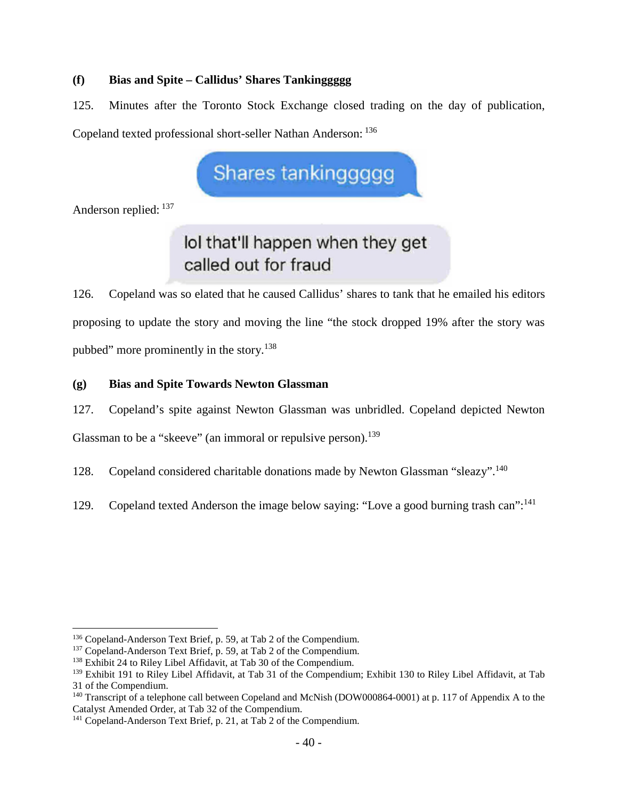## <span id="page-44-0"></span>**(f) Bias and Spite – Callidus' Shares Tankinggggg**

125. Minutes after the Toronto Stock Exchange closed trading on the day of publication, Copeland texted professional short-seller Nathan Anderson: 136

Shares tankinggggg

Anderson replied:  $137$ 

# lol that'll happen when they get called out for fraud

126. Copeland was so elated that he caused Callidus' shares to tank that he emailed his editors proposing to update the story and moving the line "the stock dropped 19% after the story was pubbed" more prominently in the story.<sup>138</sup>

## <span id="page-44-1"></span>**(g) Bias and Spite Towards Newton Glassman**

127. Copeland's spite against Newton Glassman was unbridled. Copeland depicted Newton

Glassman to be a "skeeve" (an immoral or repulsive person).<sup>139</sup>

128. Copeland considered charitable donations made by Newton Glassman "sleazy".<sup>140</sup>

129. Copeland texted Anderson the image below saying: "Love a good burning trash can":<sup>141</sup>

 <sup>136</sup> Copeland-Anderson Text Brief, p. 59, at Tab 2 of the Compendium.

<sup>&</sup>lt;sup>137</sup> Copeland-Anderson Text Brief, p. 59, at Tab 2 of the Compendium.

<sup>&</sup>lt;sup>138</sup> Exhibit 24 to Riley Libel Affidavit, at Tab 30 of the Compendium.

<sup>139</sup> Exhibit 191 to Riley Libel Affidavit, at Tab 31 of the Compendium; Exhibit 130 to Riley Libel Affidavit, at Tab 31 of the Compendium.

<sup>140</sup> Transcript of a telephone call between Copeland and McNish (DOW000864-0001) at p. 117 of Appendix A to the Catalyst Amended Order, at Tab 32 of the Compendium.

<sup>141</sup> Copeland-Anderson Text Brief, p. 21, at Tab 2 of the Compendium.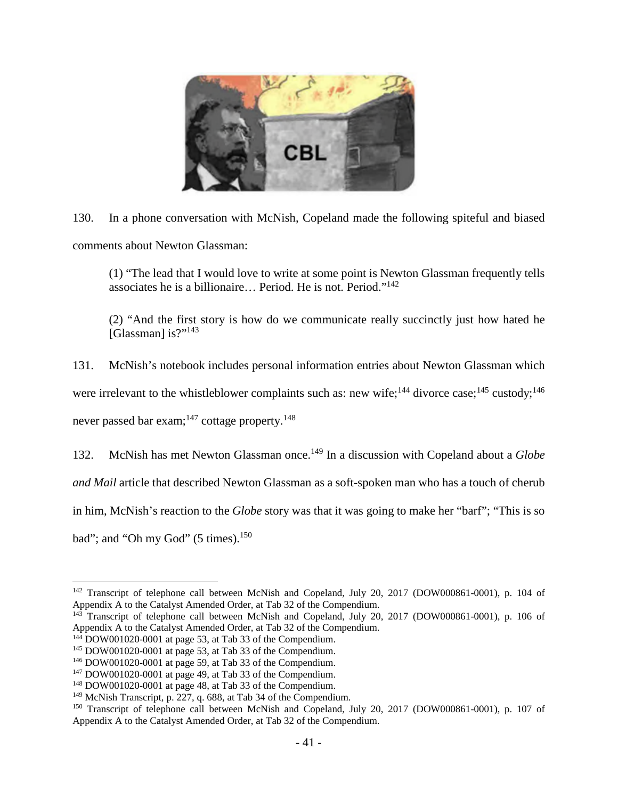

130. In a phone conversation with McNish, Copeland made the following spiteful and biased comments about Newton Glassman:

(1) "The lead that I would love to write at some point is Newton Glassman frequently tells associates he is a billionaire... Period. He is not. Period."<sup>142</sup>

(2) "And the first story is how do we communicate really succinctly just how hated he [Glassman] is?" $143$ 

131. McNish's notebook includes personal information entries about Newton Glassman which were irrelevant to the whistleblower complaints such as: new wife;<sup>144</sup> divorce case;<sup>145</sup> custody;<sup>146</sup> never passed bar exam;<sup>147</sup> cottage property.<sup>148</sup>

132. McNish has met Newton Glassman once.<sup>149</sup> In a discussion with Copeland about a *Globe* 

*and Mail* article that described Newton Glassman as a soft-spoken man who has a touch of cherub

in him, McNish's reaction to the *Globe* story was that it was going to make her "barf"; "This is so

bad"; and "Oh my God"  $(5 \text{ times})$ .<sup>150</sup>

<sup>142</sup> Transcript of telephone call between McNish and Copeland, July 20, 2017 (DOW000861-0001), p. 104 of Appendix A to the Catalyst Amended Order, at Tab 32 of the Compendium.

<sup>&</sup>lt;sup>143</sup> Transcript of telephone call between McNish and Copeland, July 20, 2017 (DOW000861-0001), p. 106 of Appendix A to the Catalyst Amended Order, at Tab 32 of the Compendium.

<sup>144</sup> DOW001020-0001 at page 53, at Tab 33 of the Compendium.

 $145$  DOW001020-0001 at page 53, at Tab 33 of the Compendium.

<sup>146</sup> DOW001020-0001 at page 59, at Tab 33 of the Compendium.

<sup>147</sup> DOW001020-0001 at page 49, at Tab 33 of the Compendium.

<sup>148</sup> DOW001020-0001 at page 48, at Tab 33 of the Compendium.

<sup>&</sup>lt;sup>149</sup> McNish Transcript, p.  $227$ , q. 688, at Tab 34 of the Compendium.

<sup>150</sup> Transcript of telephone call between McNish and Copeland, July 20, 2017 (DOW000861-0001), p. 107 of Appendix A to the Catalyst Amended Order, at Tab 32 of the Compendium.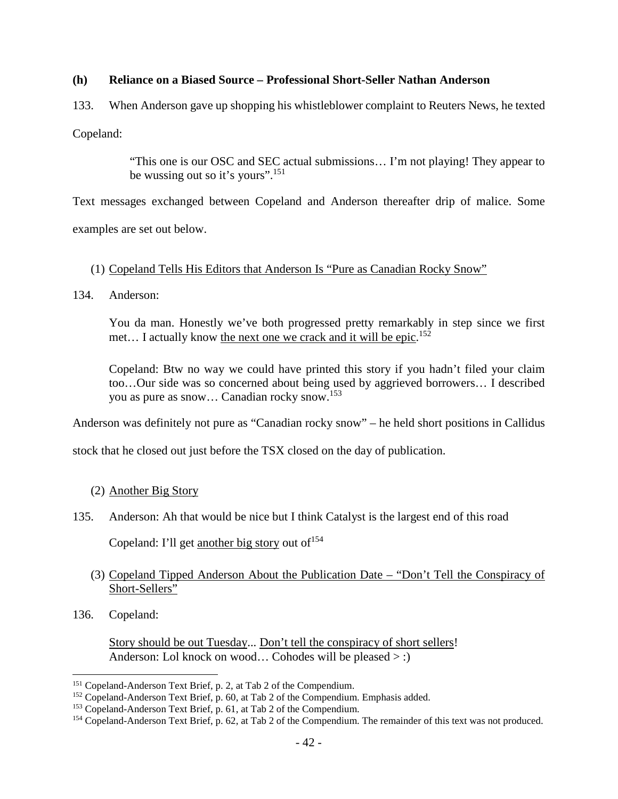## <span id="page-46-0"></span>**(h) Reliance on a Biased Source – Professional Short-Seller Nathan Anderson**

133. When Anderson gave up shopping his whistleblower complaint to Reuters News, he texted Copeland:

> "This one is our OSC and SEC actual submissions… I'm not playing! They appear to be wussing out so it's yours".<sup>151</sup>

Text messages exchanged between Copeland and Anderson thereafter drip of malice. Some examples are set out below.

#### (1) Copeland Tells His Editors that Anderson Is "Pure as Canadian Rocky Snow"

134. Anderson:

You da man. Honestly we've both progressed pretty remarkably in step since we first met... I actually know the next one we crack and it will be epic.<sup>152</sup>

Copeland: Btw no way we could have printed this story if you hadn't filed your claim too…Our side was so concerned about being used by aggrieved borrowers… I described you as pure as snow... Canadian rocky snow.<sup>153</sup>

Anderson was definitely not pure as "Canadian rocky snow" – he held short positions in Callidus

stock that he closed out just before the TSX closed on the day of publication.

## (2) Another Big Story

135. Anderson: Ah that would be nice but I think Catalyst is the largest end of this road

Copeland: I'll get another big story out of<sup>154</sup>

- (3) Copeland Tipped Anderson About the Publication Date "Don't Tell the Conspiracy of Short-Sellers"
- 136. Copeland:

 $\overline{a}$ 

Story should be out Tuesday... Don't tell the conspiracy of short sellers! Anderson: Lol knock on wood... Cohodes will be pleased  $>$ :)

<sup>&</sup>lt;sup>151</sup> Copeland-Anderson Text Brief, p. 2, at Tab 2 of the Compendium.

 $152$  Copeland-Anderson Text Brief, p. 60, at Tab 2 of the Compendium. Emphasis added.

<sup>&</sup>lt;sup>153</sup> Copeland-Anderson Text Brief, p. 61, at Tab 2 of the Compendium.

<sup>154</sup> Copeland-Anderson Text Brief, p. 62, at Tab 2 of the Compendium. The remainder of this text was not produced.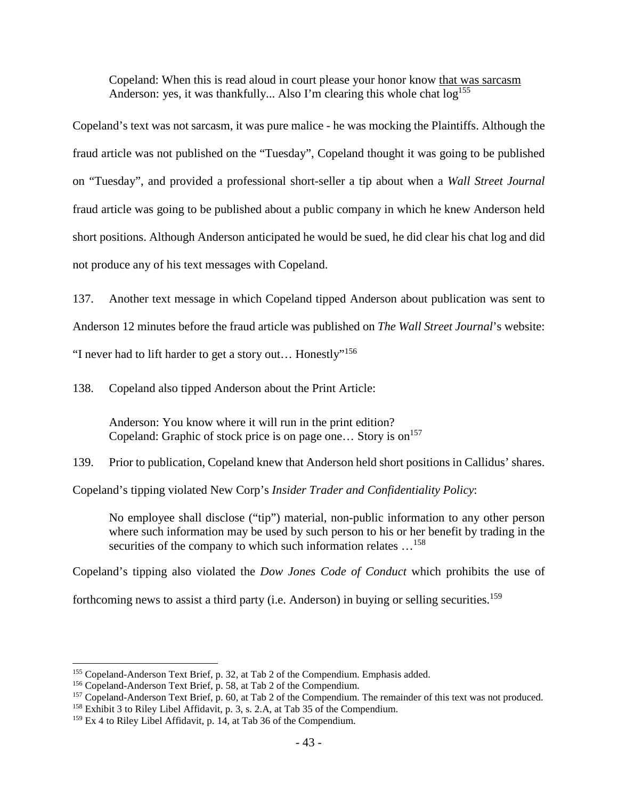Copeland: When this is read aloud in court please your honor know that was sarcasm Anderson: yes, it was thankfully... Also I'm clearing this whole chat  $log<sup>155</sup>$ 

Copeland's text was not sarcasm, it was pure malice - he was mocking the Plaintiffs. Although the fraud article was not published on the "Tuesday", Copeland thought it was going to be published on "Tuesday", and provided a professional short-seller a tip about when a *Wall Street Journal* fraud article was going to be published about a public company in which he knew Anderson held short positions. Although Anderson anticipated he would be sued, he did clear his chat log and did not produce any of his text messages with Copeland.

137. Another text message in which Copeland tipped Anderson about publication was sent to Anderson 12 minutes before the fraud article was published on *The Wall Street Journal*'s website: "I never had to lift harder to get a story out... Honestly"<sup>156</sup>

138. Copeland also tipped Anderson about the Print Article:

Anderson: You know where it will run in the print edition? Copeland: Graphic of stock price is on page one... Story is  $\text{on}^{157}$ 

139. Prior to publication, Copeland knew that Anderson held short positions in Callidus' shares.

Copeland's tipping violated New Corp's *Insider Trader and Confidentiality Policy*:

No employee shall disclose ("tip") material, non-public information to any other person where such information may be used by such person to his or her benefit by trading in the securities of the company to which such information relates ...<sup>158</sup>

Copeland's tipping also violated the *Dow Jones Code of Conduct* which prohibits the use of

forthcoming news to assist a third party (i.e. Anderson) in buying or selling securities.<sup>159</sup>

<sup>155</sup> Copeland-Anderson Text Brief, p. 32, at Tab 2 of the Compendium. Emphasis added.

<sup>156</sup> Copeland-Anderson Text Brief, p. 58, at Tab 2 of the Compendium.

<sup>&</sup>lt;sup>157</sup> Copeland-Anderson Text Brief, p. 60, at Tab 2 of the Compendium. The remainder of this text was not produced.

<sup>158</sup> Exhibit 3 to Riley Libel Affidavit, p. 3, s. 2.A, at Tab 35 of the Compendium.

<sup>&</sup>lt;sup>159</sup> Ex 4 to Riley Libel Affidavit, p. 14, at Tab 36 of the Compendium.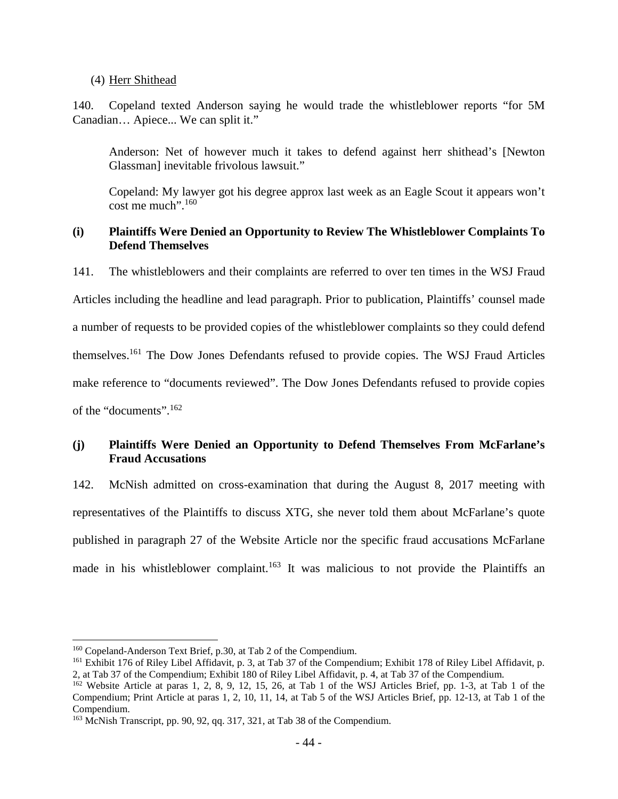#### (4) Herr Shithead

140. Copeland texted Anderson saying he would trade the whistleblower reports "for 5M Canadian… Apiece... We can split it."

Anderson: Net of however much it takes to defend against herr shithead's [Newton Glassman] inevitable frivolous lawsuit."

Copeland: My lawyer got his degree approx last week as an Eagle Scout it appears won't cost me much"<sup>160</sup>

## <span id="page-48-0"></span>**(i) Plaintiffs Were Denied an Opportunity to Review The Whistleblower Complaints To Defend Themselves**

141. The whistleblowers and their complaints are referred to over ten times in the WSJ Fraud Articles including the headline and lead paragraph. Prior to publication, Plaintiffs' counsel made a number of requests to be provided copies of the whistleblower complaints so they could defend themselves.<sup>161</sup> The Dow Jones Defendants refused to provide copies. The WSJ Fraud Articles make reference to "documents reviewed". The Dow Jones Defendants refused to provide copies of the "documents".<sup>162</sup>

## <span id="page-48-1"></span>**(j) Plaintiffs Were Denied an Opportunity to Defend Themselves From McFarlane's Fraud Accusations**

142. McNish admitted on cross-examination that during the August 8, 2017 meeting with representatives of the Plaintiffs to discuss XTG, she never told them about McFarlane's quote published in paragraph 27 of the Website Article nor the specific fraud accusations McFarlane made in his whistleblower complaint.<sup>163</sup> It was malicious to not provide the Plaintiffs an

<sup>160</sup> Copeland-Anderson Text Brief, p.30, at Tab 2 of the Compendium.

<sup>161</sup> Exhibit 176 of Riley Libel Affidavit, p. 3, at Tab 37 of the Compendium; Exhibit 178 of Riley Libel Affidavit, p. 2, at Tab 37 of the Compendium; Exhibit 180 of Riley Libel Affidavit, p. 4, at Tab 37 of the Compendium.

 $162$  Website Article at paras 1, 2, 8, 9, 12, 15, 26, at Tab 1 of the WSJ Articles Brief, pp. 1-3, at Tab 1 of the Compendium; Print Article at paras 1, 2, 10, 11, 14, at Tab 5 of the WSJ Articles Brief, pp. 12-13, at Tab 1 of the Compendium.

<sup>&</sup>lt;sup>163</sup> McNish Transcript, pp. 90, 92, qq. 317, 321, at Tab 38 of the Compendium.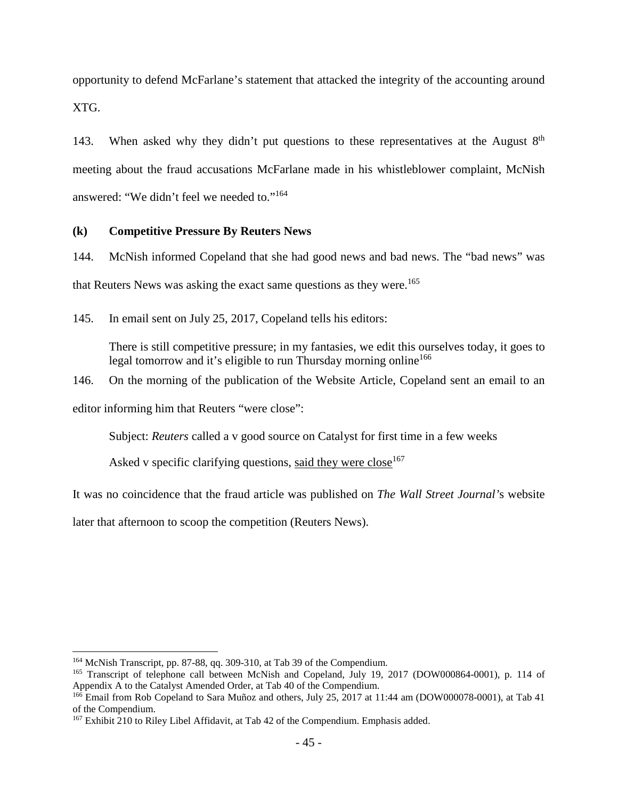opportunity to defend McFarlane's statement that attacked the integrity of the accounting around XTG.

143. When asked why they didn't put questions to these representatives at the August  $8<sup>th</sup>$ meeting about the fraud accusations McFarlane made in his whistleblower complaint, McNish answered: "We didn't feel we needed to."<sup>164</sup>

## <span id="page-49-0"></span>**(k) Competitive Pressure By Reuters News**

144. McNish informed Copeland that she had good news and bad news. The "bad news" was that Reuters News was asking the exact same questions as they were.<sup>165</sup>

145. In email sent on July 25, 2017, Copeland tells his editors:

There is still competitive pressure; in my fantasies, we edit this ourselves today, it goes to legal tomorrow and it's eligible to run Thursday morning online<sup>166</sup>

146. On the morning of the publication of the Website Article, Copeland sent an email to an editor informing him that Reuters "were close":

Subject: *Reuters* called a v good source on Catalyst for first time in a few weeks

Asked v specific clarifying questions, said they were close<sup>167</sup>

It was no coincidence that the fraud article was published on *The Wall Street Journal'*s website

later that afternoon to scoop the competition (Reuters News).

 $\overline{a}$ <sup>164</sup> McNish Transcript, pp. 87-88, qq. 309-310, at Tab 39 of the Compendium.

<sup>&</sup>lt;sup>165</sup> Transcript of telephone call between McNish and Copeland, July 19, 2017 (DOW000864-0001), p. 114 of Appendix A to the Catalyst Amended Order, at Tab 40 of the Compendium.

<sup>166</sup> Email from Rob Copeland to Sara Muñoz and others, July 25, 2017 at 11:44 am (DOW000078-0001), at Tab 41 of the Compendium.

<sup>&</sup>lt;sup>167</sup> Exhibit 210 to Riley Libel Affidavit, at Tab 42 of the Compendium. Emphasis added.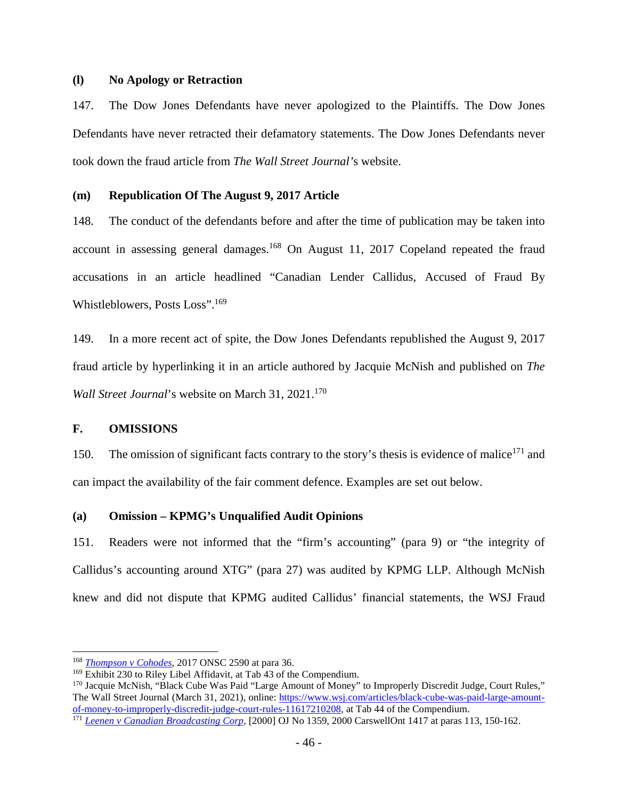#### <span id="page-50-0"></span>**(l) No Apology or Retraction**

147. The Dow Jones Defendants have never apologized to the Plaintiffs. The Dow Jones Defendants have never retracted their defamatory statements. The Dow Jones Defendants never took down the fraud article from *The Wall Street Journal'*s website.

#### <span id="page-50-1"></span>**(m) Republication Of The August 9, 2017 Article**

148. The conduct of the defendants before and after the time of publication may be taken into account in assessing general damages.<sup>168</sup> On August 11, 2017 Copeland repeated the fraud accusations in an article headlined "Canadian Lender Callidus, Accused of Fraud By Whistleblowers, Posts Loss".<sup>169</sup>

149. In a more recent act of spite, the Dow Jones Defendants republished the August 9, 2017 fraud article by hyperlinking it in an article authored by Jacquie McNish and published on *The Wall Street Journal's* website on March 31, 2021.<sup>170</sup>

#### <span id="page-50-2"></span>**F. OMISSIONS**

 $\overline{a}$ 

150. The omission of significant facts contrary to the story's thesis is evidence of malice $171$  and can impact the availability of the fair comment defence. Examples are set out below.

#### <span id="page-50-3"></span>**(a) Omission – KPMG's Unqualified Audit Opinions**

151. Readers were not informed that the "firm's accounting" (para 9) or "the integrity of Callidus's accounting around XTG" (para 27) was audited by KPMG LLP. Although McNish knew and did not dispute that KPMG audited Callidus' financial statements, the WSJ Fraud

<sup>168</sup> *[Thompson v Cohodes](https://www.canlii.org/en/on/onsc/doc/2017/2017onsc2590/2017onsc2590.html?#par36)*, 2017 ONSC 2590 at para 36.

 $169$  Exhibit 230 to Riley Libel Affidavit, at Tab 43 of the Compendium.

<sup>&</sup>lt;sup>170</sup> Jacquie McNish, "Black Cube Was Paid "Large Amount of Money" to Improperly Discredit Judge, Court Rules," The Wall Street Journal (March 31, 2021), online: [https://www.wsj.com/articles/black-cube-was-paid-large-amount](https://www.wsj.com/articles/black-cube-was-paid-large-amount-of-money-to-improperly-discredit-judge-court-rules-11617210208)[of-money-to-improperly-discredit-judge-court-rules-11617210208,](https://www.wsj.com/articles/black-cube-was-paid-large-amount-of-money-to-improperly-discredit-judge-court-rules-11617210208) at Tab 44 of the Compendium.

<sup>&</sup>lt;sup>171</sup> *[Leenen v Canadian Broadcasting Corp](https://www.canlii.org/en/on/onsc/doc/2000/2000canlii22380/2000canlii22380.html?#par113)*, [2000] OJ No 1359, 2000 CarswellOnt 1417 at paras 113, 150-162.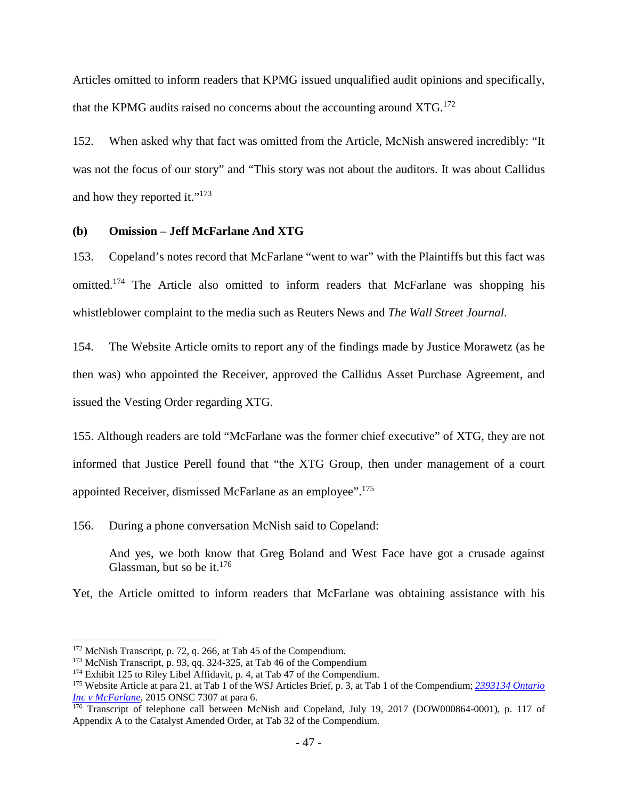Articles omitted to inform readers that KPMG issued unqualified audit opinions and specifically, that the KPMG audits raised no concerns about the accounting around  $XTG$ .<sup>172</sup>

152. When asked why that fact was omitted from the Article, McNish answered incredibly: "It was not the focus of our story" and "This story was not about the auditors. It was about Callidus and how they reported it." $173$ 

#### <span id="page-51-0"></span>**(b) Omission – Jeff McFarlane And XTG**

153. Copeland's notes record that McFarlane "went to war" with the Plaintiffs but this fact was omitted.<sup>174</sup> The Article also omitted to inform readers that McFarlane was shopping his whistleblower complaint to the media such as Reuters News and *The Wall Street Journal*.

154. The Website Article omits to report any of the findings made by Justice Morawetz (as he then was) who appointed the Receiver, approved the Callidus Asset Purchase Agreement, and issued the Vesting Order regarding XTG.

155. Although readers are told "McFarlane was the former chief executive" of XTG, they are not informed that Justice Perell found that "the XTG Group, then under management of a court appointed Receiver, dismissed McFarlane as an employee".<sup>175</sup>

156. During a phone conversation McNish said to Copeland:

And yes, we both know that Greg Boland and West Face have got a crusade against Glassman, but so be it. $176$ 

Yet, the Article omitted to inform readers that McFarlane was obtaining assistance with his

<sup>&</sup>lt;sup>172</sup> McNish Transcript, p. 72, q. 266, at Tab 45 of the Compendium.

 $173$  McNish Transcript, p. 93, qq. 324-325, at Tab 46 of the Compendium

<sup>&</sup>lt;sup>174</sup> Exhibit 125 to Riley Libel Affidavit, p. 4, at Tab 47 of the Compendium.

<sup>175</sup> Website Article at para 21, at Tab 1 of the WSJ Articles Brief, p. 3, at Tab 1 of the Compendium; *[2393134 Ontario](https://www.canlii.org/en/on/onsc/doc/2015/2015onsc7307/2015onsc7307.html?#par6)  [Inc v McFarlane](https://www.canlii.org/en/on/onsc/doc/2015/2015onsc7307/2015onsc7307.html?#par6)*, 2015 ONSC 7307 at para 6.

 $\frac{176}{176}$  Transcript of telephone call between McNish and Copeland, July 19, 2017 (DOW000864-0001), p. 117 of Appendix A to the Catalyst Amended Order, at Tab 32 of the Compendium.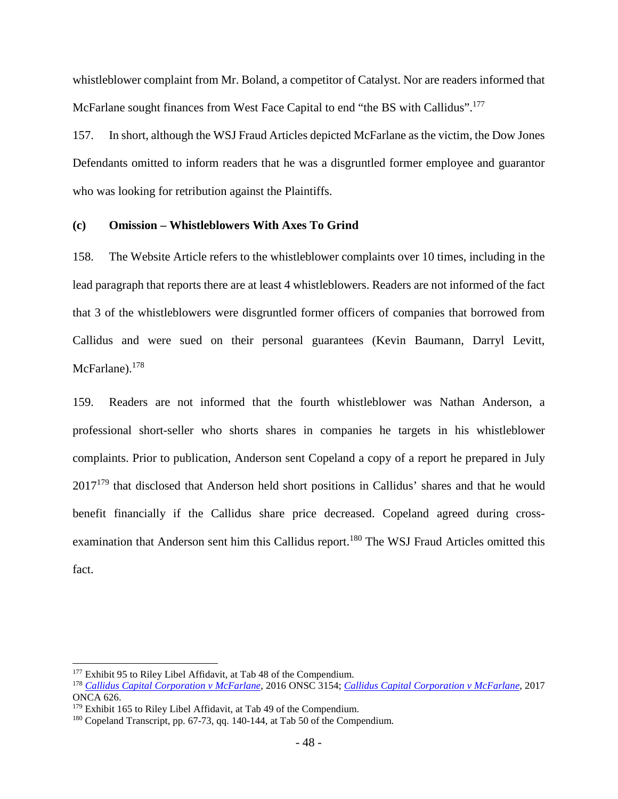whistleblower complaint from Mr. Boland, a competitor of Catalyst. Nor are readers informed that McFarlane sought finances from West Face Capital to end "the BS with Callidus".<sup>177</sup>

157. In short, although the WSJ Fraud Articles depicted McFarlane as the victim, the Dow Jones Defendants omitted to inform readers that he was a disgruntled former employee and guarantor who was looking for retribution against the Plaintiffs.

#### <span id="page-52-0"></span>**(c) Omission – Whistleblowers With Axes To Grind**

158. The Website Article refers to the whistleblower complaints over 10 times, including in the lead paragraph that reports there are at least 4 whistleblowers. Readers are not informed of the fact that 3 of the whistleblowers were disgruntled former officers of companies that borrowed from Callidus and were sued on their personal guarantees (Kevin Baumann, Darryl Levitt, McFarlane).<sup>178</sup>

159. Readers are not informed that the fourth whistleblower was Nathan Anderson, a professional short-seller who shorts shares in companies he targets in his whistleblower complaints. Prior to publication, Anderson sent Copeland a copy of a report he prepared in July 2017<sup>179</sup> that disclosed that Anderson held short positions in Callidus' shares and that he would benefit financially if the Callidus share price decreased. Copeland agreed during crossexamination that Anderson sent him this Callidus report.<sup>180</sup> The WSJ Fraud Articles omitted this fact.

<sup>&</sup>lt;sup>177</sup> Exhibit 95 to Riley Libel Affidavit, at Tab 48 of the Compendium.

<sup>178</sup> *[Callidus Capital Corporation v McFarlane](https://www.canlii.org/en/on/onsc/doc/2016/2016onsc3451/2016onsc3451.html?)*, 2016 ONSC 3154; *[Callidus Capital Corporation v McFarlane](https://www.canlii.org/en/on/onca/doc/2017/2017onca626/2017onca626.html)*, 2017 ONCA 626.

<sup>&</sup>lt;sup>179</sup> Exhibit 165 to Riley Libel Affidavit, at Tab 49 of the Compendium.

<sup>&</sup>lt;sup>180</sup> Copeland Transcript, pp. 67-73, qq. 140-144, at Tab 50 of the Compendium.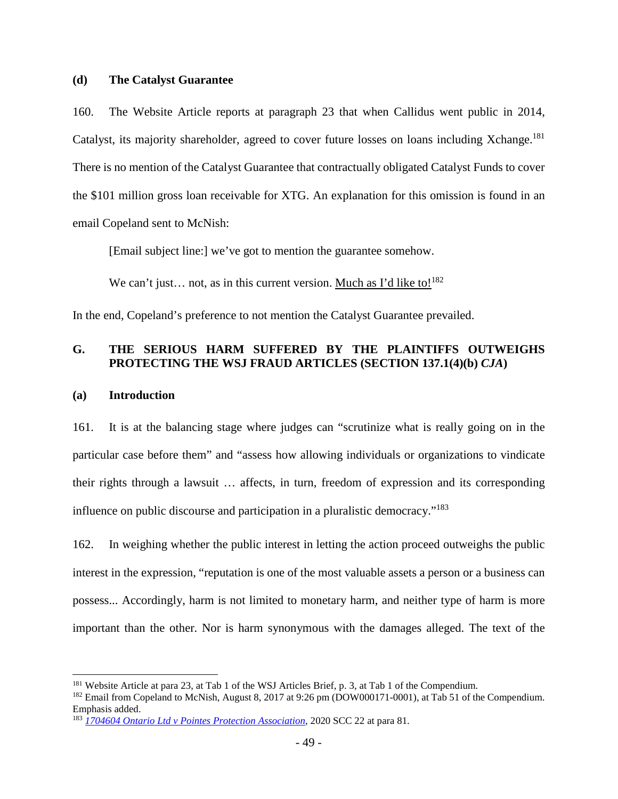#### <span id="page-53-0"></span>**(d) The Catalyst Guarantee**

160. The Website Article reports at paragraph 23 that when Callidus went public in 2014, Catalyst, its majority shareholder, agreed to cover future losses on loans including Xchange.<sup>181</sup> There is no mention of the Catalyst Guarantee that contractually obligated Catalyst Funds to cover the \$101 million gross loan receivable for XTG. An explanation for this omission is found in an email Copeland sent to McNish:

[Email subject line:] we've got to mention the guarantee somehow.

We can't just... not, as in this current version. Much as I'd like to!<sup>182</sup>

In the end, Copeland's preference to not mention the Catalyst Guarantee prevailed.

## <span id="page-53-1"></span>**G. THE SERIOUS HARM SUFFERED BY THE PLAINTIFFS OUTWEIGHS PROTECTING THE WSJ FRAUD ARTICLES (SECTION 137.1(4)(b)** *CJA***)**

#### <span id="page-53-2"></span>**(a) Introduction**

 $\overline{a}$ 

161. It is at the balancing stage where judges can "scrutinize what is really going on in the particular case before them" and "assess how allowing individuals or organizations to vindicate their rights through a lawsuit … affects, in turn, freedom of expression and its corresponding influence on public discourse and participation in a pluralistic democracy."<sup>183</sup>

162. In weighing whether the public interest in letting the action proceed outweighs the public interest in the expression, "reputation is one of the most valuable assets a person or a business can possess... Accordingly, harm is not limited to monetary harm, and neither type of harm is more important than the other. Nor is harm synonymous with the damages alleged. The text of the

<sup>&</sup>lt;sup>181</sup> Website Article at para 23, at Tab 1 of the WSJ Articles Brief, p. 3, at Tab 1 of the Compendium.

<sup>&</sup>lt;sup>182</sup> Email from Copeland to McNish, August 8, 2017 at 9:26 pm (DOW000171-0001), at Tab 51 of the Compendium. Emphasis added.

<sup>183</sup> *[1704604 Ontario Ltd v Pointes Protection Association](https://www.canlii.org/en/ca/scc/doc/2020/2020scc22/2020scc22.html?#par81)*, 2020 SCC 22 at para 81.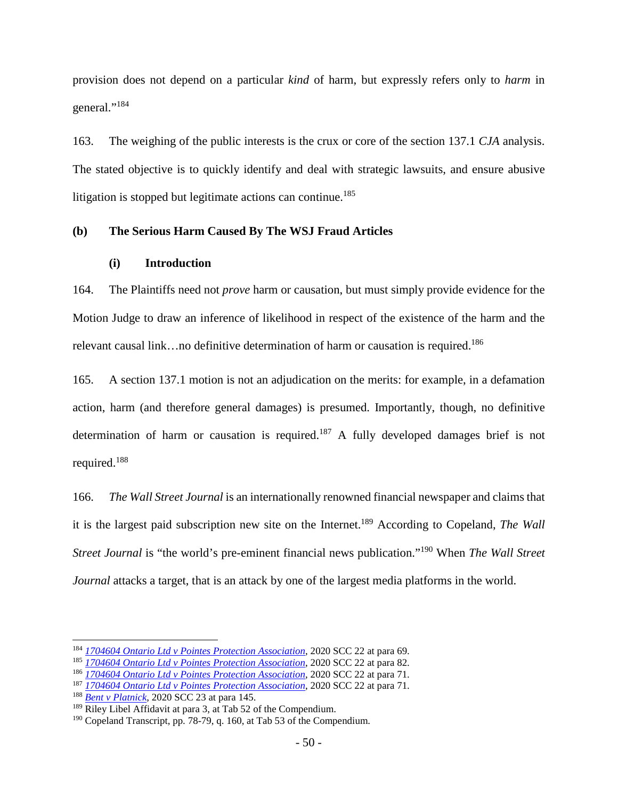provision does not depend on a particular *kind* of harm, but expressly refers only to *harm* in general."<sup>184</sup>

163. The weighing of the public interests is the crux or core of the section 137.1 *CJA* analysis. The stated objective is to quickly identify and deal with strategic lawsuits, and ensure abusive litigation is stopped but legitimate actions can continue.<sup>185</sup>

#### <span id="page-54-0"></span>**(b) The Serious Harm Caused By The WSJ Fraud Articles**

#### **(i) Introduction**

<span id="page-54-1"></span>164. The Plaintiffs need not *prove* harm or causation, but must simply provide evidence for the Motion Judge to draw an inference of likelihood in respect of the existence of the harm and the relevant causal link...no definitive determination of harm or causation is required.<sup>186</sup>

165. A section 137.1 motion is not an adjudication on the merits: for example, in a defamation action, harm (and therefore general damages) is presumed. Importantly, though, no definitive determination of harm or causation is required.<sup>187</sup> A fully developed damages brief is not required.<sup>188</sup>

166. *The Wall Street Journal* is an internationally renowned financial newspaper and claims that it is the largest paid subscription new site on the Internet.<sup>189</sup> According to Copeland, *The Wall Street Journal* is "the world's pre-eminent financial news publication."<sup>190</sup> When *The Wall Street Journal* attacks a target, that is an attack by one of the largest media platforms in the world.

<sup>184</sup> *[1704604 Ontario Ltd v Pointes Protection Association](https://www.canlii.org/en/ca/scc/doc/2020/2020scc22/2020scc22.html?#par69)*, 2020 SCC 22 at para 69.

<sup>185</sup> *[1704604 Ontario Ltd v Pointes Protection Association](https://www.canlii.org/en/ca/scc/doc/2020/2020scc22/2020scc22.html?#par82)*, 2020 SCC 22 at para 82.

<sup>186</sup> *[1704604 Ontario Ltd v Pointes Protection Association](https://www.canlii.org/en/ca/scc/doc/2020/2020scc22/2020scc22.html?#par71)*, 2020 SCC 22 at para 71.

<sup>187</sup> *[1704604 Ontario Ltd v Pointes Protection Association](https://www.canlii.org/en/ca/scc/doc/2020/2020scc22/2020scc22.html?#par71)*, 2020 SCC 22 at para 71.

<sup>188</sup> *[Bent v Platnick](https://www.canlii.org/en/ca/scc/doc/2020/2020scc23/2020scc23.html?#par145)*, 2020 SCC 23 at para 145.

<sup>&</sup>lt;sup>189</sup> Riley Libel Affidavit at para 3, at Tab 52 of the Compendium.

<sup>&</sup>lt;sup>190</sup> Copeland Transcript, pp. 78-79, q. 160, at Tab 53 of the Compendium.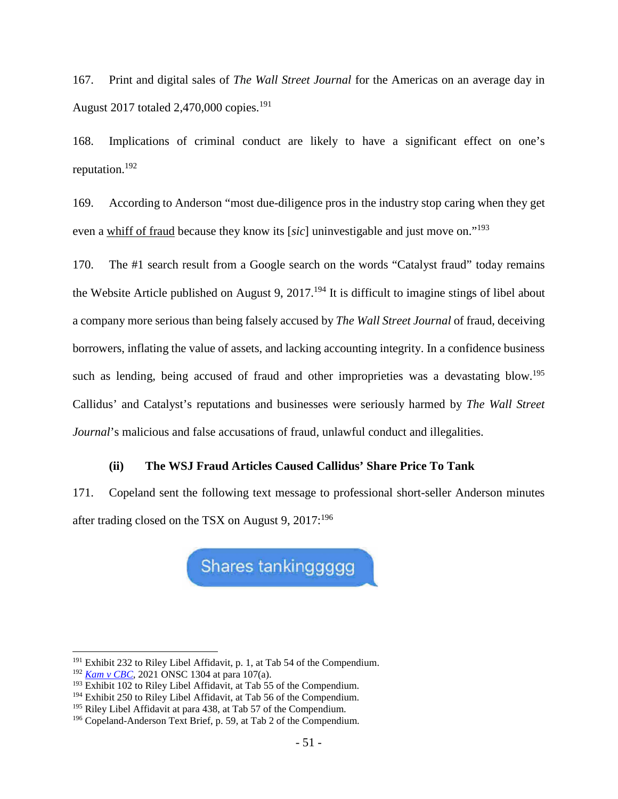167. Print and digital sales of *The Wall Street Journal* for the Americas on an average day in August 2017 totaled  $2,470,000$  copies.<sup>191</sup>

168. Implications of criminal conduct are likely to have a significant effect on one's reputation.<sup>192</sup>

169. According to Anderson "most due-diligence pros in the industry stop caring when they get even a whiff of fraud because they know its [*sic*] uninvestigable and just move on."<sup>193</sup>

170. The #1 search result from a Google search on the words "Catalyst fraud" today remains the Website Article published on August 9,  $2017$ .<sup>194</sup> It is difficult to imagine stings of libel about a company more serious than being falsely accused by *The Wall Street Journal* of fraud, deceiving borrowers, inflating the value of assets, and lacking accounting integrity. In a confidence business such as lending, being accused of fraud and other improprieties was a devastating blow.<sup>195</sup> Callidus' and Catalyst's reputations and businesses were seriously harmed by *The Wall Street Journal*'s malicious and false accusations of fraud, unlawful conduct and illegalities.

## **(ii) The WSJ Fraud Articles Caused Callidus' Share Price To Tank**

<span id="page-55-0"></span>171. Copeland sent the following text message to professional short-seller Anderson minutes after trading closed on the TSX on August 9,  $2017$ :<sup>196</sup>

Shares tankinggggg

<sup>&</sup>lt;sup>191</sup> Exhibit 232 to Riley Libel Affidavit, p. 1, at Tab 54 of the Compendium.

<sup>192</sup> *[Kam v CBC](https://www.canlii.org/en/on/onsc/doc/2021/2021onsc1304/2021onsc1304.html?#par107)*, 2021 ONSC 1304 at para 107(a).

<sup>&</sup>lt;sup>193</sup> Exhibit 102 to Riley Libel Affidavit, at Tab 55 of the Compendium.

<sup>&</sup>lt;sup>194</sup> Exhibit 250 to Riley Libel Affidavit, at Tab 56 of the Compendium.

<sup>&</sup>lt;sup>195</sup> Riley Libel Affidavit at para 438, at Tab 57 of the Compendium.

<sup>196</sup> Copeland-Anderson Text Brief, p. 59, at Tab 2 of the Compendium.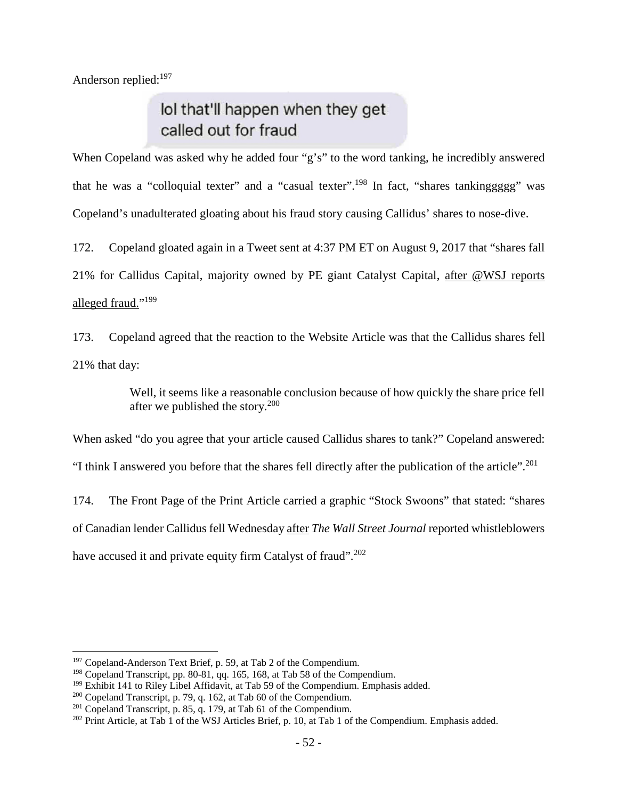Anderson replied:<sup>197</sup>

## lol that'll happen when they get called out for fraud

When Copeland was asked why he added four "g's" to the word tanking, he incredibly answered that he was a "colloquial texter" and a "casual texter".<sup>198</sup> In fact, "shares tankinggggg" was Copeland's unadulterated gloating about his fraud story causing Callidus' shares to nose-dive.

172. Copeland gloated again in a Tweet sent at 4:37 PM ET on August 9, 2017 that "shares fall 21% for Callidus Capital, majority owned by PE giant Catalyst Capital, after @WSJ reports alleged fraud."<sup>199</sup>

173. Copeland agreed that the reaction to the Website Article was that the Callidus shares fell 21% that day:

> Well, it seems like a reasonable conclusion because of how quickly the share price fell after we published the story. $200$

When asked "do you agree that your article caused Callidus shares to tank?" Copeland answered:

"I think I answered you before that the shares fell directly after the publication of the article".<sup>201</sup>

174. The Front Page of the Print Article carried a graphic "Stock Swoons" that stated: "shares of Canadian lender Callidus fell Wednesday after *The Wall Street Journal* reported whistleblowers have accused it and private equity firm Catalyst of fraud".<sup>202</sup>

<sup>&</sup>lt;sup>197</sup> Copeland-Anderson Text Brief, p. 59, at Tab 2 of the Compendium.

<sup>198</sup> Copeland Transcript, pp. 80-81, qq. 165, 168, at Tab 58 of the Compendium.

<sup>&</sup>lt;sup>199</sup> Exhibit 141 to Riley Libel Affidavit, at Tab 59 of the Compendium. Emphasis added.

<sup>200</sup> Copeland Transcript, p. 79, q. 162, at Tab 60 of the Compendium.

<sup>201</sup> Copeland Transcript, p. 85, q. 179, at Tab 61 of the Compendium.

<sup>&</sup>lt;sup>202</sup> Print Article, at Tab 1 of the WSJ Articles Brief, p. 10, at Tab 1 of the Compendium. Emphasis added.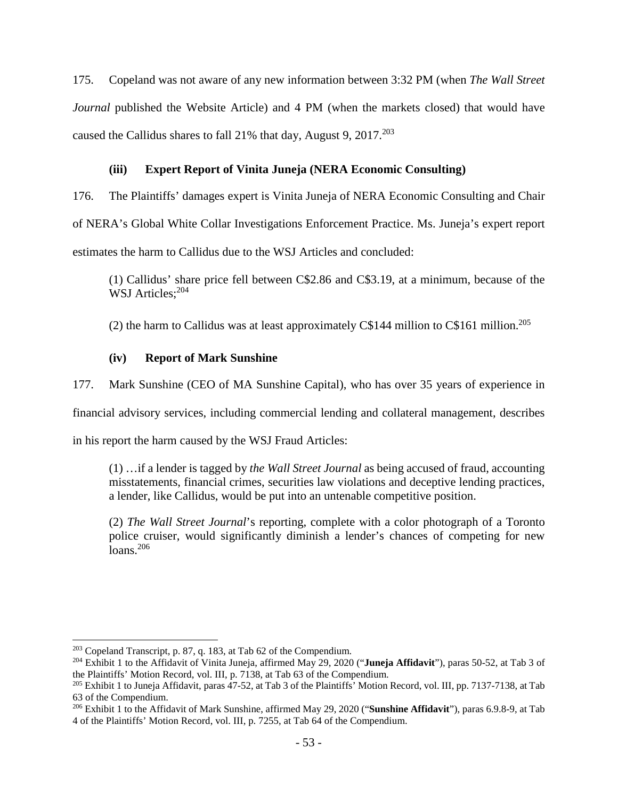175. Copeland was not aware of any new information between 3:32 PM (when *The Wall Street Journal* published the Website Article) and 4 PM (when the markets closed) that would have caused the Callidus shares to fall 21% that day, August 9,  $2017$ <sup>203</sup>

## **(iii) Expert Report of Vinita Juneja (NERA Economic Consulting)**

<span id="page-57-0"></span>176. The Plaintiffs' damages expert is Vinita Juneja of NERA Economic Consulting and Chair

of NERA's Global White Collar Investigations Enforcement Practice. Ms. Juneja's expert report

estimates the harm to Callidus due to the WSJ Articles and concluded:

(1) Callidus' share price fell between C\$2.86 and C\$3.19, at a minimum, because of the WSJ Articles:<sup>204</sup>

(2) the harm to Callidus was at least approximately C\$144 million to C\$161 million.<sup>205</sup>

## **(iv) Report of Mark Sunshine**

<span id="page-57-1"></span>177. Mark Sunshine (CEO of MA Sunshine Capital), who has over 35 years of experience in

financial advisory services, including commercial lending and collateral management, describes

in his report the harm caused by the WSJ Fraud Articles:

(1) …if a lender is tagged by *the Wall Street Journal* as being accused of fraud, accounting misstatements, financial crimes, securities law violations and deceptive lending practices, a lender, like Callidus, would be put into an untenable competitive position.

(2) *The Wall Street Journal*'s reporting, complete with a color photograph of a Toronto police cruiser, would significantly diminish a lender's chances of competing for new  $\bar{l}$ oans.<sup>206</sup>

 $203$  Copeland Transcript, p. 87, q. 183, at Tab 62 of the Compendium.

<sup>204</sup> Exhibit 1 to the Affidavit of Vinita Juneja, affirmed May 29, 2020 ("**Juneja Affidavit**"), paras 50-52, at Tab 3 of the Plaintiffs' Motion Record, vol. III, p. 7138, at Tab 63 of the Compendium.

 $^{205}$  Exhibit 1 to Juneja Affidavit, paras 47-52, at Tab 3 of the Plaintiffs' Motion Record, vol. III, pp. 7137-7138, at Tab 63 of the Compendium.

<sup>206</sup> Exhibit 1 to the Affidavit of Mark Sunshine, affirmed May 29, 2020 ("**Sunshine Affidavit**"), paras 6.9.8-9, at Tab 4 of the Plaintiffs' Motion Record, vol. III, p. 7255, at Tab 64 of the Compendium.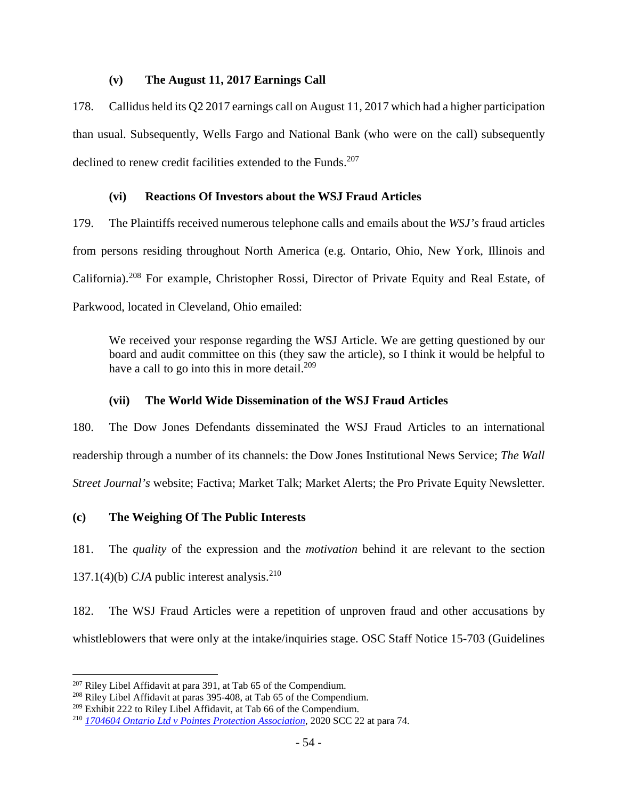## **(v) The August 11, 2017 Earnings Call**

<span id="page-58-0"></span>178. Callidus held its Q2 2017 earnings call on August 11, 2017 which had a higher participation than usual. Subsequently, Wells Fargo and National Bank (who were on the call) subsequently declined to renew credit facilities extended to the Funds.<sup>207</sup>

## **(vi) Reactions Of Investors about the WSJ Fraud Articles**

<span id="page-58-1"></span>179. The Plaintiffs received numerous telephone calls and emails about the *WSJ's* fraud articles from persons residing throughout North America (e.g. Ontario, Ohio, New York, Illinois and California).<sup>208</sup> For example, Christopher Rossi, Director of Private Equity and Real Estate, of Parkwood, located in Cleveland, Ohio emailed:

We received your response regarding the WSJ Article. We are getting questioned by our board and audit committee on this (they saw the article), so I think it would be helpful to have a call to go into this in more detail.<sup>209</sup>

## **(vii) The World Wide Dissemination of the WSJ Fraud Articles**

<span id="page-58-2"></span>180. The Dow Jones Defendants disseminated the WSJ Fraud Articles to an international readership through a number of its channels: the Dow Jones Institutional News Service; *The Wall Street Journal's* website; Factiva; Market Talk; Market Alerts; the Pro Private Equity Newsletter.

## <span id="page-58-3"></span>**(c) The Weighing Of The Public Interests**

181. The *quality* of the expression and the *motivation* behind it are relevant to the section

137.1(4)(b) *CJA* public interest analysis.<sup>210</sup>

 $\overline{a}$ 

182. The WSJ Fraud Articles were a repetition of unproven fraud and other accusations by whistleblowers that were only at the intake/inquiries stage. OSC Staff Notice 15-703 (Guidelines

 $207$  Riley Libel Affidavit at para 391, at Tab 65 of the Compendium.

<sup>208</sup> Riley Libel Affidavit at paras 395-408, at Tab 65 of the Compendium.

 $209$  Exhibit 222 to Riley Libel Affidavit, at Tab 66 of the Compendium.

<sup>210</sup> *[1704604 Ontario Ltd v Pointes Protection Association](https://www.canlii.org/en/ca/scc/doc/2020/2020scc22/2020scc22.html?#par74)*, 2020 SCC 22 at para 74.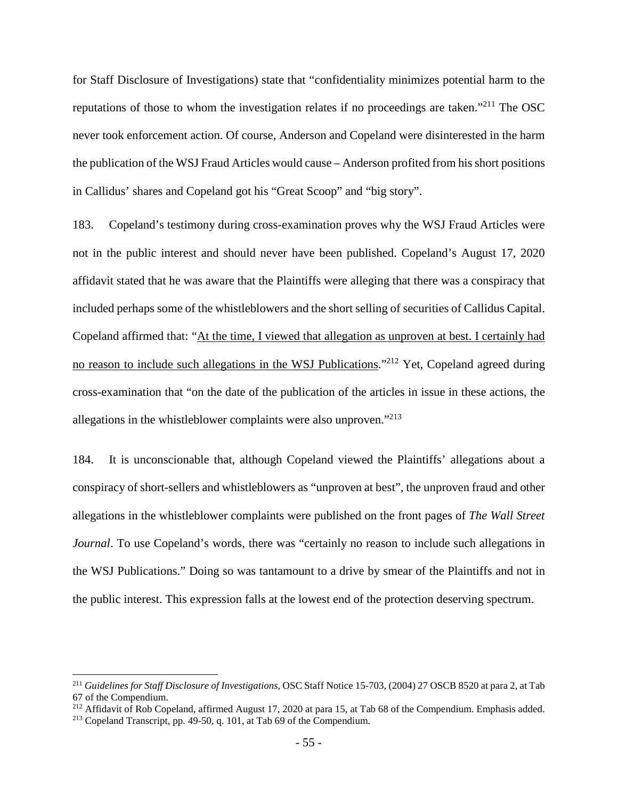for Staff Disclosure of Investigations) state that "confidentiality minimizes potential harm to the reputations of those to whom the investigation relates if no proceedings are taken."<sup>211</sup> The OSC never took enforcement action. Of course, Anderson and Copeland were disinterested in the harm the publication of the WSJ Fraud Articles would cause – Anderson profited from his short positions in Callidus' shares and Copeland got his "Great Scoop" and "big story".

183. Copeland's testimony during cross-examination proves why the WSJ Fraud Articles were not in the public interest and should never have been published. Copeland's August 17, 2020 affidavit stated that he was aware that the Plaintiffs were alleging that there was a conspiracy that included perhaps some of the whistleblowers and the short selling of securities of Callidus Capital. Copeland affirmed that: "At the time, I viewed that allegation as unproven at best. I certainly had no reason to include such allegations in the WSJ Publications."<sup>212</sup> Yet, Copeland agreed during cross-examination that "on the date of the publication of the articles in issue in these actions, the allegations in the whistleblower complaints were also unproven."<sup>213</sup>

184. It is unconscionable that, although Copeland viewed the Plaintiffs' allegations about a conspiracy of short-sellers and whistleblowers as "unproven at best", the unproven fraud and other allegations in the whistleblower complaints were published on the front pages of *The Wall Street Journal*. To use Copeland's words, there was "certainly no reason to include such allegations in the WSJ Publications." Doing so was tantamount to a drive by smear of the Plaintiffs and not in the public interest. This expression falls at the lowest end of the protection deserving spectrum.

<sup>211</sup> *Guidelines for Staff Disclosure of Investigations*, OSC Staff Notice 15-703, (2004) 27 OSCB 8520 at para 2, at Tab 67 of the Compendium.

<sup>&</sup>lt;sup>212</sup> Affidavit of Rob Copeland, affirmed August 17, 2020 at para 15, at Tab 68 of the Compendium. Emphasis added.

<sup>213</sup> Copeland Transcript, pp. 49-50, q. 101, at Tab 69 of the Compendium.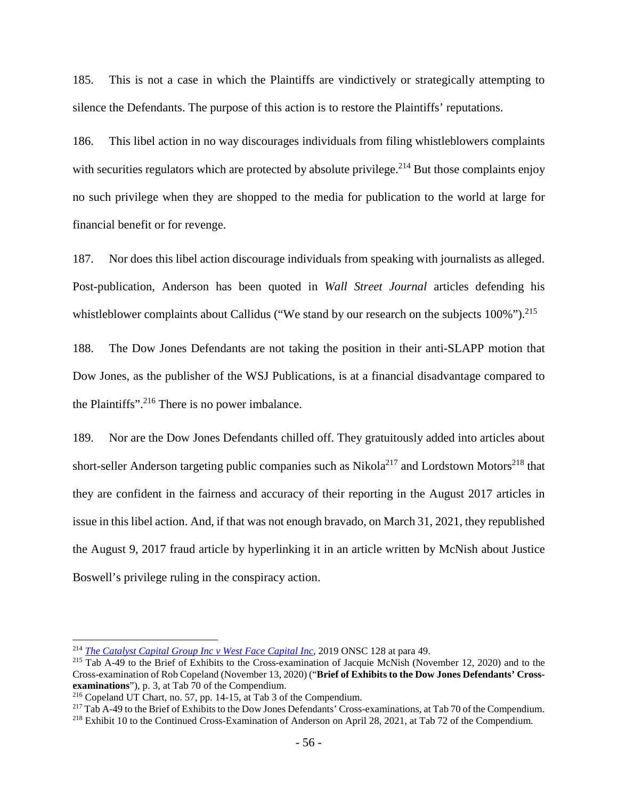185. This is not a case in which the Plaintiffs are vindictively or strategically attempting to silence the Defendants. The purpose of this action is to restore the Plaintiffs' reputations.

186. This libel action in no way discourages individuals from filing whistleblowers complaints with securities regulators which are protected by absolute privilege.<sup>214</sup> But those complaints enjoy no such privilege when they are shopped to the media for publication to the world at large for financial benefit or for revenge.

187. Nor does this libel action discourage individuals from speaking with journalists as alleged. Post-publication, Anderson has been quoted in *Wall Street Journal* articles defending his whistleblower complaints about Callidus ("We stand by our research on the subjects  $100\%$ ").<sup>215</sup>

188. The Dow Jones Defendants are not taking the position in their anti-SLAPP motion that Dow Jones, as the publisher of the WSJ Publications, is at a financial disadvantage compared to the Plaintiffs".<sup>216</sup> There is no power imbalance.

189. Nor are the Dow Jones Defendants chilled off. They gratuitously added into articles about short-seller Anderson targeting public companies such as Nikola<sup>217</sup> and Lordstown Motors<sup>218</sup> that they are confident in the fairness and accuracy of their reporting in the August 2017 articles in issue in this libel action. And, if that was not enough bravado, on March 31, 2021, they republished the August 9, 2017 fraud article by hyperlinking it in an article written by McNish about Justice Boswell's privilege ruling in the conspiracy action.

<sup>214</sup> *[The Catalyst Capital Group Inc v West Face Capital Inc](https://www.canlii.org/en/on/onsc/doc/2019/2019onsc128/2019onsc128.html?#par49)*, 2019 ONSC 128 at para 49.

<sup>&</sup>lt;sup>215</sup> Tab A-49 to the Brief of Exhibits to the Cross-examination of Jacquie McNish (November 12, 2020) and to the Cross-examination of Rob Copeland (November 13, 2020) ("**Brief of Exhibits to the Dow Jones Defendants' Crossexaminations**"), p. 3, at Tab 70 of the Compendium.

<sup>216</sup> Copeland UT Chart, no. 57, pp. 14-15, at Tab 3 of the Compendium.

<sup>&</sup>lt;sup>217</sup> Tab A-49 to the Brief of Exhibits to the Dow Jones Defendants' Cross-examinations, at Tab 70 of the Compendium.

<sup>218</sup> Exhibit 10 to the Continued Cross-Examination of Anderson on April 28, 2021, at Tab 72 of the Compendium.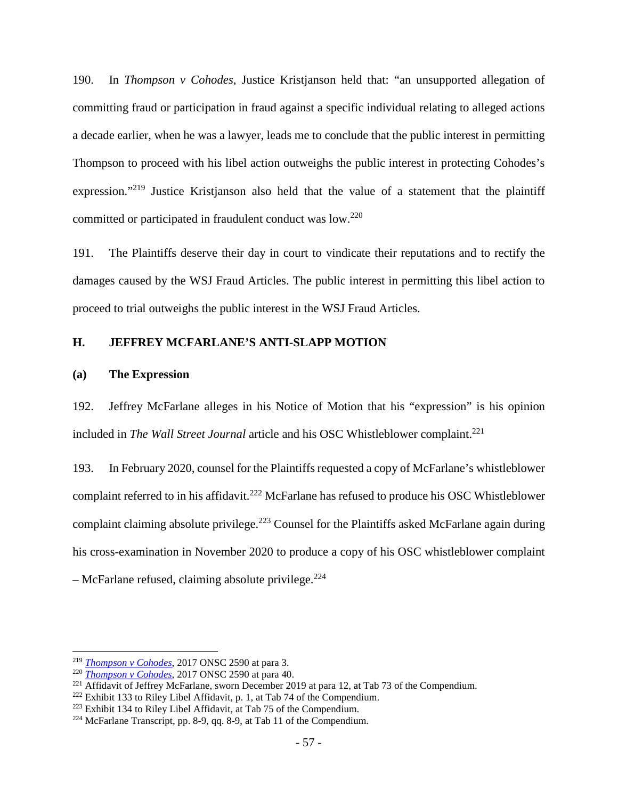190. In *Thompson v Cohodes,* Justice Kristjanson held that: "an unsupported allegation of committing fraud or participation in fraud against a specific individual relating to alleged actions a decade earlier, when he was a lawyer, leads me to conclude that the public interest in permitting Thompson to proceed with his libel action outweighs the public interest in protecting Cohodes's expression."<sup>219</sup> Justice Kristjanson also held that the value of a statement that the plaintiff committed or participated in fraudulent conduct was low.<sup>220</sup>

191. The Plaintiffs deserve their day in court to vindicate their reputations and to rectify the damages caused by the WSJ Fraud Articles. The public interest in permitting this libel action to proceed to trial outweighs the public interest in the WSJ Fraud Articles.

#### <span id="page-61-0"></span>**H. JEFFREY MCFARLANE'S ANTI-SLAPP MOTION**

#### <span id="page-61-1"></span>**(a) The Expression**

192. Jeffrey McFarlane alleges in his Notice of Motion that his "expression" is his opinion included in *The Wall Street Journal* article and his OSC Whistleblower complaint.<sup>221</sup>

193. In February 2020, counsel for the Plaintiffs requested a copy of McFarlane's whistleblower complaint referred to in his affidavit.<sup>222</sup> McFarlane has refused to produce his OSC Whistleblower complaint claiming absolute privilege.<sup>223</sup> Counsel for the Plaintiffs asked McFarlane again during his cross-examination in November 2020 to produce a copy of his OSC whistleblower complaint  $-$  McFarlane refused, claiming absolute privilege.<sup>224</sup>

<sup>219</sup> *[Thompson v Cohodes](https://www.canlii.org/en/on/onsc/doc/2017/2017onsc2590/2017onsc2590.html?#par3)*, 2017 ONSC 2590 at para 3.

<sup>220</sup> *[Thompson v Cohodes](https://www.canlii.org/en/on/onsc/doc/2017/2017onsc2590/2017onsc2590.html?#par40)*, 2017 ONSC 2590 at para 40.

<sup>&</sup>lt;sup>221</sup> Affidavit of Jeffrey McFarlane, sworn December 2019 at para 12, at Tab 73 of the Compendium.

 $222$  Exhibit 133 to Riley Libel Affidavit, p. 1, at Tab 74 of the Compendium.

 $223$  Exhibit 134 to Riley Libel Affidavit, at Tab 75 of the Compendium.

<sup>&</sup>lt;sup>224</sup> McFarlane Transcript, pp. 8-9, qq. 8-9, at Tab 11 of the Compendium.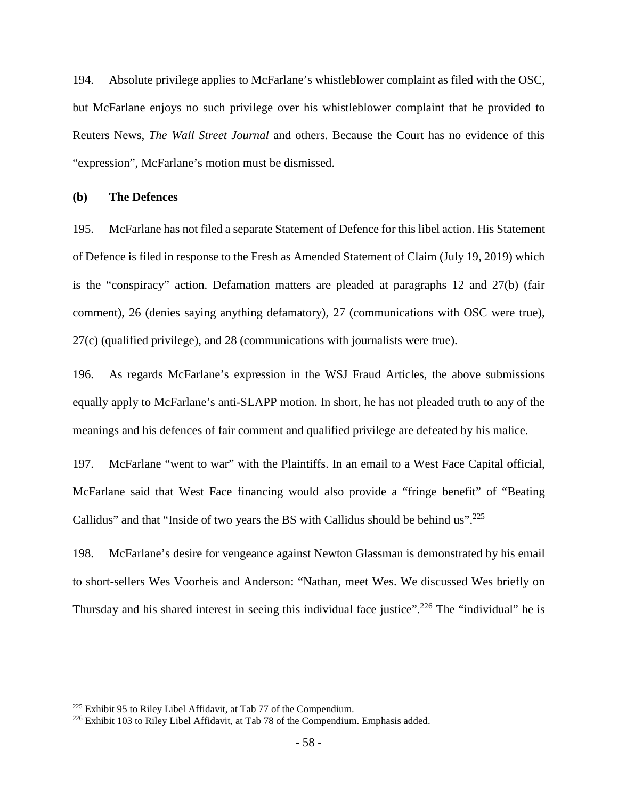194. Absolute privilege applies to McFarlane's whistleblower complaint as filed with the OSC, but McFarlane enjoys no such privilege over his whistleblower complaint that he provided to Reuters News, *The Wall Street Journal* and others. Because the Court has no evidence of this "expression", McFarlane's motion must be dismissed.

#### <span id="page-62-0"></span>**(b) The Defences**

195. McFarlane has not filed a separate Statement of Defence for this libel action. His Statement of Defence is filed in response to the Fresh as Amended Statement of Claim (July 19, 2019) which is the "conspiracy" action. Defamation matters are pleaded at paragraphs 12 and 27(b) (fair comment), 26 (denies saying anything defamatory), 27 (communications with OSC were true), 27(c) (qualified privilege), and 28 (communications with journalists were true).

196. As regards McFarlane's expression in the WSJ Fraud Articles, the above submissions equally apply to McFarlane's anti-SLAPP motion. In short, he has not pleaded truth to any of the meanings and his defences of fair comment and qualified privilege are defeated by his malice.

197. McFarlane "went to war" with the Plaintiffs. In an email to a West Face Capital official, McFarlane said that West Face financing would also provide a "fringe benefit" of "Beating Callidus" and that "Inside of two years the BS with Callidus should be behind us".<sup>225</sup>

198. McFarlane's desire for vengeance against Newton Glassman is demonstrated by his email to short-sellers Wes Voorheis and Anderson: "Nathan, meet Wes. We discussed Wes briefly on Thursday and his shared interest <u>in seeing this individual face justice</u>".<sup>226</sup> The "individual" he is

 $225$  Exhibit 95 to Riley Libel Affidavit, at Tab 77 of the Compendium.

<sup>&</sup>lt;sup>226</sup> Exhibit 103 to Riley Libel Affidavit, at Tab 78 of the Compendium. Emphasis added.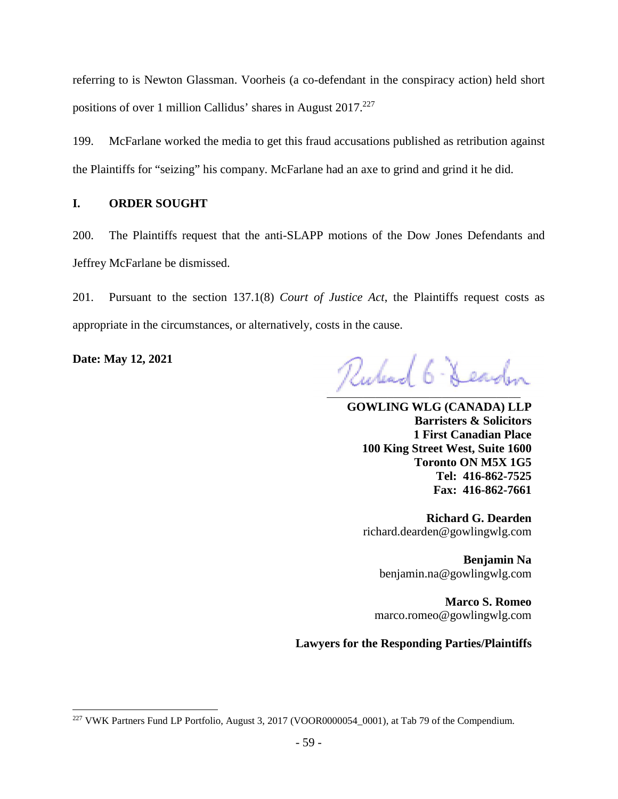referring to is Newton Glassman. Voorheis (a co-defendant in the conspiracy action) held short positions of over 1 million Callidus' shares in August  $2017<sup>.227</sup>$ 

199. McFarlane worked the media to get this fraud accusations published as retribution against the Plaintiffs for "seizing" his company. McFarlane had an axe to grind and grind it he did.

## <span id="page-63-0"></span>**I. ORDER SOUGHT**

200. The Plaintiffs request that the anti-SLAPP motions of the Dow Jones Defendants and Jeffrey McFarlane be dismissed.

201. Pursuant to the section 137.1(8) *Court of Justice Act*, the Plaintiffs request costs as appropriate in the circumstances, or alternatively, costs in the cause.

**Date: May 12, 2021**

Rulead 6- Dearden  $\mathcal{L}$  and  $\mathcal{L}$  and  $\mathcal{L}$  and  $\mathcal{L}$ 

**GOWLING WLG (CANADA) LLP Barristers & Solicitors 1 First Canadian Place 100 King Street West, Suite 1600 Toronto ON M5X 1G5 Tel: 416-862-7525 Fax: 416-862-7661**

**Richard G. Dearden** richard.dearden@gowlingwlg.com

**Benjamin Na** benjamin.na@gowlingwlg.com

**Marco S. Romeo** marco.romeo@gowlingwlg.com

#### **Lawyers for the Responding Parties/Plaintiffs**

<sup>&</sup>lt;sup>227</sup> VWK Partners Fund LP Portfolio, August 3, 2017 (VOOR0000054\_0001), at Tab 79 of the Compendium.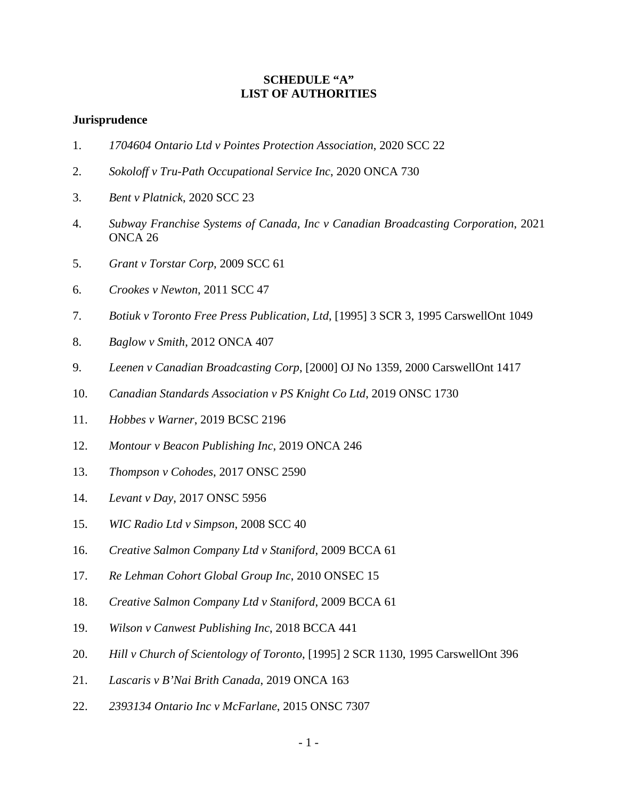#### **SCHEDULE "A" LIST OF AUTHORITIES**

#### **Jurisprudence**

- 1. *1704604 Ontario Ltd v Pointes Protection Association*, 2020 SCC 22
- 2. *Sokoloff v Tru-Path Occupational Service Inc*, 2020 ONCA 730
- 3. *Bent v Platnick*, 2020 SCC 23
- 4. *Subway Franchise Systems of Canada, Inc v Canadian Broadcasting Corporation*, 2021 ONCA 26
- 5. *Grant v Torstar Corp*, 2009 SCC 61
- 6. *Crookes v Newton*, 2011 SCC 47
- 7. *Botiuk v Toronto Free Press Publication, Ltd*, [1995] 3 SCR 3, 1995 CarswellOnt 1049
- 8. *Baglow v Smith*, 2012 ONCA 407
- 9. *Leenen v Canadian Broadcasting Corp*, [2000] OJ No 1359, 2000 CarswellOnt 1417
- 10. *Canadian Standards Association v PS Knight Co Ltd*, 2019 ONSC 1730
- 11. *Hobbes v Warner*, 2019 BCSC 2196
- 12. *Montour v Beacon Publishing Inc*, 2019 ONCA 246
- 13. *Thompson v Cohodes*, 2017 ONSC 2590
- 14. *Levant v Day*, 2017 ONSC 5956
- 15. *WIC Radio Ltd v Simpson*, 2008 SCC 40
- 16. *Creative Salmon Company Ltd v Staniford*, 2009 BCCA 61
- 17. *Re Lehman Cohort Global Group Inc*, 2010 ONSEC 15
- 18. *Creative Salmon Company Ltd v Staniford*, 2009 BCCA 61
- 19. *Wilson v Canwest Publishing Inc*, 2018 BCCA 441
- 20. *Hill v Church of Scientology of Toronto*, [1995] 2 SCR 1130, 1995 CarswellOnt 396
- 21. *Lascaris v B'Nai Brith Canada*, 2019 ONCA 163
- 22. *2393134 Ontario Inc v McFarlane*, 2015 ONSC 7307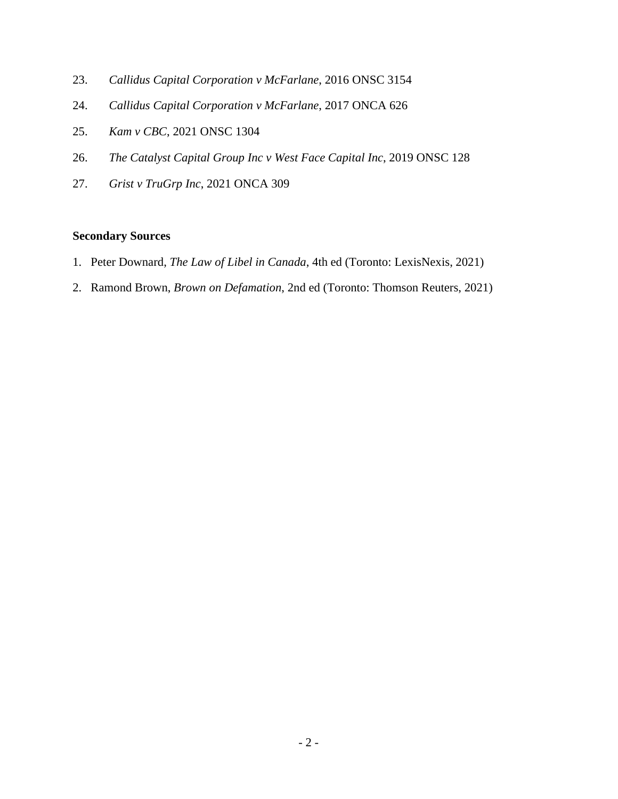- 23. *Callidus Capital Corporation v McFarlane*, 2016 ONSC 3154
- 24. *Callidus Capital Corporation v McFarlane*, 2017 ONCA 626
- 25. *Kam v CBC*, 2021 ONSC 1304
- 26. *The Catalyst Capital Group Inc v West Face Capital Inc*, 2019 ONSC 128
- 27. *Grist v TruGrp Inc*, 2021 ONCA 309

## **Secondary Sources**

- 1. Peter Downard, *The Law of Libel in Canada*, 4th ed (Toronto: LexisNexis, 2021)
- 2. Ramond Brown, *Brown on Defamation*, 2nd ed (Toronto: Thomson Reuters, 2021)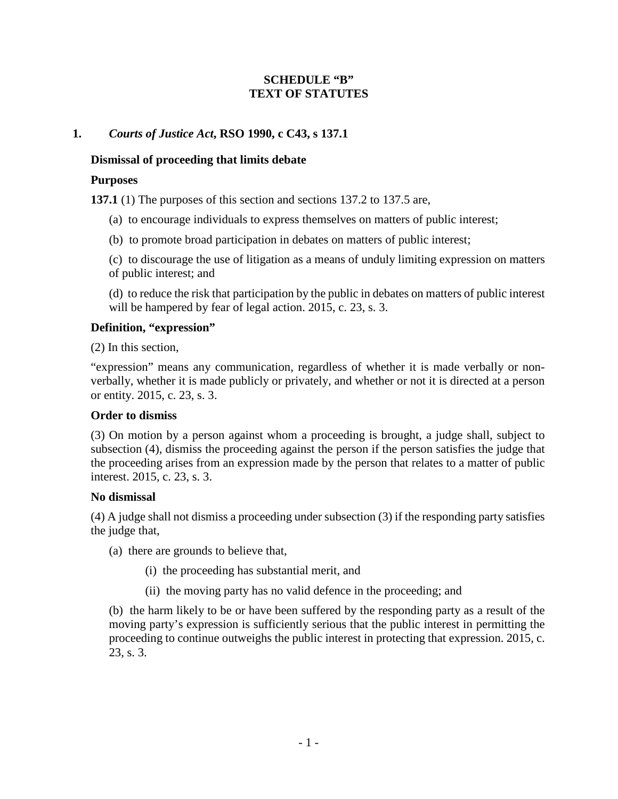## **SCHEDULE "B" TEXT OF STATUTES**

## **1.** *Courts of Justice Act***, RSO 1990, c C43, s 137.1**

## **Dismissal of proceeding that limits debate**

## **Purposes**

**137.1** (1) The purposes of this section and sections 137.2 to 137.5 are,

- (a) to encourage individuals to express themselves on matters of public interest;
- (b) to promote broad participation in debates on matters of public interest;
- (c) to discourage the use of litigation as a means of unduly limiting expression on matters of public interest; and

(d) to reduce the risk that participation by the public in debates on matters of public interest will be hampered by fear of legal action. 2015, c. 23, s. 3.

#### **Definition, "expression"**

(2) In this section,

"expression" means any communication, regardless of whether it is made verbally or nonverbally, whether it is made publicly or privately, and whether or not it is directed at a person or entity. 2015, c. 23, s. 3.

## **Order to dismiss**

(3) On motion by a person against whom a proceeding is brought, a judge shall, subject to subsection (4), dismiss the proceeding against the person if the person satisfies the judge that the proceeding arises from an expression made by the person that relates to a matter of public interest. 2015, c. 23, s. 3.

## **No dismissal**

(4) A judge shall not dismiss a proceeding under subsection (3) if the responding party satisfies the judge that,

- (a) there are grounds to believe that,
	- (i) the proceeding has substantial merit, and
	- (ii) the moving party has no valid defence in the proceeding; and

(b) the harm likely to be or have been suffered by the responding party as a result of the moving party's expression is sufficiently serious that the public interest in permitting the proceeding to continue outweighs the public interest in protecting that expression. 2015, c. 23, s. 3.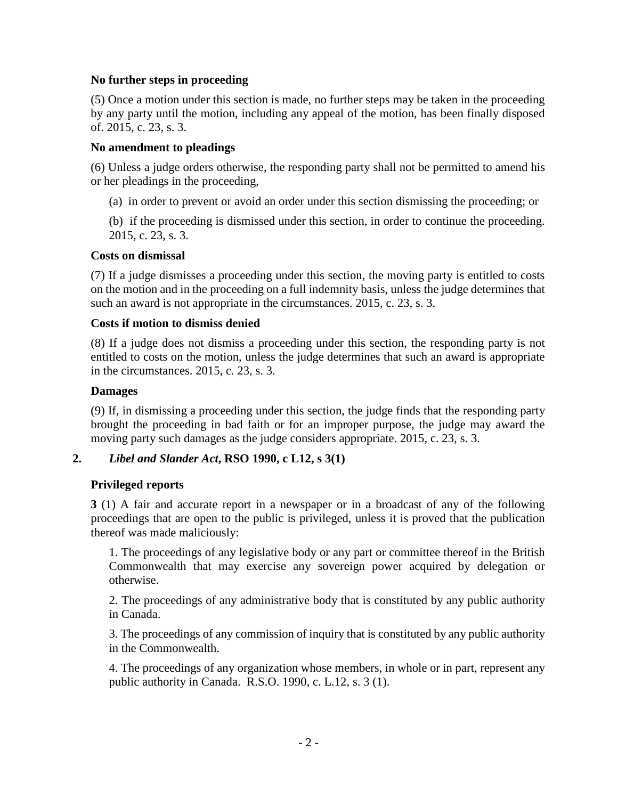## **No further steps in proceeding**

(5) Once a motion under this section is made, no further steps may be taken in the proceeding by any party until the motion, including any appeal of the motion, has been finally disposed of. 2015, c. 23, s. 3.

## **No amendment to pleadings**

(6) Unless a judge orders otherwise, the responding party shall not be permitted to amend his or her pleadings in the proceeding,

(a) in order to prevent or avoid an order under this section dismissing the proceeding; or

(b) if the proceeding is dismissed under this section, in order to continue the proceeding. 2015, c. 23, s. 3.

## **Costs on dismissal**

(7) If a judge dismisses a proceeding under this section, the moving party is entitled to costs on the motion and in the proceeding on a full indemnity basis, unless the judge determines that such an award is not appropriate in the circumstances. 2015, c. 23, s. 3.

#### **Costs if motion to dismiss denied**

(8) If a judge does not dismiss a proceeding under this section, the responding party is not entitled to costs on the motion, unless the judge determines that such an award is appropriate in the circumstances. 2015, c. 23, s. 3.

## **Damages**

(9) If, in dismissing a proceeding under this section, the judge finds that the responding party brought the proceeding in bad faith or for an improper purpose, the judge may award the moving party such damages as the judge considers appropriate. 2015, c. 23, s. 3.

## **2.** *Libel and Slander Act***, RSO 1990, c L12, s 3(1)**

## **Privileged reports**

**3** (1) A fair and accurate report in a newspaper or in a broadcast of any of the following proceedings that are open to the public is privileged, unless it is proved that the publication thereof was made maliciously:

1. The proceedings of any legislative body or any part or committee thereof in the British Commonwealth that may exercise any sovereign power acquired by delegation or otherwise.

2. The proceedings of any administrative body that is constituted by any public authority in Canada.

3. The proceedings of any commission of inquiry that is constituted by any public authority in the Commonwealth.

4. The proceedings of any organization whose members, in whole or in part, represent any public authority in Canada. R.S.O. 1990, c. L.12, s. 3 (1).